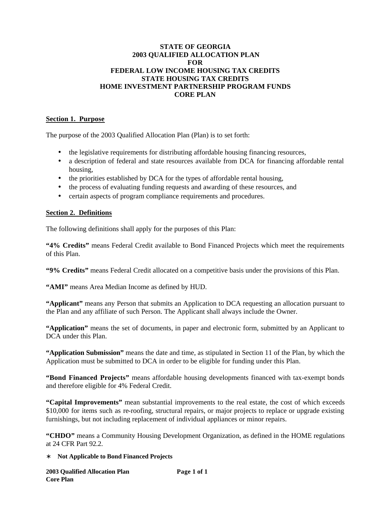### **STATE OF GEORGIA 2003 QUALIFIED ALLOCATION PLAN FOR FEDERAL LOW INCOME HOUSING TAX CREDITS STATE HOUSING TAX CREDITS HOME INVESTMENT PARTNERSHIP PROGRAM FUNDS CORE PLAN**

### **Section 1. Purpose**

The purpose of the 2003 Qualified Allocation Plan (Plan) is to set forth:

- the legislative requirements for distributing affordable housing financing resources,
- a description of federal and state resources available from DCA for financing affordable rental housing,
- the priorities established by DCA for the types of affordable rental housing,
- the process of evaluating funding requests and awarding of these resources, and
- certain aspects of program compliance requirements and procedures.

### **Section 2. Definitions**

The following definitions shall apply for the purposes of this Plan:

**"4% Credits"** means Federal Credit available to Bond Financed Projects which meet the requirements of this Plan.

**"9% Credits"** means Federal Credit allocated on a competitive basis under the provisions of this Plan.

**"AMI"** means Area Median Income as defined by HUD.

**"Applicant"** means any Person that submits an Application to DCA requesting an allocation pursuant to the Plan and any affiliate of such Person. The Applicant shall always include the Owner.

**"Application"** means the set of documents, in paper and electronic form, submitted by an Applicant to DCA under this Plan.

**"Application Submission"** means the date and time, as stipulated in Section 11 of the Plan, by which the Application must be submitted to DCA in order to be eligible for funding under this Plan.

**"Bond Financed Projects"** means affordable housing developments financed with tax-exempt bonds and therefore eligible for 4% Federal Credit.

**"Capital Improvements"** mean substantial improvements to the real estate, the cost of which exceeds \$10,000 for items such as re-roofing, structural repairs, or major projects to replace or upgrade existing furnishings, but not including replacement of individual appliances or minor repairs.

**"CHDO"** means a Community Housing Development Organization, as defined in the HOME regulations at 24 CFR Part 92.2.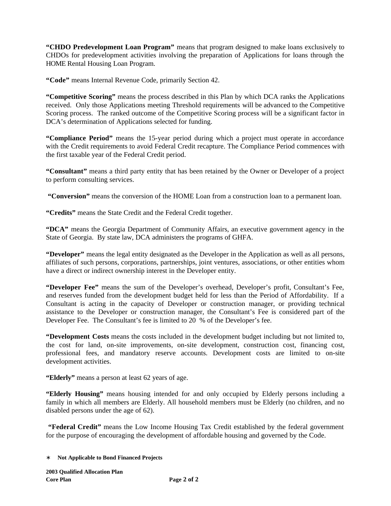**"CHDO Predevelopment Loan Program"** means that program designed to make loans exclusively to CHDOs for predevelopment activities involving the preparation of Applications for loans through the HOME Rental Housing Loan Program.

**"Code"** means Internal Revenue Code, primarily Section 42.

**"Competitive Scoring"** means the process described in this Plan by which DCA ranks the Applications received. Only those Applications meeting Threshold requirements will be advanced to the Competitive Scoring process. The ranked outcome of the Competitive Scoring process will be a significant factor in DCA's determination of Applications selected for funding.

**"Compliance Period"** means the 15-year period during which a project must operate in accordance with the Credit requirements to avoid Federal Credit recapture. The Compliance Period commences with the first taxable year of the Federal Credit period.

**"Consultant"** means a third party entity that has been retained by the Owner or Developer of a project to perform consulting services.

**"Conversion"** means the conversion of the HOME Loan from a construction loan to a permanent loan.

**"Credits"** means the State Credit and the Federal Credit together.

**"DCA"** means the Georgia Department of Community Affairs, an executive government agency in the State of Georgia. By state law, DCA administers the programs of GHFA.

**"Developer"** means the legal entity designated as the Developer in the Application as well as all persons, affiliates of such persons, corporations, partnerships, joint ventures, associations, or other entities whom have a direct or indirect ownership interest in the Developer entity.

**"Developer Fee"** means the sum of the Developer's overhead, Developer's profit, Consultant's Fee, and reserves funded from the development budget held for less than the Period of Affordability. If a Consultant is acting in the capacity of Developer or construction manager, or providing technical assistance to the Developer or construction manager, the Consultant's Fee is considered part of the Developer Fee. The Consultant's fee is limited to 20 % of the Developer's fee.

**"Development Costs** means the costs included in the development budget including but not limited to, the cost for land, on-site improvements, on-site development, construction cost, financing cost, professional fees, and mandatory reserve accounts. Development costs are limited to on-site development activities.

**"Elderly"** means a person at least 62 years of age.

**"Elderly Housing"** means housing intended for and only occupied by Elderly persons including a family in which all members are Elderly. All household members must be Elderly (no children, and no disabled persons under the age of 62).

 **"Federal Credit"** means the Low Income Housing Tax Credit established by the federal government for the purpose of encouraging the development of affordable housing and governed by the Code.

<sup>∗</sup> **Not Applicable to Bond Financed Projects**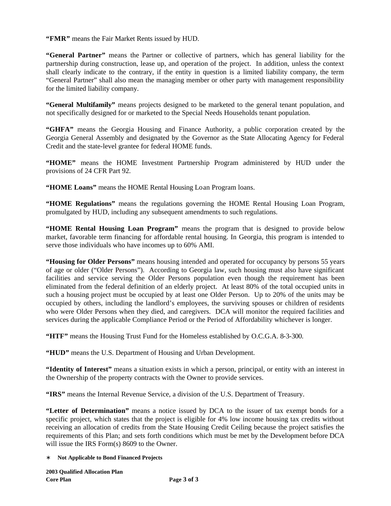**"FMR"** means the Fair Market Rents issued by HUD.

**"General Partner"** means the Partner or collective of partners, which has general liability for the partnership during construction, lease up, and operation of the project. In addition, unless the context shall clearly indicate to the contrary, if the entity in question is a limited liability company, the term "General Partner" shall also mean the managing member or other party with management responsibility for the limited liability company.

**"General Multifamily"** means projects designed to be marketed to the general tenant population, and not specifically designed for or marketed to the Special Needs Households tenant population.

**"GHFA"** means the Georgia Housing and Finance Authority, a public corporation created by the Georgia General Assembly and designated by the Governor as the State Allocating Agency for Federal Credit and the state-level grantee for federal HOME funds.

**"HOME"** means the HOME Investment Partnership Program administered by HUD under the provisions of 24 CFR Part 92.

**"HOME Loans"** means the HOME Rental Housing Loan Program loans.

**"HOME Regulations"** means the regulations governing the HOME Rental Housing Loan Program, promulgated by HUD, including any subsequent amendments to such regulations.

**"HOME Rental Housing Loan Program"** means the program that is designed to provide below market, favorable term financing for affordable rental housing. In Georgia, this program is intended to serve those individuals who have incomes up to 60% AMI.

**"Housing for Older Persons"** means housing intended and operated for occupancy by persons 55 years of age or older ("Older Persons"). According to Georgia law, such housing must also have significant facilities and service serving the Older Persons population even though the requirement has been eliminated from the federal definition of an elderly project. At least 80% of the total occupied units in such a housing project must be occupied by at least one Older Person. Up to 20% of the units may be occupied by others, including the landlord's employees, the surviving spouses or children of residents who were Older Persons when they died, and caregivers. DCA will monitor the required facilities and services during the applicable Compliance Period or the Period of Affordability whichever is longer.

**"HTF"** means the Housing Trust Fund for the Homeless established by O.C.G.A. 8-3-300.

**"HUD"** means the U.S. Department of Housing and Urban Development.

**"Identity of Interest"** means a situation exists in which a person, principal, or entity with an interest in the Ownership of the property contracts with the Owner to provide services.

**"IRS"** means the Internal Revenue Service, a division of the U.S. Department of Treasury.

**"Letter of Determination"** means a notice issued by DCA to the issuer of tax exempt bonds for a specific project, which states that the project is eligible for 4% low income housing tax credits without receiving an allocation of credits from the State Housing Credit Ceiling because the project satisfies the requirements of this Plan; and sets forth conditions which must be met by the Development before DCA will issue the IRS Form(s) 8609 to the Owner.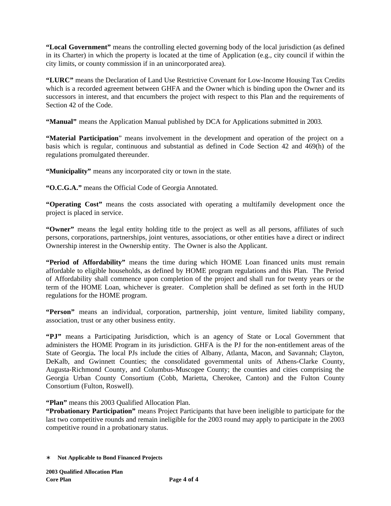**"Local Government"** means the controlling elected governing body of the local jurisdiction (as defined in its Charter) in which the property is located at the time of Application (e.g., city council if within the city limits, or county commission if in an unincorporated area).

**"LURC"** means the Declaration of Land Use Restrictive Covenant for Low-Income Housing Tax Credits which is a recorded agreement between GHFA and the Owner which is binding upon the Owner and its successors in interest, and that encumbers the project with respect to this Plan and the requirements of Section 42 of the Code.

**"Manual"** means the Application Manual published by DCA for Applications submitted in 2003.

**"Material Participation**" means involvement in the development and operation of the project on a basis which is regular, continuous and substantial as defined in Code Section 42 and 469(h) of the regulations promulgated thereunder.

**"Municipality"** means any incorporated city or town in the state.

**"O.C.G.A."** means the Official Code of Georgia Annotated.

**"Operating Cost"** means the costs associated with operating a multifamily development once the project is placed in service.

**"Owner"** means the legal entity holding title to the project as well as all persons, affiliates of such persons, corporations, partnerships, joint ventures, associations, or other entities have a direct or indirect Ownership interest in the Ownership entity. The Owner is also the Applicant.

**"Period of Affordability"** means the time during which HOME Loan financed units must remain affordable to eligible households, as defined by HOME program regulations and this Plan. The Period of Affordability shall commence upon completion of the project and shall run for twenty years or the term of the HOME Loan, whichever is greater. Completion shall be defined as set forth in the HUD regulations for the HOME program.

**"Person"** means an individual, corporation, partnership, joint venture, limited liability company, association, trust or any other business entity.

**"PJ"** means a Participating Jurisdiction, which is an agency of State or Local Government that administers the HOME Program in its jurisdiction. GHFA is the PJ for the non-entitlement areas of the State of Georgia**.** The local PJs include the cities of Albany, Atlanta, Macon, and Savannah; Clayton, DeKalb, and Gwinnett Counties; the consolidated governmental units of Athens-Clarke County, Augusta-Richmond County, and Columbus-Muscogee County; the counties and cities comprising the Georgia Urban County Consortium (Cobb, Marietta, Cherokee, Canton) and the Fulton County Consortium (Fulton, Roswell).

**"Plan"** means this 2003 Qualified Allocation Plan.

**"Probationary Participation"** means Project Participants that have been ineligible to participate for the last two competitive rounds and remain ineligible for the 2003 round may apply to participate in the 2003 competitive round in a probationary status.

<sup>∗</sup> **Not Applicable to Bond Financed Projects**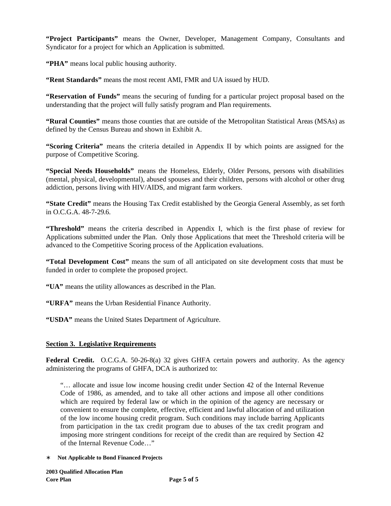**"Project Participants"** means the Owner, Developer, Management Company, Consultants and Syndicator for a project for which an Application is submitted.

**"PHA"** means local public housing authority.

**"Rent Standards"** means the most recent AMI, FMR and UA issued by HUD.

**"Reservation of Funds"** means the securing of funding for a particular project proposal based on the understanding that the project will fully satisfy program and Plan requirements.

**"Rural Counties"** means those counties that are outside of the Metropolitan Statistical Areas (MSAs) as defined by the Census Bureau and shown in Exhibit A.

**"Scoring Criteria"** means the criteria detailed in Appendix II by which points are assigned for the purpose of Competitive Scoring.

**"Special Needs Households"** means the Homeless, Elderly, Older Persons, persons with disabilities (mental, physical, developmental), abused spouses and their children, persons with alcohol or other drug addiction, persons living with HIV/AIDS, and migrant farm workers.

**"State Credit"** means the Housing Tax Credit established by the Georgia General Assembly, as set forth in O.C.G.A. 48-7-29.6.

**"Threshold"** means the criteria described in Appendix I, which is the first phase of review for Applications submitted under the Plan. Only those Applications that meet the Threshold criteria will be advanced to the Competitive Scoring process of the Application evaluations.

**"Total Development Cost"** means the sum of all anticipated on site development costs that must be funded in order to complete the proposed project.

**"UA"** means the utility allowances as described in the Plan.

**"URFA"** means the Urban Residential Finance Authority.

**"USDA"** means the United States Department of Agriculture.

#### **Section 3. Legislative Requirements**

**Federal Credit.** O.C.G.A. 50-26-8(a) 32 gives GHFA certain powers and authority. As the agency administering the programs of GHFA, DCA is authorized to:

"… allocate and issue low income housing credit under Section 42 of the Internal Revenue Code of 1986, as amended, and to take all other actions and impose all other conditions which are required by federal law or which in the opinion of the agency are necessary or convenient to ensure the complete, effective, efficient and lawful allocation of and utilization of the low income housing credit program. Such conditions may include barring Applicants from participation in the tax credit program due to abuses of the tax credit program and imposing more stringent conditions for receipt of the credit than are required by Section 42 of the Internal Revenue Code…"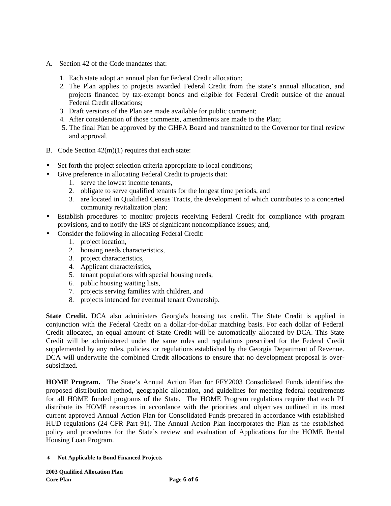- A. Section 42 of the Code mandates that:
	- 1. Each state adopt an annual plan for Federal Credit allocation;
	- 2. The Plan applies to projects awarded Federal Credit from the state's annual allocation, and projects financed by tax-exempt bonds and eligible for Federal Credit outside of the annual Federal Credit allocations;
	- 3. Draft versions of the Plan are made available for public comment;
	- 4. After consideration of those comments, amendments are made to the Plan;
	- 5. The final Plan be approved by the GHFA Board and transmitted to the Governor for final review and approval.
- B. Code Section 42(m)(1) requires that each state:
- Set forth the project selection criteria appropriate to local conditions;
- Give preference in allocating Federal Credit to projects that:
	- 1. serve the lowest income tenants,
	- 2. obligate to serve qualified tenants for the longest time periods, and
	- 3. are located in Qualified Census Tracts, the development of which contributes to a concerted community revitalization plan;
- Establish procedures to monitor projects receiving Federal Credit for compliance with program provisions, and to notify the IRS of significant noncompliance issues; and,
- Consider the following in allocating Federal Credit:
	- 1. project location,
	- 2. housing needs characteristics,
	- 3. project characteristics,
	- 4. Applicant characteristics,
	- 5. tenant populations with special housing needs,
	- 6. public housing waiting lists,
	- 7. projects serving families with children, and
	- 8. projects intended for eventual tenant Ownership.

**State Credit.** DCA also administers Georgia's housing tax credit. The State Credit is applied in conjunction with the Federal Credit on a dollar-for-dollar matching basis. For each dollar of Federal Credit allocated, an equal amount of State Credit will be automatically allocated by DCA. This State Credit will be administered under the same rules and regulations prescribed for the Federal Credit supplemented by any rules, policies, or regulations established by the Georgia Department of Revenue. DCA will underwrite the combined Credit allocations to ensure that no development proposal is oversubsidized.

**HOME Program.** The State's Annual Action Plan for FFY2003 Consolidated Funds identifies the proposed distribution method, geographic allocation, and guidelines for meeting federal requirements for all HOME funded programs of the State. The HOME Program regulations require that each PJ distribute its HOME resources in accordance with the priorities and objectives outlined in its most current approved Annual Action Plan for Consolidated Funds prepared in accordance with established HUD regulations (24 CFR Part 91). The Annual Action Plan incorporates the Plan as the established policy and procedures for the State's review and evaluation of Applications for the HOME Rental Housing Loan Program.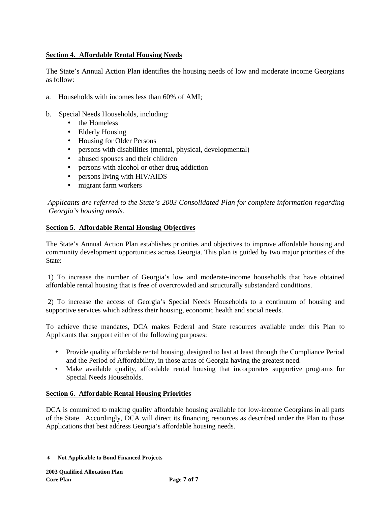## **Section 4. Affordable Rental Housing Needs**

The State's Annual Action Plan identifies the housing needs of low and moderate income Georgians as follow:

- a. Households with incomes less than 60% of AMI;
- b. Special Needs Households, including:
	- the Homeless
	- Elderly Housing
	- Housing for Older Persons
	- persons with disabilities (mental, physical, developmental)
	- abused spouses and their children
	- persons with alcohol or other drug addiction
	- persons living with HIV/AIDS
	- migrant farm workers

 *Applicants are referred to the State's 2003 Consolidated Plan for complete information regarding Georgia's housing needs.*

### **Section 5. Affordable Rental Housing Objectives**

The State's Annual Action Plan establishes priorities and objectives to improve affordable housing and community development opportunities across Georgia. This plan is guided by two major priorities of the State:

 1) To increase the number of Georgia's low and moderate-income households that have obtained affordable rental housing that is free of overcrowded and structurally substandard conditions.

 2) To increase the access of Georgia's Special Needs Households to a continuum of housing and supportive services which address their housing, economic health and social needs.

To achieve these mandates, DCA makes Federal and State resources available under this Plan to Applicants that support either of the following purposes:

- Provide quality affordable rental housing, designed to last at least through the Compliance Period and the Period of Affordability, in those areas of Georgia having the greatest need.
- Make available quality, affordable rental housing that incorporates supportive programs for Special Needs Households.

## **Section 6. Affordable Rental Housing Priorities**

DCA is committed to making quality affordable housing available for low-income Georgians in all parts of the State. Accordingly, DCA will direct its financing resources as described under the Plan to those Applications that best address Georgia's affordable housing needs.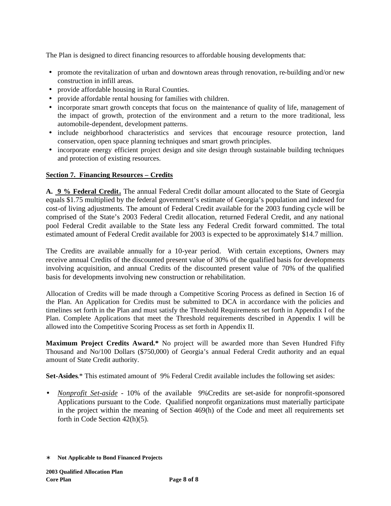The Plan is designed to direct financing resources to affordable housing developments that:

- promote the revitalization of urban and downtown areas through renovation, re-building and/or new construction in infill areas.
- provide affordable housing in Rural Counties.
- provide affordable rental housing for families with children.
- incorporate smart growth concepts that focus on the maintenance of quality of life, management of the impact of growth, protection of the environment and a return to the more traditional, less automobile-dependent, development patterns.
- include neighborhood characteristics and services that encourage resource protection, land conservation, open space planning techniques and smart growth principles.
- incorporate energy efficient project design and site design through sustainable building techniques and protection of existing resources.

### **Section 7. Financing Resources – Credits**

**A. 9 % Federal Credit.** The annual Federal Credit dollar amount allocated to the State of Georgia equals \$1.75 multiplied by the federal government's estimate of Georgia's population and indexed for cost-of living adjustments. The amount of Federal Credit available for the 2003 funding cycle will be comprised of the State's 2003 Federal Credit allocation, returned Federal Credit, and any national pool Federal Credit available to the State less any Federal Credit forward committed. The total estimated amount of Federal Credit available for 2003 is expected to be approximately \$14.7 million.

The Credits are available annually for a 10-year period. With certain exceptions, Owners may receive annual Credits of the discounted present value of 30% of the qualified basis for developments involving acquisition, and annual Credits of the discounted present value of 70% of the qualified basis for developments involving new construction or rehabilitation.

Allocation of Credits will be made through a Competitive Scoring Process as defined in Section 16 of the Plan. An Application for Credits must be submitted to DCA in accordance with the policies and timelines set forth in the Plan and must satisfy the Threshold Requirements set forth in Appendix I of the Plan. Complete Applications that meet the Threshold requirements described in Appendix I will be allowed into the Competitive Scoring Process as set forth in Appendix II.

**Maximum Project Credits Award.\*** No project will be awarded more than Seven Hundred Fifty Thousand and No/100 Dollars (\$750,000) of Georgia's annual Federal Credit authority and an equal amount of State Credit authority.

**Set-Asides**.\* This estimated amount of 9% Federal Credit available includes the following set asides:

• *Nonprofit Set-aside* - 10% of the available 9%Credits are set-aside for nonprofit-sponsored Applications pursuant to the Code. Qualified nonprofit organizations must materially participate in the project within the meaning of Section 469(h) of the Code and meet all requirements set forth in Code Section 42(h)(5).

<sup>∗</sup> **Not Applicable to Bond Financed Projects**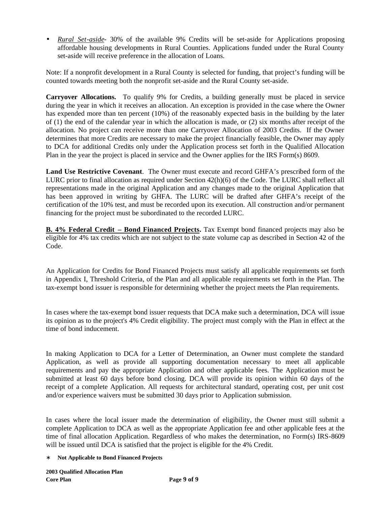• *Rural Set-aside*- 30% of the available 9% Credits will be set-aside for Applications proposing affordable housing developments in Rural Counties. Applications funded under the Rural County set-aside will receive preference in the allocation of Loans.

Note: If a nonprofit development in a Rural County is selected for funding, that project's funding will be counted towards meeting both the nonprofit set-aside and the Rural County set-aside.

**Carryover Allocations.** To qualify 9% for Credits, a building generally must be placed in service during the year in which it receives an allocation. An exception is provided in the case where the Owner has expended more than ten percent (10%) of the reasonably expected basis in the building by the later of (1) the end of the calendar year in which the allocation is made, or (2) six months after receipt of the allocation. No project can receive more than one Carryover Allocation of 2003 Credits. If the Owner determines that more Credits are necessary to make the project financially feasible, the Owner may apply to DCA for additional Credits only under the Application process set forth in the Qualified Allocation Plan in the year the project is placed in service and the Owner applies for the IRS Form(s) 8609.

**Land Use Restrictive Covenant**. The Owner must execute and record GHFA's prescribed form of the LURC prior to final allocation as required under Section 42(h)(6) of the Code. The LURC shall reflect all representations made in the original Application and any changes made to the original Application that has been approved in writing by GHFA. The LURC will be drafted after GHFA's receipt of the certification of the 10% test, and must be recorded upon its execution. All construction and/or permanent financing for the project must be subordinated to the recorded LURC.

**B. 4% Federal Credit – Bond Financed Projects.** Tax Exempt bond financed projects may also be eligible for 4% tax credits which are not subject to the state volume cap as described in Section 42 of the Code.

An Application for Credits for Bond Financed Projects must satisfy all applicable requirements set forth in Appendix I, Threshold Criteria, of the Plan and all applicable requirements set forth in the Plan. The tax-exempt bond issuer is responsible for determining whether the project meets the Plan requirements.

In cases where the tax-exempt bond issuer requests that DCA make such a determination, DCA will issue its opinion as to the project's 4% Credit eligibility. The project must comply with the Plan in effect at the time of bond inducement.

In making Application to DCA for a Letter of Determination, an Owner must complete the standard Application, as well as provide all supporting documentation necessary to meet all applicable requirements and pay the appropriate Application and other applicable fees. The Application must be submitted at least 60 days before bond closing. DCA will provide its opinion within 60 days of the receipt of a complete Application. All requests for architectural standard, operating cost, per unit cost and/or experience waivers must be submitted 30 days prior to Application submission.

In cases where the local issuer made the determination of eligibility, the Owner must still submit a complete Application to DCA as well as the appropriate Application fee and other applicable fees at the time of final allocation Application. Regardless of who makes the determination, no Form(s) IRS-8609 will be issued until DCA is satisfied that the project is eligible for the 4% Credit.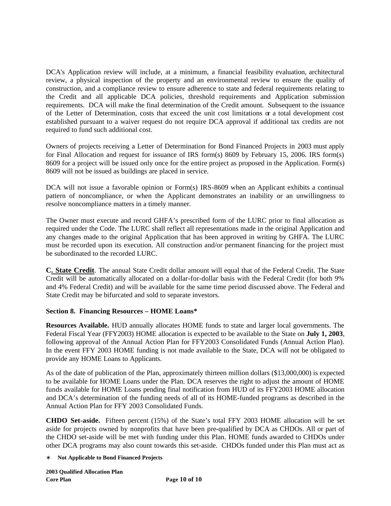DCA's Application review will include, at a minimum, a financial feasibility evaluation, architectural review, a physical inspection of the property and an environmental review to ensure the quality of construction, and a compliance review to ensure adherence to state and federal requirements relating to the Credit and all applicable DCA policies, threshold requirements and Application submission requirements. DCA will make the final determination of the Credit amount. Subsequent to the issuance of the Letter of Determination, costs that exceed the unit cost limitations or a total development cost established pursuant to a waiver request do not require DCA approval if additional tax credits are not required to fund such additional cost.

Owners of projects receiving a Letter of Determination for Bond Financed Projects in 2003 must apply for Final Allocation and request for issuance of IRS form(s) 8609 by February 15, 2006. IRS form(s) 8609 for a project will be issued only once for the entire project as proposed in the Application. Form(s) 8609 will not be issued as buildings are placed in service.

DCA will not issue a favorable opinion or Form(s) IRS-8609 when an Applicant exhibits a continual pattern of noncompliance, or when the Applicant demonstrates an inability or an unwillingness to resolve noncompliance matters in a timely manner.

The Owner must execute and record GHFA's prescribed form of the LURC prior to final allocation as required under the Code. The LURC shall reflect all representations made in the original Application and any changes made to the original Application that has been approved in writing by GHFA. The LURC must be recorded upon its execution. All construction and/or permanent financing for the project must be subordinated to the recorded LURC.

**C. State Credit**. The annual State Credit dollar amount will equal that of the Federal Credit. The State Credit will be automatically allocated on a dollar-for-dollar basis with the Federal Credit (for both 9% and 4% Federal Credit) and will be available for the same time period discussed above. The Federal and State Credit may be bifurcated and sold to separate investors.

## **Section 8. Financing Resources – HOME Loans\***

**Resources Available.** HUD annually allocates HOME funds to state and larger local governments. The Federal Fiscal Year (FFY2003) HOME allocation is expected to be available to the State on **July 1, 2003**, following approval of the Annual Action Plan for FFY2003 Consolidated Funds (Annual Action Plan). In the event FFY 2003 HOME funding is not made available to the State, DCA will not be obligated to provide any HOME Loans to Applicants.

As of the date of publication of the Plan, approximately thirteen million dollars (\$13,000,000) is expected to be available for HOME Loans under the Plan. DCA reserves the right to adjust the amount of HOME funds available for HOME Loans pending final notification from HUD of its FFY2003 HOME allocation and DCA's determination of the funding needs of all of its HOME-funded programs as described in the Annual Action Plan for FFY 2003 Consolidated Funds.

**CHDO Set-aside.** Fifteen percent (15%) of the State's total FFY 2003 HOME allocation will be set aside for projects owned by nonprofits that have been pre-qualified by DCA as CHDOs. All or part of the CHDO set-aside will be met with funding under this Plan. HOME funds awarded to CHDOs under other DCA programs may also count towards this set-aside. CHDOs funded under this Plan must act as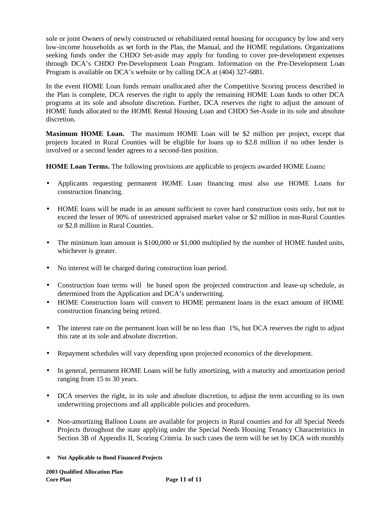sole or joint Owners of newly constructed or rehabilitated rental housing for occupancy by low and very low-income households as set forth in the Plan, the Manual, and the HOME regulations. Organizations seeking funds under the CHDO Set-aside may apply for funding to cover pre-development expenses through DCA's CHDO Pre-Development Loan Program. Information on the Pre-Development Loan Program is available on DCA's website or by calling DCA at (404) 327-6881.

In the event HOME Loan funds remain unallocated after the Competitive Scoring process described in the Plan is complete, DCA reserves the right to apply the remaining HOME Loan funds to other DCA programs at its sole and absolute discretion. Further, DCA reserves the right to adjust the amount of HOME funds allocated to the HOME Rental Housing Loan and CHDO Set-Aside in its sole and absolute discretion.

**Maximum HOME Loan.** The maximum HOME Loan will be \$2 million per project, except that projects located in Rural Counties will be eligible for loans up to \$2.8 million if no other lender is involved or a second lender agrees to a second-lien position.

**HOME Loan Terms.** The following provisions are applicable to projects awarded HOME Loans**:**

- Applicants requesting permanent HOME Loan financing must also use HOME Loans for construction financing.
- HOME loans will be made in an amount sufficient to cover hard construction costs only, but not to exceed the lesser of 90% of unrestricted appraised market value or \$2 million in non-Rural Counties or \$2.8 million in Rural Counties.
- The minimum loan amount is \$100,000 or \$1,000 multiplied by the number of HOME funded units, whichever is greater.
- No interest will be charged during construction loan period.
- Construction loan terms will be based upon the projected construction and lease-up schedule, as determined from the Application and DCA's underwriting.
- HOME Construction loans will convert to HOME permanent loans in the exact amount of HOME construction financing being retired.
- The interest rate on the permanent loan will be no less than 1%, but DCA reserves the right to adjust this rate at its sole and absolute discretion.
- Repayment schedules will vary depending upon projected economics of the development.
- In general, permanent HOME Loans will be fully amortizing, with a maturity and amortization period ranging from 15 to 30 years.
- DCA reserves the right, in its sole and absolute discretion, to adjust the term according to its own underwriting projections and all applicable policies and procedures.
- Non-amortizing Balloon Loans are available for projects in Rural counties and for all Special Needs Projects throughout the state applying under the Special Needs Housing Tenancy Characteristics in Section 3B of Appendix II, Scoring Criteria. In such cases the term will be set by DCA with monthly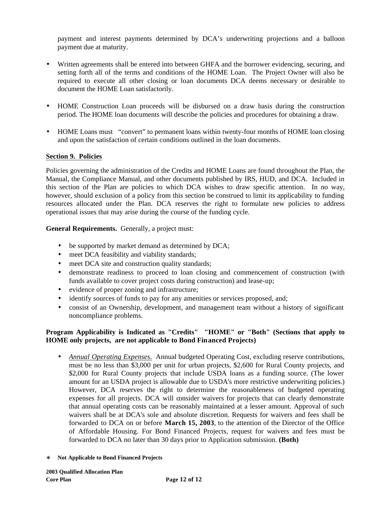payment and interest payments determined by DCA's underwriting projections and a balloon payment due at maturity.

- Written agreements shall be entered into between GHFA and the borrower evidencing, securing, and setting forth all of the terms and conditions of the HOME Loan. The Project Owner will also be required to execute all other closing or loan documents DCA deems necessary or desirable to document the HOME Loan satisfactorily.
- HOME Construction Loan proceeds will be disbursed on a draw basis during the construction period. The HOME loan documents will describe the policies and procedures for obtaining a draw.
- HOME Loans must "convert" to permanent loans within twenty-four months of HOME loan closing and upon the satisfaction of certain conditions outlined in the loan documents.

### **Section 9. Policies**

Policies governing the administration of the Credits and HOME Loans are found throughout the Plan, the Manual, the Compliance Manual, and other documents published by IRS, HUD, and DCA. Included in this section of the Plan are policies to which DCA wishes to draw specific attention. In no way, however, should exclusion of a policy from this section be construed to limit its applicability to funding resources allocated under the Plan. DCA reserves the right to formulate new policies to address operational issues that may arise during the course of the funding cycle.

**General Requirements.** Generally, a project must:

- be supported by market demand as determined by DCA;
- meet DCA feasibility and viability standards;
- meet DCA site and construction quality standards;
- demonstrate readiness to proceed to loan closing and commencement of construction (with funds available to cover project costs during construction) and lease-up;
- evidence of proper zoning and infrastructure;
- identify sources of funds to pay for any amenities or services proposed, and;
- consist of an Ownership, development, and management team without a history of significant noncompliance problems.

### **Program Applicability is Indicated as "Credits" "HOME" or "Both" (Sections that apply to HOME only projects, are not applicable to Bond Financed Projects)**

- *Annual Operating Expenses.* Annual budgeted Operating Cost, excluding reserve contributions, must be no less than \$3,000 per unit for urban projects, \$2,600 for Rural County projects, and \$2,000 for Rural County projects that include USDA loans as a funding source. (The lower amount for an USDA project is allowable due to USDA's more restrictive underwriting policies.) However, DCA reserves the right to determine the reasonableness of budgeted operating expenses for all projects. DCA will consider waivers for projects that can clearly demonstrate that annual operating costs can be reasonably maintained at a lesser amount. Approval of such waivers shall be at DCA's sole and absolute discretion. Requests for waivers and fees shall be forwarded to DCA on or before **March 15, 2003**, to the attention of the Director of the Office of Affordable Housing. For Bond Financed Projects, request for waivers and fees must be forwarded to DCA no later than 30 days prior to Application submission. **(Both)**
- ∗ **Not Applicable to Bond Financed Projects**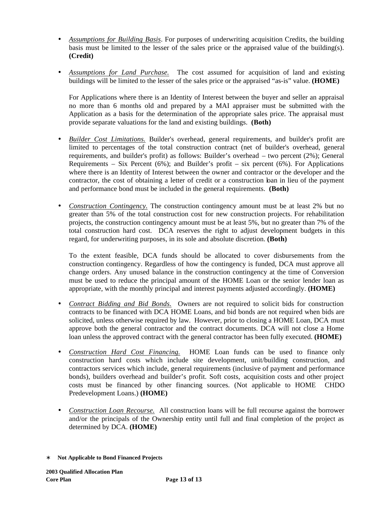- *Assumptions for Building Basis*. For purposes of underwriting acquisition Credits, the building basis must be limited to the lesser of the sales price or the appraised value of the building(s). **(Credit)**
- *Assumptions for Land Purchase.* The cost assumed for acquisition of land and existing buildings will be limited to the lesser of the sales price or the appraised "as-is" value. **(HOME)**

For Applications where there is an Identity of Interest between the buyer and seller an appraisal no more than 6 months old and prepared by a MAI appraiser must be submitted with the Application as a basis for the determination of the appropriate sales price. The appraisal must provide separate valuations for the land and existing buildings. **(Both)**

- *Builder Cost Limitations.* Builder's overhead, general requirements, and builder's profit are limited to percentages of the total construction contract (net of builder's overhead, general requirements, and builder's profit) as follows: Builder's overhead – two percent (2%); General Requirements – Six Percent  $(6\%)$ ; and Builder's profit – six percent  $(6\%)$ . For Applications where there is an Identity of Interest between the owner and contractor or the developer and the contractor, the cost of obtaining a letter of credit or a construction loan in lieu of the payment and performance bond must be included in the general requirements. **(Both)**
- *Construction Contingency*. The construction contingency amount must be at least 2% but no greater than 5% of the total construction cost for new construction projects. For rehabilitation projects, the construction contingency amount must be at least 5%, but no greater than 7% of the total construction hard cost. DCA reserves the right to adjust development budgets in this regard, for underwriting purposes, in its sole and absolute discretion. **(Both)**

To the extent feasible, DCA funds should be allocated to cover disbursements from the construction contingency. Regardless of how the contingency is funded, DCA must approve all change orders. Any unused balance in the construction contingency at the time of Conversion must be used to reduce the principal amount of the HOME Loan or the senior lender loan as appropriate, with the monthly principal and interest payments adjusted accordingly. **(HOME)**

- *Contract Bidding and Bid Bonds.* Owners are not required to solicit bids for construction contracts to be financed with DCA HOME Loans, and bid bonds are not required when bids are solicited, unless otherwise required by law. However, prior to closing a HOME Loan, DCA must approve both the general contractor and the contract documents. DCA will not close a Home loan unless the approved contract with the general contractor has been fully executed. **(HOME)**
- *Construction Hard Cost Financing.* HOME Loan funds can be used to finance only construction hard costs which include site development, unit/building construction, and contractors services which include, general requirements (inclusive of payment and performance bonds), builders overhead and builder's profit. Soft costs, acquisition costs and other project costs must be financed by other financing sources. (Not applicable to HOME CHDO Predevelopment Loans.) **(HOME)**
- *Construction Loan Recourse.* All construction loans will be full recourse against the borrower and/or the principals of the Ownership entity until full and final completion of the project as determined by DCA. **(HOME)**
- ∗ **Not Applicable to Bond Financed Projects**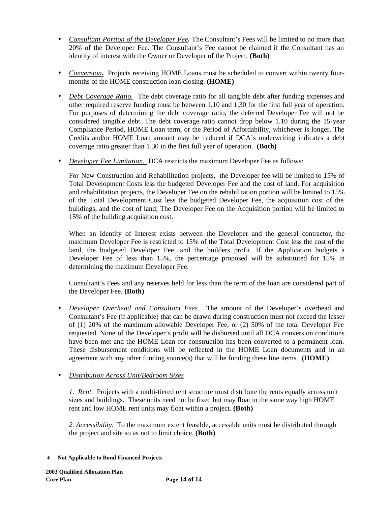- *Consultant Portion of the Developer Fee.* The Consultant's Fees will be limited to no more than 20% of the Developer Fee. The Consultant's Fee cannot be claimed if the Consultant has an identity of interest with the Owner or Developer of the Project. **(Both)**
- *Conversion.* Projects receiving HOME Loans must be scheduled to convert within twenty fourmonths of the HOME construction loan closing. **(HOME)**
- *Debt Coverage Ratio.* The debt coverage ratio for all tangible debt after funding expenses and other required reserve funding must be between 1.10 and 1.30 for the first full year of operation. For purposes of determining the debt coverage ratio, the deferred Developer Fee will not be considered tangible debt. The debt coverage ratio cannot drop below 1.10 during the 15-year Compliance Period, HOME Loan term, or the Period of Affordability, whichever is longer. The Credits and/or HOME Loan amount may be reduced if DCA's underwriting indicates a debt coverage ratio greater than 1.30 in the first full year of operation. **(Both)**
- *Developer Fee Limitation.* DCA restricts the maximum Developer Fee as follows:

For New Construction and Rehabilitation projects, the Developer fee will be limited to 15% of Total Development Costs less the budgeted Developer Fee and the cost of land. For acquisition and rehabilitation projects, the Developer Fee on the rehabilitation portion will be limited to 15% of the Total Development Cost less the budgeted Developer Fee, the acquisition cost of the buildings, and the cost of land; The Developer Fee on the Acquisition portion will be limited to 15% of the building acquisition cost.

When an Identity of Interest exists between the Developer and the general contractor, the maximum Developer Fee is restricted to 15% of the Total Development Cost less the cost of the land, the budgeted Developer Fee, and the builders profit. If the Application budgets a Developer Fee of less than 15%, the percentage proposed will be substituted for 15% in determining the maximum Developer Fee.

Consultant's Fees and any reserves held for less than the term of the loan are considered part of the Developer Fee. **(Both)** 

• *Developer Overhead and Consultant Fees.*The amount of the Developer's overhead and Consultant's Fee (if applicable) that can be drawn during construction must not exceed the lesser of (1) 20% of the maximum allowable Developer Fee, or (2) 50% of the total Developer Fee requested. None of the Developer's profit will be disbursed until all DCA conversion conditions have been met and the HOME Loan for construction has been converted to a permanent loan. These disbursement conditions will be reflected in the HOME Loan documents and in an agreement with any other funding source(s) that will be funding these line items. **(HOME)**

# • *Distribution Across Unit/Bedroom Sizes*

*1. Rent.* Projects with a multi-tiered rent structure must distribute the rents equally across unit sizes and buildings. These units need not be fixed but may float in the same way high HOME rent and low HOME rent units may float within a project. **(Both)**

*2. Accessibility*. To the maximum extent feasible, accessible units must be distributed through the project and site so as not to limit choice. **(Both)**

<sup>∗</sup> **Not Applicable to Bond Financed Projects**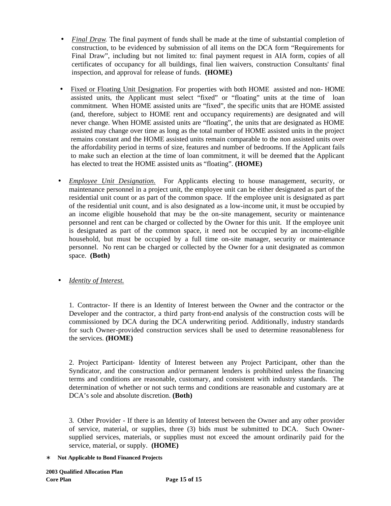- *Final Draw.* The final payment of funds shall be made at the time of substantial completion of construction, to be evidenced by submission of all items on the DCA form "Requirements for Final Draw", including but not limited to: final payment request in AIA form, copies of all certificates of occupancy for all buildings, final lien waivers, construction Consultants' final inspection, and approval for release of funds. **(HOME)**
- Fixed or Floating Unit Designation. For properties with both HOME assisted and non-HOME assisted units, the Applicant must select "fixed" or "floating" units at the time of loan commitment. When HOME assisted units are "fixed", the specific units that are HOME assisted (and, therefore, subject to HOME rent and occupancy requirements) are designated and will never change. When HOME assisted units are "floating", the units that are designated as HOME assisted may change over time as long as the total number of HOME assisted units in the project remains constant and the HOME assisted units remain comparable to the non assisted units over the affordability period in terms of size, features and number of bedrooms. If the Applicant fails to make such an election at the time of loan commitment, it will be deemed that the Applicant has elected to treat the HOME assisted units as "floating". **(HOME)**
- *Employee Unit Designation.* For Applicants electing to house management, security, or maintenance personnel in a project unit, the employee unit can be either designated as part of the residential unit count or as part of the common space. If the employee unit is designated as part of the residential unit count, and is also designated as a low-income unit, it must be occupied by an income eligible household that may be the on-site management, security or maintenance personnel and rent can be charged or collected by the Owner for this unit. If the employee unit is designated as part of the common space, it need not be occupied by an income-eligible household, but must be occupied by a full time on-site manager, security or maintenance personnel. No rent can be charged or collected by the Owner for a unit designated as common space. **(Both)**

## • *Identity of Interest.*

1. Contractor- If there is an Identity of Interest between the Owner and the contractor or the Developer and the contractor, a third party front-end analysis of the construction costs will be commissioned by DCA during the DCA underwriting period. Additionally, industry standards for such Owner-provided construction services shall be used to determine reasonableness for the services. **(HOME)**

2. Project Participant- Identity of Interest between any Project Participant, other than the Syndicator, and the construction and/or permanent lenders is prohibited unless the financing terms and conditions are reasonable, customary, and consistent with industry standards. The determination of whether or not such terms and conditions are reasonable and customary are at DCA's sole and absolute discretion. **(Both)**

3. Other Provider - If there is an Identity of Interest between the Owner and any other provider of service, material, or supplies, three (3) bids must be submitted to DCA. Such Ownersupplied services, materials, or supplies must not exceed the amount ordinarily paid for the service, material, or supply. **(HOME)**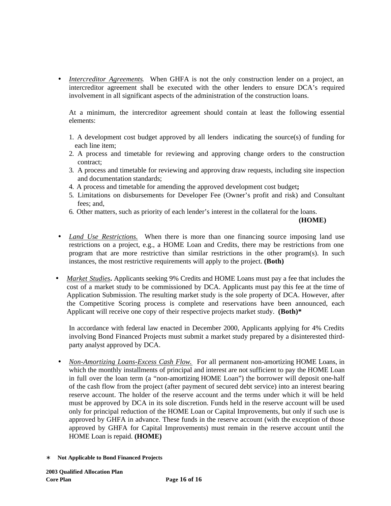• *Intercreditor Agreements.* When GHFA is not the only construction lender on a project, an intercreditor agreement shall be executed with the other lenders to ensure DCA's required involvement in all significant aspects of the administration of the construction loans.

At a minimum, the intercreditor agreement should contain at least the following essential elements:

- 1. A development cost budget approved by all lenders indicating the source(s) of funding for each line item;
- 2. A process and timetable for reviewing and approving change orders to the construction contract;
- 3. A process and timetable for reviewing and approving draw requests, including site inspection and documentation standards;
- 4. A process and timetable for amending the approved development cost budget**;**
- 5. Limitations on disbursements for Developer Fee (Owner's profit and risk) and Consultant fees; and,
- 6. Other matters, such as priority of each lender's interest in the collateral for the loans.

**(HOME)** 

- *Land Use Restrictions.* When there is more than one financing source imposing land use restrictions on a project, e.g., a HOME Loan and Credits, there may be restrictions from one program that are more restrictive than similar restrictions in the other program(s). In such instances, the most restrictive requirements will apply to the project. **(Both)**
- *Market Studies***.** Applicants seeking 9% Credits and HOME Loans must pay a fee that includes the cost of a market study to be commissioned by DCA. Applicants must pay this fee at the time of Application Submission. The resulting market study is the sole property of DCA. However, after the Competitive Scoring process is complete and reservations have been announced, each Applicant will receive one copy of their respective projects market study. **(Both)\***

In accordance with federal law enacted in December 2000, Applicants applying for 4% Credits involving Bond Financed Projects must submit a market study prepared by a disinterested thirdparty analyst approved by DCA.

- *Non-Amortizing Loans-Excess Cash Flow.* For all permanent non-amortizing HOME Loans, in which the monthly installments of principal and interest are not sufficient to pay the HOME Loan in full over the loan term (a "non-amortizing HOME Loan") the borrower will deposit one-half of the cash flow from the project (after payment of secured debt service) into an interest bearing reserve account. The holder of the reserve account and the terms under which it will be held must be approved by DCA in its sole discretion. Funds held in the reserve account will be used only for principal reduction of the HOME Loan or Capital Improvements, but only if such use is approved by GHFA in advance. These funds in the reserve account (with the exception of those approved by GHFA for Capital Improvements) must remain in the reserve account until the HOME Loan is repaid. **(HOME)**
- ∗ **Not Applicable to Bond Financed Projects**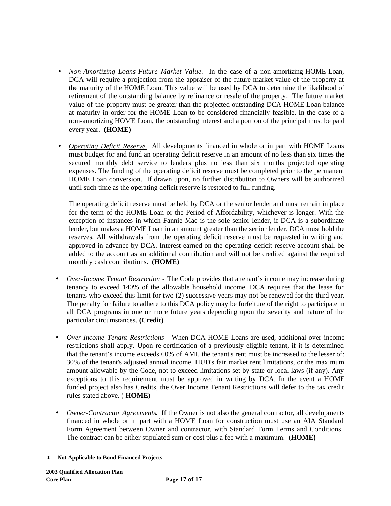- *Non-Amortizing Loans-Future Market Value.* In the case of a non-amortizing HOME Loan, DCA will require a projection from the appraiser of the future market value of the property at the maturity of the HOME Loan. This value will be used by DCA to determine the likelihood of retirement of the outstanding balance by refinance or resale of the property. The future market value of the property must be greater than the projected outstanding DCA HOME Loan balance at maturity in order for the HOME Loan to be considered financially feasible. In the case of a non-amortizing HOME Loan, the outstanding interest and a portion of the principal must be paid every year. **(HOME)**
- *Operating Deficit Reserve.* All developments financed in whole or in part with HOME Loans must budget for and fund an operating deficit reserve in an amount of no less than six times the secured monthly debt service to lenders plus no less than six months projected operating expenses. The funding of the operating deficit reserve must be completed prior to the permanent HOME Loan conversion. If drawn upon, no further distribution to Owners will be authorized until such time as the operating deficit reserve is restored to full funding.

The operating deficit reserve must be held by DCA or the senior lender and must remain in place for the term of the HOME Loan or the Period of Affordability, whichever is longer. With the exception of instances in which Fannie Mae is the sole senior lender, if DCA is a subordinate lender, but makes a HOME Loan in an amount greater than the senior lender, DCA must hold the reserves. All withdrawals from the operating deficit reserve must be requested in writing and approved in advance by DCA. Interest earned on the operating deficit reserve account shall be added to the account as an additional contribution and will not be credited against the required monthly cash contributions. **(HOME)**

- *Over-Income Tenant Restriction -* The Code provides that a tenant's income may increase during tenancy to exceed 140% of the allowable household income. DCA requires that the lease for tenants who exceed this limit for two (2) successive years may not be renewed for the third year. The penalty for failure to adhere to this DCA policy may be forfeiture of the right to participate in all DCA programs in one or more future years depending upon the severity and nature of the particular circumstances. **(Credit)**
- *Over-Income Tenant Restrictions* **-** When DCA HOME Loans are used, additional over-income restrictions shall apply. Upon re-certification of a previously eligible tenant, if it is determined that the tenant's income exceeds 60% of AMI, the tenant's rent must be increased to the lesser of: 30% of the tenant's adjusted annual income, HUD's fair market rent limitations, or the maximum amount allowable by the Code, not to exceed limitations set by state or local laws (if any). Any exceptions to this requirement must be approved in writing by DCA. In the event a HOME funded project also has Credits, the Over Income Tenant Restrictions will defer to the tax credit rules stated above. ( **HOME)**
- *Owner-Contractor Agreements.* If the Owner is not also the general contractor, all developments financed in whole or in part with a HOME Loan for construction must use an AIA Standard Form Agreement between Owner and contractor, with Standard Form Terms and Conditions. The contract can be either stipulated sum or cost plus a fee with a maximum. (**HOME)**
- ∗ **Not Applicable to Bond Financed Projects**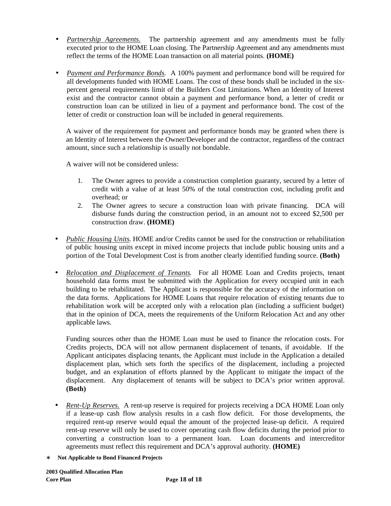- *Partnership Agreements.* The partnership agreement and any amendments must be fully executed prior to the HOME Loan closing. The Partnership Agreement and any amendments must reflect the terms of the HOME Loan transaction on all material points. **(HOME)**
- *Payment and Performance Bonds.*A 100% payment and performance bond will be required for all developments funded with HOME Loans. The cost of these bonds shall be included in the sixpercent general requirements limit of the Builders Cost Limitations. When an Identity of Interest exist and the contractor cannot obtain a payment and performance bond, a letter of credit or construction loan can be utilized in lieu of a payment and performance bond. The cost of the letter of credit or construction loan will be included in general requirements.

A waiver of the requirement for payment and performance bonds may be granted when there is an Identity of Interest between the Owner/Developer and the contractor, regardless of the contract amount, since such a relationship is usually not bondable.

A waiver will not be considered unless:

- 1. The Owner agrees to provide a construction completion guaranty, secured by a letter of credit with a value of at least 50% of the total construction cost, including profit and overhead; or
- 2. The Owner agrees to secure a construction loan with private financing. DCA will disburse funds during the construction period, in an amount not to exceed \$2,500 per construction draw. **(HOME)**
- *Public Housing Units*. HOME and/or Credits cannot be used for the construction or rehabilitation of public housing units except in mixed income projects that include public housing units and a portion of the Total Development Cost is from another clearly identified funding source. **(Both)**
- *Relocation and Displacement of Tenants*. For all HOME Loan and Credits projects, tenant household data forms must be submitted with the Application for every occupied unit in each building to be rehabilitated. The Applicant is responsible for the accuracy of the information on the data forms. Applications for HOME Loans that require relocation of existing tenants due to rehabilitation work will be accepted only with a relocation plan (including a sufficient budget) that in the opinion of DCA, meets the requirements of the Uniform Relocation Act and any other applicable laws.

Funding sources other than the HOME Loan must be used to finance the relocation costs. For Credits projects, DCA will not allow permanent displacement of tenants, if avoidable. If the Applicant anticipates displacing tenants, the Applicant must include in the Application a detailed displacement plan, which sets forth the specifics of the displacement, including a projected budget, and an explanation of efforts planned by the Applicant to mitigate the impact of the displacement. Any displacement of tenants will be subject to DCA's prior written approval. **(Both)**

- *Rent-Up Reserves.* A rent-up reserve is required for projects receiving a DCA HOME Loan only if a lease-up cash flow analysis results in a cash flow deficit. For those developments, the required rent-up reserve would equal the amount of the projected lease-up deficit. A required rent-up reserve will only be used to cover operating cash flow deficits during the period prior to converting a construction loan to a permanent loan. Loan documents and intercreditor agreements must reflect this requirement and DCA's approval authority. **(HOME)**
- ∗ **Not Applicable to Bond Financed Projects**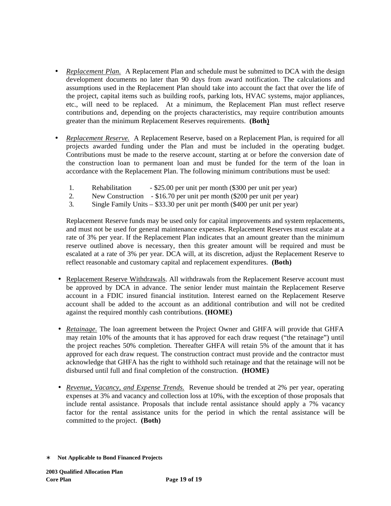- *Replacement Plan.* A Replacement Plan and schedule must be submitted to DCA with the design development documents no later than 90 days from award notification. The calculations and assumptions used in the Replacement Plan should take into account the fact that over the life of the project, capital items such as building roofs, parking lots, HVAC systems, major appliances, etc., will need to be replaced. At a minimum, the Replacement Plan must reflect reserve contributions and, depending on the projects characteristics, may require contribution amounts greater than the minimum Replacement Reserves requirements. **(Both)**
- *Replacement Reserve.* A Replacement Reserve, based on a Replacement Plan, is required for all projects awarded funding under the Plan and must be included in the operating budget. Contributions must be made to the reserve account, starting at or before the conversion date of the construction loan to permanent loan and must be funded for the term of the loan in accordance with the Replacement Plan. The following minimum contributions must be used:
	- 1. Rehabilitation \$25.00 per unit per month (\$300 per unit per year)
	- 2. New Construction \$16.70 per unit per month (\$200 per unit per year)
	- 3. Single Family Units \$33.30 per unit per month (\$400 per unit per year)

Replacement Reserve funds may be used only for capital improvements and system replacements, and must not be used for general maintenance expenses. Replacement Reserves must escalate at a rate of 3% per year. If the Replacement Plan indicates that an amount greater than the minimum reserve outlined above is necessary, then this greater amount will be required and must be escalated at a rate of 3% per year. DCA will, at its discretion, adjust the Replacement Reserve to reflect reasonable and customary capital and replacement expenditures. **(Both)**

- Replacement Reserve Withdrawals. All withdrawals from the Replacement Reserve account must be approved by DCA in advance. The senior lender must maintain the Replacement Reserve account in a FDIC insured financial institution. Interest earned on the Replacement Reserve account shall be added to the account as an additional contribution and will not be credited against the required monthly cash contributions. **(HOME)**
- *Retainage*. The loan agreement between the Project Owner and GHFA will provide that GHFA may retain 10% of the amounts that it has approved for each draw request ("the retainage") until the project reaches 50% completion. Thereafter GHFA will retain 5% of the amount that it has approved for each draw request. The construction contract must provide and the contractor must acknowledge that GHFA has the right to withhold such retainage and that the retainage will not be disbursed until full and final completion of the construction. **(HOME)**
- *Revenue, Vacancy, and Expense Trends.* Revenue should be trended at 2% per year, operating expenses at 3% and vacancy and collection loss at 10%, with the exception of those proposals that include rental assistance. Proposals that include rental assistance should apply a 7% vacancy factor for the rental assistance units for the period in which the rental assistance will be committed to the project. **(Both)**
- ∗ **Not Applicable to Bond Financed Projects**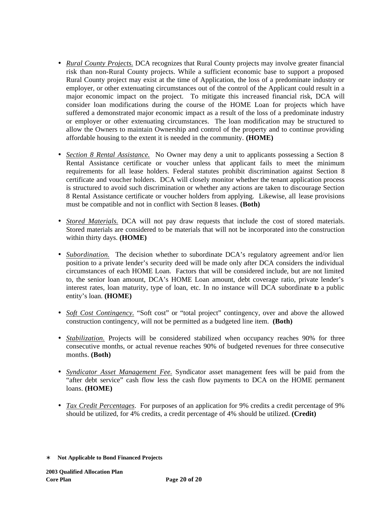- *Rural County Projects*. DCA recognizes that Rural County projects may involve greater financial risk than non-Rural County projects. While a sufficient economic base to support a proposed Rural County project may exist at the time of Application, the loss of a predominate industry or employer, or other extenuating circumstances out of the control of the Applicant could result in a major economic impact on the project. To mitigate this increased financial risk, DCA will consider loan modifications during the course of the HOME Loan for projects which have suffered a demonstrated major economic impact as a result of the loss of a predominate industry or employer or other extenuating circumstances. The loan modification may be structured to allow the Owners to maintain Ownership and control of the property and to continue providing affordable housing to the extent it is needed in the community. **(HOME)**
- *Section 8 Rental Assistance.* No Owner may deny a unit to applicants possessing a Section 8 Rental Assistance certificate or voucher unless that applicant fails to meet the minimum requirements for all lease holders. Federal statutes prohibit discrimination against Section 8 certificate and voucher holders. DCA will closely monitor whether the tenant application process is structured to avoid such discrimination or whether any actions are taken to discourage Section 8 Rental Assistance certificate or voucher holders from applying. Likewise, all lease provisions must be compatible and not in conflict with Section 8 leases. **(Both)**
- *Stored Materials.* DCA will not pay draw requests that include the cost of stored materials. Stored materials are considered to be materials that will not be incorporated into the construction within thirty days. **(HOME)**
- *Subordination*. The decision whether to subordinate DCA's regulatory agreement and/or lien position to a private lender's security deed will be made only after DCA considers the individual circumstances of each HOME Loan. Factors that will be considered include, but are not limited to, the senior loan amount, DCA's HOME Loan amount, debt coverage ratio, private lender's interest rates, loan maturity, type of loan, etc. In no instance will DCA subordinate to a public entity's loan. **(HOME)**
- *Soft Cost Contingency*. "Soft cost" or "total project" contingency, over and above the allowed construction contingency, will not be permitted as a budgeted line item. **(Both)**
- *Stabilization.* Projects will be considered stabilized when occupancy reaches 90% for three consecutive months, or actual revenue reaches 90% of budgeted revenues for three consecutive months. **(Both)**
- *Syndicator Asset Management Fee.* Syndicator asset management fees will be paid from the "after debt service" cash flow less the cash flow payments to DCA on the HOME permanent loans. **(HOME)**
- *Tax Credit Percentages.* For purposes of an application for 9% credits a credit percentage of 9% should be utilized, for 4% credits, a credit percentage of 4% should be utilized. **(Credit)**

<sup>∗</sup> **Not Applicable to Bond Financed Projects**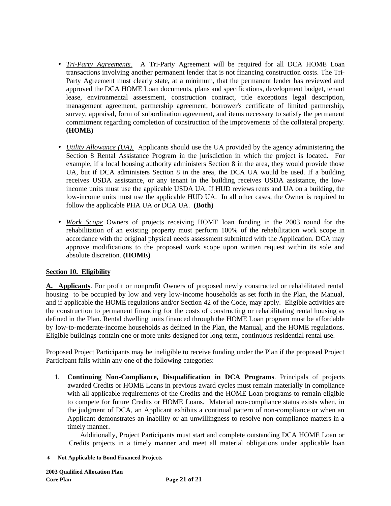- *Tri-Party Agreements.* A Tri-Party Agreement will be required for all DCA HOME Loan transactions involving another permanent lender that is not financing construction costs. The Tri-Party Agreement must clearly state, at a minimum, that the permanent lender has reviewed and approved the DCA HOME Loan documents, plans and specifications, development budget, tenant lease, environmental assessment, construction contract, title exceptions legal description, management agreement, partnership agreement, borrower's certificate of limited partnership, survey, appraisal, form of subordination agreement, and items necessary to satisfy the permanent commitment regarding completion of construction of the improvements of the collateral property. **(HOME)**
- *Utility Allowance (UA).* Applicants should use the UA provided by the agency administering the Section 8 Rental Assistance Program in the jurisdiction in which the project is located. For example, if a local housing authority administers Section 8 in the area, they would provide those UA, but if DCA administers Section 8 in the area, the DCA UA would be used. If a building receives USDA assistance, or any tenant in the building receives USDA assistance, the lowincome units must use the applicable USDA UA. If HUD reviews rents and UA on a building, the low-income units must use the applicable HUD UA. In all other cases, the Owner is required to follow the applicable PHA UA or DCA UA. **(Both)**
- *Work Scope* Owners of projects receiving HOME loan funding in the 2003 round for the rehabilitation of an existing property must perform 100% of the rehabilitation work scope in accordance with the original physical needs assessment submitted with the Application. DCA may approve modifications to the proposed work scope upon written request within its sole and absolute discretion. **(HOME)**

## **Section 10. Eligibility**

**A. Applicants**. For profit or nonprofit Owners of proposed newly constructed or rehabilitated rental housing to be occupied by low and very low-income households as set forth in the Plan, the Manual, and if applicable the HOME regulations and/or Section 42 of the Code, may apply. Eligible activities are the construction to permanent financing for the costs of constructing or rehabilitating rental housing as defined in the Plan. Rental dwelling units financed through the HOME Loan program must be affordable by low-to-moderate-income households as defined in the Plan, the Manual, and the HOME regulations. Eligible buildings contain one or more units designed for long-term, continuous residential rental use.

Proposed Project Participants may be ineligible to receive funding under the Plan if the proposed Project Participant falls within any one of the following categories:

1. **Continuing Non-Compliance, Disqualification in DCA Programs**. Principals of projects awarded Credits or HOME Loans in previous award cycles must remain materially in compliance with all applicable requirements of the Credits and the HOME Loan programs to remain eligible to compete for future Credits or HOME Loans. Material non-compliance status exists when, in the judgment of DCA, an Applicant exhibits a continual pattern of non-compliance or when an Applicant demonstrates an inability or an unwillingness to resolve non-compliance matters in a timely manner.

 Additionally, Project Participants must start and complete outstanding DCA HOME Loan or Credits projects in a timely manner and meet all material obligations under applicable loan

<sup>∗</sup> **Not Applicable to Bond Financed Projects**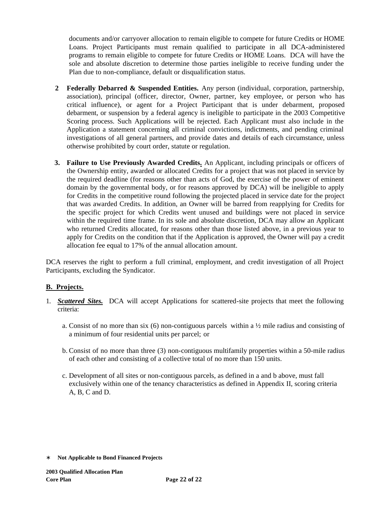documents and/or carryover allocation to remain eligible to compete for future Credits or HOME Loans. Project Participants must remain qualified to participate in all DCA-administered programs to remain eligible to compete for future Credits or HOME Loans. DCA will have the sole and absolute discretion to determine those parties ineligible to receive funding under the Plan due to non-compliance, default or disqualification status.

- **2 Federally Debarred & Suspended Entities.** Any person (individual, corporation, partnership, association), principal (officer, director, Owner, partner, key employee, or person who has critical influence), or agent for a Project Participant that is under debarment, proposed debarment, or suspension by a federal agency is ineligible to participate in the 2003 Competitive Scoring process. Such Applications will be rejected. Each Applicant must also include in the Application a statement concerning all criminal convictions, indictments, and pending criminal investigations of all general partners, and provide dates and details of each circumstance, unless otherwise prohibited by court order, statute or regulation.
- **3. Failure to Use Previously Awarded Credits.** An Applicant, including principals or officers of the Ownership entity, awarded or allocated Credits for a project that was not placed in service by the required deadline (for reasons other than acts of God, the exercise of the power of eminent domain by the governmental body, or for reasons approved by DCA) will be ineligible to apply for Credits in the competitive round following the projected placed in service date for the project that was awarded Credits. In addition, an Owner will be barred from reapplying for Credits for the specific project for which Credits went unused and buildings were not placed in service within the required time frame. In its sole and absolute discretion, DCA may allow an Applicant who returned Credits allocated, for reasons other than those listed above, in a previous year to apply for Credits on the condition that if the Application is approved, the Owner will pay a credit allocation fee equal to 17% of the annual allocation amount.

DCA reserves the right to perform a full criminal, employment, and credit investigation of all Project Participants, excluding the Syndicator.

## **B. Projects.**

- 1. *Scattered Sites.*DCA will accept Applications for scattered-site projects that meet the following criteria:
	- a. Consist of no more than six (6) non-contiguous parcels within a  $\frac{1}{2}$  mile radius and consisting of a minimum of four residential units per parcel; or
	- b. Consist of no more than three (3) non-contiguous multifamily properties within a 50-mile radius of each other and consisting of a collective total of no more than 150 units.
	- c. Development of all sites or non-contiguous parcels, as defined in a and b above, must fall exclusively within one of the tenancy characteristics as defined in Appendix II, scoring criteria A, B, C and D.

<sup>∗</sup> **Not Applicable to Bond Financed Projects**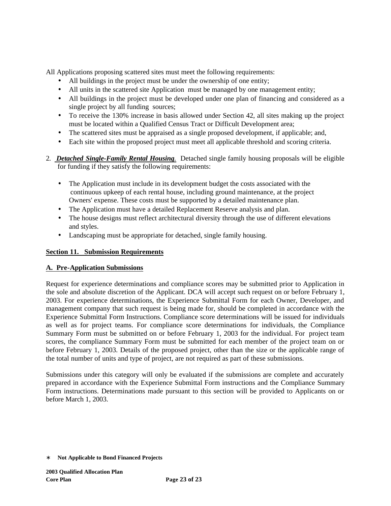All Applications proposing scattered sites must meet the following requirements:

- All buildings in the project must be under the ownership of one entity;
- All units in the scattered site Application must be managed by one management entity;
- All buildings in the project must be developed under one plan of financing and considered as a single project by all funding sources;
- To receive the 130% increase in basis allowed under Section 42, all sites making up the project must be located within a Qualified Census Tract or Difficult Development area;
- The scattered sites must be appraised as a single proposed development, if applicable; and,
- Each site within the proposed project must meet all applicable threshold and scoring criteria.
- 2. *Detached Single-Family Rental Housing.* Detached single family housing proposals will be eligible for funding if they satisfy the following requirements:
	- The Application must include in its development budget the costs associated with the continuous upkeep of each rental house, including ground maintenance, at the project Owners' expense. These costs must be supported by a detailed maintenance plan.
	- The Application must have a detailed Replacement Reserve analysis and plan.
	- The house designs must reflect architectural diversity through the use of different elevations and styles.
	- Landscaping must be appropriate for detached, single family housing.

## **Section 11. Submission Requirements**

## **A. Pre-Application Submissions**

Request for experience determinations and compliance scores may be submitted prior to Application in the sole and absolute discretion of the Applicant. DCA will accept such request on or before February 1, 2003. For experience determinations, the Experience Submittal Form for each Owner, Developer, and management company that such request is being made for, should be completed in accordance with the Experience Submittal Form Instructions. Compliance score determinations will be issued for individuals as well as for project teams. For compliance score determinations for individuals, the Compliance Summary Form must be submitted on or before February 1, 2003 for the individual. For project team scores, the compliance Summary Form must be submitted for each member of the project team on or before February 1, 2003. Details of the proposed project, other than the size or the applicable range of the total number of units and type of project, are not required as part of these submissions.

Submissions under this category will only be evaluated if the submissions are complete and accurately prepared in accordance with the Experience Submittal Form instructions and the Compliance Summary Form instructions. Determinations made pursuant to this section will be provided to Applicants on or before March 1, 2003.

<sup>∗</sup> **Not Applicable to Bond Financed Projects**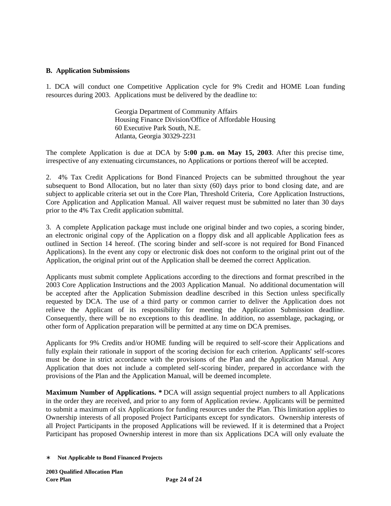### **B. Application Submissions**

1. DCA will conduct one Competitive Application cycle for 9% Credit and HOME Loan funding resources during 2003. Applications must be delivered by the deadline to:

> Georgia Department of Community Affairs Housing Finance Division/Office of Affordable Housing 60 Executive Park South, N.E. Atlanta, Georgia 30329-2231

The complete Application is due at DCA by **5:00 p.m. on May 15, 2003**. After this precise time, irrespective of any extenuating circumstances, no Applications or portions thereof will be accepted.

2. 4% Tax Credit Applications for Bond Financed Projects can be submitted throughout the year subsequent to Bond Allocation, but no later than sixty (60) days prior to bond closing date, and are subject to applicable criteria set out in the Core Plan, Threshold Criteria, Core Application Instructions, Core Application and Application Manual. All waiver request must be submitted no later than 30 days prior to the 4% Tax Credit application submittal.

3. A complete Application package must include one original binder and two copies, a scoring binder, an electronic original copy of the Application on a floppy disk and all applicable Application fees as outlined in Section 14 hereof. (The scoring binder and self-score is not required for Bond Financed Applications). In the event any copy or electronic disk does not conform to the original print out of the Application, the original print out of the Application shall be deemed the correct Application.

Applicants must submit complete Applications according to the directions and format prescribed in the 2003 Core Application Instructions and the 2003 Application Manual.No additional documentation will be accepted after the Application Submission deadline described in this Section unless specifically requested by DCA. The use of a third party or common carrier to deliver the Application does not relieve the Applicant of its responsibility for meeting the Application Submission deadline. Consequently, there will be no exceptions to this deadline. In addition, no assemblage, packaging, or other form of Application preparation will be permitted at any time on DCA premises.

Applicants for 9% Credits and/or HOME funding will be required to self-score their Applications and fully explain their rationale in support of the scoring decision for each criterion. Applicants' self-scores must be done in strict accordance with the provisions of the Plan and the Application Manual. Any Application that does not include a completed self-scoring binder, prepared in accordance with the provisions of the Plan and the Application Manual, will be deemed incomplete.

**Maximum Number of Applications. \*** DCA will assign sequential project numbers to all Applications in the order they are received, and prior to any form of Application review. Applicants will be permitted to submit a maximum of six Applications for funding resources under the Plan. This limitation applies to Ownership interests of all proposed Project Participants except for syndicators. Ownership interests of all Project Participants in the proposed Applications will be reviewed. If it is determined that a Project Participant has proposed Ownership interest in more than six Applications DCA will only evaluate the

<sup>∗</sup> **Not Applicable to Bond Financed Projects**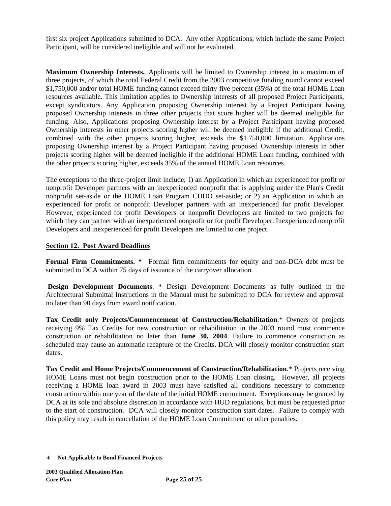first six project Applications submitted to DCA. Any other Applications, which include the same Project Participant, will be considered ineligible and will not be evaluated.

**Maximum Ownership Interests.** Applicants will be limited to Ownership interest in a maximum of three projects, of which the total Federal Credit from the 2003 competitive funding round cannot exceed \$1,750,000 and/or total HOME funding cannot exceed thirty five percent (35%) of the total HOME Loan resources available. This limitation applies to Ownership interests of all proposed Project Participants, except syndicators. Any Application proposing Ownership interest by a Project Participant having proposed Ownership interests in three other projects that score higher will be deemed ineligible for funding. Also, Applications proposing Ownership interest by a Project Participant having proposed Ownership interests in other projects scoring higher will be deemed ineligible if the additional Credit, combined with the other projects scoring higher, exceeds the \$1,750,000 limitation. Applications proposing Ownership interest by a Project Participant having proposed Ownership interests in other projects scoring higher will be deemed ineligible if the additional HOME Loan funding, combined with the other projects scoring higher, exceeds 35% of the annual HOME Loan resources.

The exceptions to the three-project limit include; 1) an Application in which an experienced for profit or nonprofit Developer partners with an inexperienced nonprofit that is applying under the Plan's Credit nonprofit set-aside or the HOME Loan Program CHDO set-aside; or 2) an Application in which an experienced for profit or nonprofit Developer partners with an inexperienced for profit Developer. However, experienced for profit Developers or nonprofit Developers are limited to two projects for which they can partner with an inexperienced nonprofit or for profit Developer. Inexperienced nonprofit Developers and inexperienced for profit Developers are limited to one project.

### **Section 12. Post Award Deadlines**

**Formal Firm Commitments. \*** Formal firm commitments for equity and non-DCA debt must be submitted to DCA within 75 days of issuance of the carryover allocation.

 **Design Development Documents**. \* Design Development Documents as fully outlined in the Architectural Submittal Instructions in the Manual must be submitted to DCA for review and approval no later than 90 days from award notification.

**Tax Credit only Projects/Commencement of Construction/Rehabilitation**.\* Owners of projects receiving 9% Tax Credits for new construction or rehabilitation in the 2003 round must commence construction or rehabilitation no later than **June 30, 2004**. Failure to commence construction as scheduled may cause an automatic recapture of the Credits. DCA will closely monitor construction start dates.

**Tax Credit and Home Projects/Commencement of Construction/Rehabilitation**.\* Projects receiving HOME Loans must not begin construction prior to the HOME Loan closing. However, all projects receiving a HOME loan award in 2003 must have satisfied all conditions necessary to commence construction within one year of the date of the initial HOME commitment. Exceptions may be granted by DCA at its sole and absolute discretion in accordance with HUD regulations, but must be requested prior to the start of construction. DCA will closely monitor construction start dates. Failure to comply with this policy may result in cancellation of the HOME Loan Commitment or other penalties.

<sup>∗</sup> **Not Applicable to Bond Financed Projects**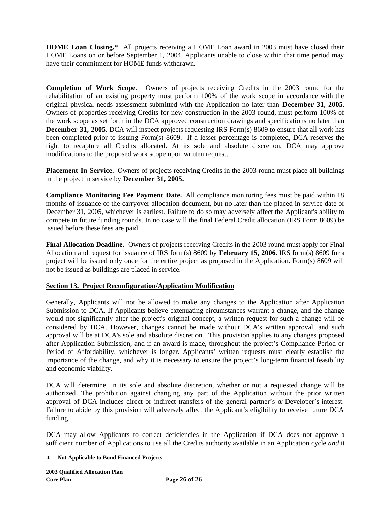**HOME Loan Closing.\*** All projects receiving a HOME Loan award in 2003 must have closed their HOME Loans on or before September 1, 2004. Applicants unable to close within that time period may have their commitment for HOME funds withdrawn.

**Completion of Work Scope**. Owners of projects receiving Credits in the 2003 round for the rehabilitation of an existing property must perform 100% of the work scope in accordance with the original physical needs assessment submitted with the Application no later than **December 31, 2005**. Owners of properties receiving Credits for new construction in the 2003 round, must perform 100% of the work scope as set forth in the DCA approved construction drawings and specifications no later than **December 31, 2005**. DCA will inspect projects requesting IRS Form(s) 8609 to ensure that all work has been completed prior to issuing Form(s) 8609. If a lesser percentage is completed, DCA reserves the right to recapture all Credits allocated. At its sole and absolute discretion, DCA may approve modifications to the proposed work scope upon written request.

**Placement-In-Service.** Owners of projects receiving Credits in the 2003 round must place all buildings in the project in service by **December 31, 2005.**

**Compliance Monitoring Fee Payment Date.** All compliance monitoring fees must be paid within 18 months of issuance of the carryover allocation document, but no later than the placed in service date or December 31, 2005, whichever is earliest. Failure to do so may adversely affect the Applicant's ability to compete in future funding rounds. In no case will the final Federal Credit allocation (IRS Form 8609) be issued before these fees are paid.

**Final Allocation Deadline.** Owners of projects receiving Credits in the 2003 round must apply for Final Allocation and request for issuance of IRS form(s) 8609 by **February 15, 2006**. IRS form(s) 8609 for a project will be issued only once for the entire project as proposed in the Application. Form(s) 8609 will not be issued as buildings are placed in service.

## **Section 13. Project Reconfiguration/Application Modification**

Generally, Applicants will not be allowed to make any changes to the Application after Application Submission to DCA. If Applicants believe extenuating circumstances warrant a change, and the change would not significantly alter the project's original concept, a written request for such a change will be considered by DCA. However, changes cannot be made without DCA's written approval, and such approval will be at DCA's sole and absolute discretion. This provision applies to any changes proposed after Application Submission, and if an award is made, throughout the project's Compliance Period or Period of Affordability, whichever is longer. Applicants' written requests must clearly establish the importance of the change, and why it is necessary to ensure the project's long-term financial feasibility and economic viability.

DCA will determine, in its sole and absolute discretion, whether or not a requested change will be authorized. The prohibition against changing any part of the Application without the prior written approval of DCA includes direct or indirect transfers of the general partner's or Developer's interest. Failure to abide by this provision will adversely affect the Applicant's eligibility to receive future DCA funding.

DCA may allow Applicants to correct deficiencies in the Application if DCA does not approve a sufficient number of Applications to use all the Credits authority available in an Application cycle *and* it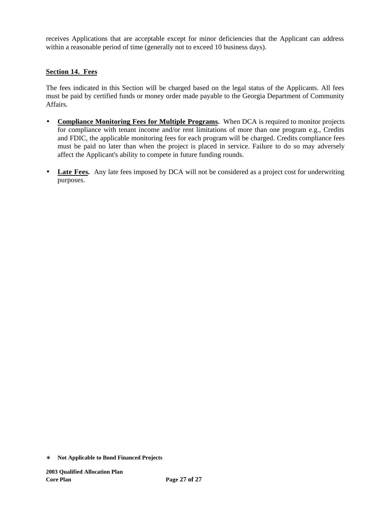receives Applications that are acceptable except for minor deficiencies that the Applicant can address within a reasonable period of time (generally not to exceed 10 business days).

### **Section 14. Fees**

The fees indicated in this Section will be charged based on the legal status of the Applicants. All fees must be paid by certified funds or money order made payable to the Georgia Department of Community Affairs.

- **Compliance Monitoring Fees for Multiple Programs.** When DCA is required to monitor projects for compliance with tenant income and/or rent limitations of more than one program e.g., Credits and FDIC, the applicable monitoring fees for each program will be charged. Credits compliance fees must be paid no later than when the project is placed in service. Failure to do so may adversely affect the Applicant's ability to compete in future funding rounds.
- Late Fees. Any late fees imposed by DCA will not be considered as a project cost for underwriting purposes.

<sup>∗</sup> **Not Applicable to Bond Financed Projects**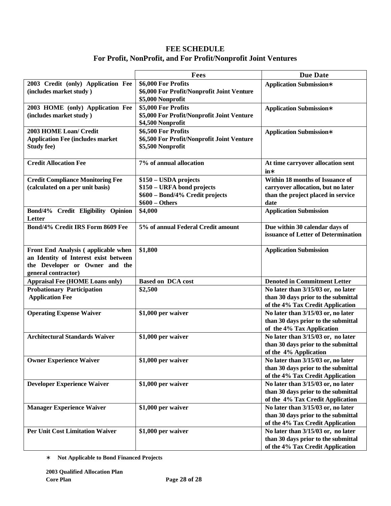# **FEE SCHEDULE For Profit, NonProfit, and For Profit/Nonprofit Joint Ventures**

|                                         | Fees                                       | <b>Due Date</b>                     |
|-----------------------------------------|--------------------------------------------|-------------------------------------|
| 2003 Credit (only) Application Fee      | \$6,000 For Profits                        | <b>Application Submission*</b>      |
| (includes market study)                 | \$6,000 For Profit/Nonprofit Joint Venture |                                     |
|                                         | \$5,000 Nonprofit                          |                                     |
| 2003 HOME (only) Application Fee        | \$5,000 For Profits                        | <b>Application Submission*</b>      |
| (includes market study)                 | \$5,000 For Profit/Nonprofit Joint Venture |                                     |
|                                         | \$4,500 Nonprofit                          |                                     |
| 2003 HOME Loan/ Credit                  | \$6,500 For Profits                        | <b>Application Submission*</b>      |
| <b>Application Fee (includes market</b> | \$6,500 For Profit/Nonprofit Joint Venture |                                     |
| <b>Study fee)</b>                       | \$5,500 Nonprofit                          |                                     |
|                                         |                                            |                                     |
| <b>Credit Allocation Fee</b>            | 7% of annual allocation                    | At time carryover allocation sent   |
|                                         |                                            | $in*$                               |
| <b>Credit Compliance Monitoring Fee</b> | \$150 - USDA projects                      | Within 18 months of Issuance of     |
| (calculated on a per unit basis)        | \$150 - URFA bond projects                 | carryover allocation, but no later  |
|                                         | \$600 - Bond/4% Credit projects            | than the project placed in service  |
|                                         | $$600 - Others$                            | date                                |
|                                         |                                            |                                     |
| Bond/4% Credit Eligibility Opinion      | \$4,000                                    | <b>Application Submission</b>       |
| Letter                                  |                                            |                                     |
| Bond/4% Credit IRS Form 8609 Fee        | 5% of annual Federal Credit amount         | Due within 30 calendar days of      |
|                                         |                                            | issuance of Letter of Determination |
|                                         |                                            |                                     |
| Front End Analysis (applicable when     | \$1,800                                    | <b>Application Submission</b>       |
| an Identity of Interest exist between   |                                            |                                     |
| the Developer or Owner and the          |                                            |                                     |
| general contractor)                     |                                            |                                     |
| <b>Appraisal Fee (HOME Loans only)</b>  | <b>Based on DCA cost</b>                   | <b>Denoted in Commitment Letter</b> |
| <b>Probationary Participation</b>       | \$2,500                                    | No later than 3/15/03 or, no later  |
| <b>Application Fee</b>                  |                                            | than 30 days prior to the submittal |
|                                         |                                            | of the 4% Tax Credit Application    |
| <b>Operating Expense Waiver</b>         | \$1,000 per waiver                         | No later than 3/15/03 or, no later  |
|                                         |                                            | than 30 days prior to the submittal |
|                                         |                                            | of the 4% Tax Application           |
| <b>Architectural Standards Waiver</b>   | \$1,000 per waiver                         | No later than 3/15/03 or, no later  |
|                                         |                                            | than 30 days prior to the submittal |
|                                         |                                            | of the 4% Application               |
| <b>Owner Experience Waiver</b>          | \$1,000 per waiver                         | No later than 3/15/03 or, no later  |
|                                         |                                            | than 30 days prior to the submittal |
|                                         |                                            | of the 4% Tax Credit Application    |
| <b>Developer Experience Waiver</b>      | \$1,000 per waiver                         | No later than 3/15/03 or, no later  |
|                                         |                                            | than 30 days prior to the submittal |
|                                         |                                            | of the 4% Tax Credit Application    |
| <b>Manager Experience Waiver</b>        | \$1,000 per waiver                         | No later than 3/15/03 or, no later  |
|                                         |                                            | than 30 days prior to the submittal |
|                                         |                                            | of the 4% Tax Credit Application    |
| <b>Per Unit Cost Limitation Waiver</b>  | \$1,000 per waiver                         | No later than 3/15/03 or, no later  |
|                                         |                                            | than 30 days prior to the submittal |
|                                         |                                            |                                     |
|                                         |                                            | of the 4% Tax Credit Application    |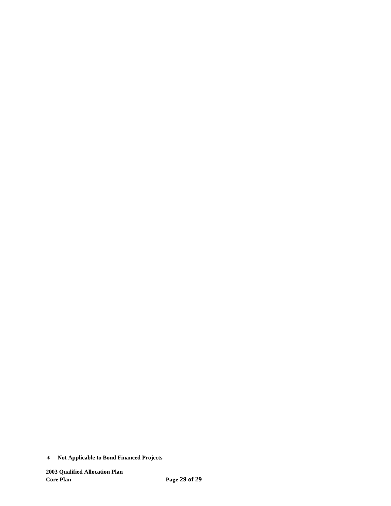<sup>∗</sup> **Not Applicable to Bond Financed Projects**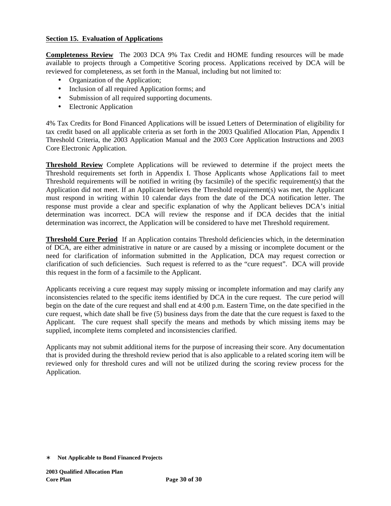### **Section 15. Evaluation of Applications**

**Completeness Review** The 2003 DCA 9% Tax Credit and HOME funding resources will be made available to projects through a Competitive Scoring process. Applications received by DCA will be reviewed for completeness, as set forth in the Manual, including but not limited to:

- Organization of the Application;
- Inclusion of all required Application forms; and
- Submission of all required supporting documents.
- Electronic Application

4% Tax Credits for Bond Financed Applications will be issued Letters of Determination of eligibility for tax credit based on all applicable criteria as set forth in the 2003 Qualified Allocation Plan, Appendix I Threshold Criteria, the 2003 Application Manual and the 2003 Core Application Instructions and 2003 Core Electronic Application.

**Threshold Review** Complete Applications will be reviewed to determine if the project meets the Threshold requirements set forth in Appendix I. Those Applicants whose Applications fail to meet Threshold requirements will be notified in writing (by facsimile) of the specific requirement(s) that the Application did not meet. If an Applicant believes the Threshold requirement(s) was met, the Applicant must respond in writing within 10 calendar days from the date of the DCA notification letter. The response must provide a clear and specific explanation of why the Applicant believes DCA's initial determination was incorrect. DCA will review the response and if DCA decides that the initial determination was incorrect, the Application will be considered to have met Threshold requirement.

**Threshold Cure Period** If an Application contains Threshold deficiencies which, in the determination of DCA, are either administrative in nature or are caused by a missing or incomplete document or the need for clarification of information submitted in the Application, DCA may request correction or clarification of such deficiencies. Such request is referred to as the "cure request". DCA will provide this request in the form of a facsimile to the Applicant.

Applicants receiving a cure request may supply missing or incomplete information and may clarify any inconsistencies related to the specific items identified by DCA in the cure request. The cure period will begin on the date of the cure request and shall end at 4:00 p.m. Eastern Time, on the date specified in the cure request, which date shall be five (5) business days from the date that the cure request is faxed to the Applicant. The cure request shall specify the means and methods by which missing items may be supplied, incomplete items completed and inconsistencies clarified.

Applicants may not submit additional items for the purpose of increasing their score. Any documentation that is provided during the threshold review period that is also applicable to a related scoring item will be reviewed only for threshold cures and will not be utilized during the scoring review process for the Application.

<sup>∗</sup> **Not Applicable to Bond Financed Projects**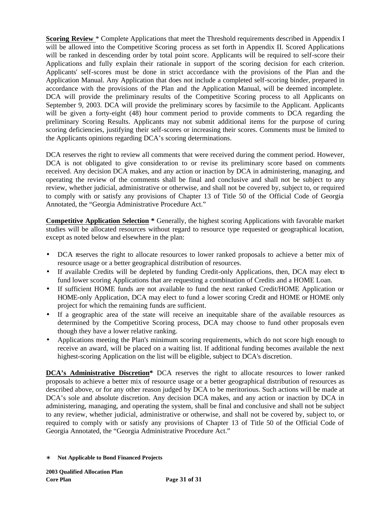**Scoring Review** \* Complete Applications that meet the Threshold requirements described in Appendix I will be allowed into the Competitive Scoring process as set forth in Appendix II. Scored Applications will be ranked in descending order by total point score. Applicants will be required to self-score their Applications and fully explain their rationale in support of the scoring decision for each criterion. Applicants' self-scores must be done in strict accordance with the provisions of the Plan and the Application Manual. Any Application that does not include a completed self-scoring binder, prepared in accordance with the provisions of the Plan and the Application Manual, will be deemed incomplete. DCA will provide the preliminary results of the Competitive Scoring process to all Applicants on September 9, 2003. DCA will provide the preliminary scores by facsimile to the Applicant. Applicants will be given a forty-eight (48) hour comment period to provide comments to DCA regarding the preliminary Scoring Results. Applicants may not submit additional items for the purpose of curing scoring deficiencies, justifying their self-scores or increasing their scores. Comments must be limited to the Applicants opinions regarding DCA's scoring determinations.

DCA reserves the right to review all comments that were received during the comment period. However, DCA is not obligated to give consideration to or revise its preliminary score based on comments received. Any decision DCA makes, and any action or inaction by DCA in administering, managing, and operating the review of the comments shall be final and conclusive and shall not be subject to any review, whether judicial, administrative or otherwise, and shall not be covered by, subject to, or required to comply with or satisfy any provisions of Chapter 13 of Title 50 of the Official Code of Georgia Annotated, the "Georgia Administrative Procedure Act."

**Competitive Application Selection \*** Generally, the highest scoring Applications with favorable market studies will be allocated resources without regard to resource type requested or geographical location, except as noted below and elsewhere in the plan:

- DCA reserves the right to allocate resources to lower ranked proposals to achieve a better mix of resource usage or a better geographical distribution of resources.
- If available Credits will be depleted by funding Credit-only Applications, then, DCA may elect to fund lower scoring Applications that are requesting a combination of Credits and a HOME Loan.
- If sufficient HOME funds are not available to fund the next ranked Credit/HOME Application or HOME-only Application, DCA may elect to fund a lower scoring Credit and HOME or HOME only project for which the remaining funds are sufficient.
- If a geographic area of the state will receive an inequitable share of the available resources as determined by the Competitive Scoring process, DCA may choose to fund other proposals even though they have a lower relative ranking.
- Applications meeting the Plan's minimum scoring requirements, which do not score high enough to receive an award, will be placed on a waiting list. If additional funding becomes available the next highest-scoring Application on the list will be eligible, subject to DCA's discretion.

**DCA's Administrative Discretion\*** DCA reserves the right to allocate resources to lower ranked proposals to achieve a better mix of resource usage or a better geographical distribution of resources as described above, or for any other reason judged by DCA to be meritorious. Such actions will be made at DCA's sole and absolute discretion. Any decision DCA makes, and any action or inaction by DCA in administering, managing, and operating the system, shall be final and conclusive and shall not be subject to any review, whether judicial, administrative or otherwise, and shall not be covered by, subject to, or required to comply with or satisfy any provisions of Chapter 13 of Title 50 of the Official Code of Georgia Annotated, the "Georgia Administrative Procedure Act."

<sup>∗</sup> **Not Applicable to Bond Financed Projects**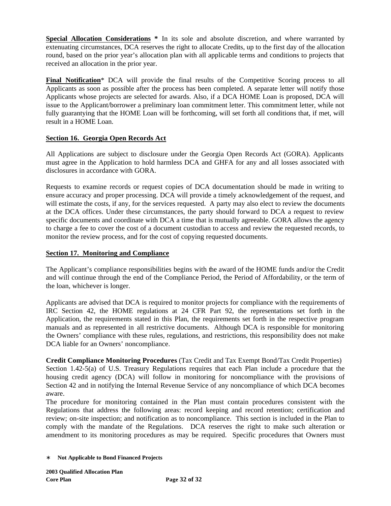**Special Allocation Considerations \*** In its sole and absolute discretion, and where warranted by extenuating circumstances, DCA reserves the right to allocate Credits, up to the first day of the allocation round, based on the prior year's allocation plan with all applicable terms and conditions to projects that received an allocation in the prior year.

**Final Notification**\* DCA will provide the final results of the Competitive Scoring process to all Applicants as soon as possible after the process has been completed. A separate letter will notify those Applicants whose projects are selected for awards. Also, if a DCA HOME Loan is proposed, DCA will issue to the Applicant/borrower a preliminary loan commitment letter. This commitment letter, while not fully guarantying that the HOME Loan will be forthcoming, will set forth all conditions that, if met, will result in a HOME Loan.

## **Section 16. Georgia Open Records Act**

All Applications are subject to disclosure under the Georgia Open Records Act (GORA). Applicants must agree in the Application to hold harmless DCA and GHFA for any and all losses associated with disclosures in accordance with GORA.

Requests to examine records or request copies of DCA documentation should be made in writing to ensure accuracy and proper processing. DCA will provide a timely acknowledgement of the request, and will estimate the costs, if any, for the services requested. A party may also elect to review the documents at the DCA offices. Under these circumstances, the party should forward to DCA a request to review specific documents and coordinate with DCA a time that is mutually agreeable. GORA allows the agency to charge a fee to cover the cost of a document custodian to access and review the requested records, to monitor the review process, and for the cost of copying requested documents.

### **Section 17. Monitoring and Compliance**

The Applicant's compliance responsibilities begins with the award of the HOME funds and/or the Credit and will continue through the end of the Compliance Period, the Period of Affordability, or the term of the loan, whichever is longer.

Applicants are advised that DCA is required to monitor projects for compliance with the requirements of IRC Section 42, the HOME regulations at 24 CFR Part 92, the representations set forth in the Application, the requirements stated in this Plan, the requirements set forth in the respective program manuals and as represented in all restrictive documents. Although DCA is responsible for monitoring the Owners' compliance with these rules, regulations, and restrictions, this responsibility does not make DCA liable for an Owners' noncompliance.

**Credit Compliance Monitoring Procedures** (Tax Credit and Tax Exempt Bond/Tax Credit Properties) Section 1.42-5(a) of U.S. Treasury Regulations requires that each Plan include a procedure that the housing credit agency (DCA) will follow in monitoring for noncompliance with the provisions of Section 42 and in notifying the Internal Revenue Service of any noncompliance of which DCA becomes aware.

The procedure for monitoring contained in the Plan must contain procedures consistent with the Regulations that address the following areas: record keeping and record retention; certification and review; on-site inspection; and notification as to noncompliance. This section is included in the Plan to comply with the mandate of the Regulations. DCA reserves the right to make such alteration or amendment to its monitoring procedures as may be required. Specific procedures that Owners must

<sup>∗</sup> **Not Applicable to Bond Financed Projects**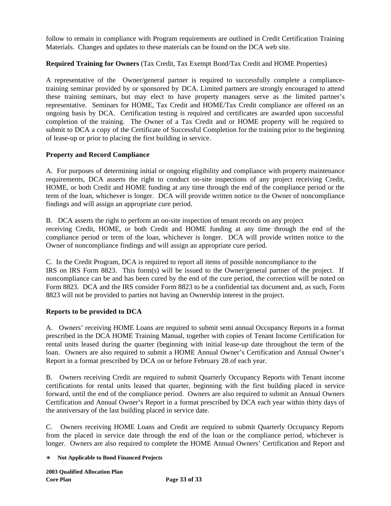follow to remain in compliance with Program requirements are outlined in Credit Certification Training Materials. Changes and updates to these materials can be found on the DCA web site.

## **Required Training for Owners** (Tax Credit, Tax Exempt Bond/Tax Credit and HOME Properties)

A representative of the Owner/general partner is required to successfully complete a compliancetraining seminar provided by or sponsored by DCA. Limited partners are strongly encouraged to attend these training seminars, but may elect to have property managers serve as the limited partner's representative. Seminars for HOME, Tax Credit and HOME/Tax Credit compliance are offered on an ongoing basis by DCA. Certification testing is required and certificates are awarded upon successful completion of the training. The Owner of a Tax Credit and or HOME property will be required to submit to DCA a copy of the Certificate of Successful Completion for the training prior to the beginning of lease-up or prior to placing the first building in service.

## **Property and Record Compliance**

A. For purposes of determining initial or ongoing eligibility and compliance with property maintenance requirements, DCA asserts the right to conduct on-site inspections of any project receiving Credit, HOME, or both Credit and HOME funding at any time through the end of the compliance period or the term of the loan, whichever is longer. DCA will provide written notice to the Owner of noncompliance findings and will assign an appropriate cure period.

B. DCA asserts the right to perform an on-site inspection of tenant records on any project receiving Credit, HOME, or both Credit and HOME funding at any time through the end of the compliance period or term of the loan, whichever is longer. DCA will provide written notice to the Owner of noncompliance findings and will assign an appropriate cure period.

C. In the Credit Program, DCA is required to report all items of possible noncompliance to the IRS on IRS Form 8823. This form(s) will be issued to the Owner/general partner of the project. If noncompliance can be and has been cured by the end of the cure period, the correction will be noted on Form 8823. DCA and the IRS consider Form 8823 to be a confidential tax document and, as such, Form 8823 will not be provided to parties not having an Ownership interest in the project.

## **Reports to be provided to DCA**

A. Owners' receiving HOME Loans are required to submit semi annual Occupancy Reports in a format prescribed in the DCA HOME Training Manual, together with copies of Tenant Income Certification for rental units leased during the quarter (beginning with initial lease-up date throughout the term of the loan. Owners are also required to submit a HOME Annual Owner's Certification and Annual Owner's Report in a format prescribed by DCA on or before February 28 of each year.

B. Owners receiving Credit are required to submit Quarterly Occupancy Reports with Tenant income certifications for rental units leased that quarter, beginning with the first building placed in service forward, until the end of the compliance period. Owners are also required to submit an Annual Owners Certification and Annual Owner's Report in a format prescribed by DCA each year within thirty days of the anniversary of the last building placed in service date.

C. Owners receiving HOME Loans and Credit are required to submit Quarterly Occupancy Reports from the placed in service date through the end of the loan or the compliance period, whichever is longer. Owners are also required to complete the HOME Annual Owners' Certification and Report and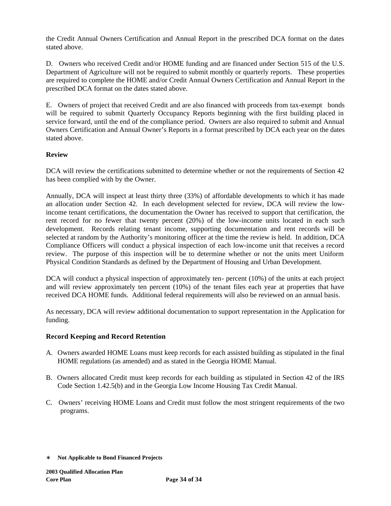the Credit Annual Owners Certification and Annual Report in the prescribed DCA format on the dates stated above.

D. Owners who received Credit and/or HOME funding and are financed under Section 515 of the U.S. Department of Agriculture will not be required to submit monthly or quarterly reports. These properties are required to complete the HOME and/or Credit Annual Owners Certification and Annual Report in the prescribed DCA format on the dates stated above.

E. Owners of project that received Credit and are also financed with proceeds from tax-exempt bonds will be required to submit Quarterly Occupancy Reports beginning with the first building placed in service forward, until the end of the compliance period. Owners are also required to submit and Annual Owners Certification and Annual Owner's Reports in a format prescribed by DCA each year on the dates stated above.

## **Review**

DCA will review the certifications submitted to determine whether or not the requirements of Section 42 has been complied with by the Owner.

Annually, DCA will inspect at least thirty three (33%) of affordable developments to which it has made an allocation under Section 42. In each development selected for review, DCA will review the lowincome tenant certifications, the documentation the Owner has received to support that certification, the rent record for no fewer that twenty percent (20%) of the low-income units located in each such development. Records relating tenant income, supporting documentation and rent records will be selected at random by the Authority's monitoring officer at the time the review is held. In addition, DCA Compliance Officers will conduct a physical inspection of each low-income unit that receives a record review. The purpose of this inspection will be to determine whether or not the units meet Uniform Physical Condition Standards as defined by the Department of Housing and Urban Development.

DCA will conduct a physical inspection of approximately ten- percent (10%) of the units at each project and will review approximately ten percent (10%) of the tenant files each year at properties that have received DCA HOME funds. Additional federal requirements will also be reviewed on an annual basis.

As necessary, DCA will review additional documentation to support representation in the Application for funding.

#### **Record Keeping and Record Retention**

- A. Owners awarded HOME Loans must keep records for each assisted building as stipulated in the final HOME regulations (as amended) and as stated in the Georgia HOME Manual.
- B. Owners allocated Credit must keep records for each building as stipulated in Section 42 of the IRS Code Section 1.42.5(b) and in the Georgia Low Income Housing Tax Credit Manual.
- C. Owners' receiving HOME Loans and Credit must follow the most stringent requirements of the two programs.

<sup>∗</sup> **Not Applicable to Bond Financed Projects**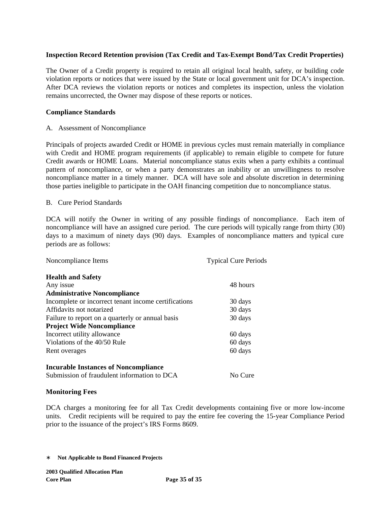### **Inspection Record Retention provision (Tax Credit and Tax-Exempt Bond/Tax Credit Properties)**

The Owner of a Credit property is required to retain all original local health, safety, or building code violation reports or notices that were issued by the State or local government unit for DCA's inspection. After DCA reviews the violation reports or notices and completes its inspection, unless the violation remains uncorrected, the Owner may dispose of these reports or notices.

#### **Compliance Standards**

A. Assessment of Noncompliance

Principals of projects awarded Credit or HOME in previous cycles must remain materially in compliance with Credit and HOME program requirements (if applicable) to remain eligible to compete for future Credit awards or HOME Loans. Material noncompliance status exits when a party exhibits a continual pattern of noncompliance, or when a party demonstrates an inability or an unwillingness to resolve noncompliance matter in a timely manner. DCA will have sole and absolute discretion in determining those parties ineligible to participate in the OAH financing competition due to noncompliance status.

#### B. Cure Period Standards

DCA will notify the Owner in writing of any possible findings of noncompliance. Each item of noncompliance will have an assigned cure period. The cure periods will typically range from thirty (30) days to a maximum of ninety days (90) days. Examples of noncompliance matters and typical cure periods are as follows:

| Noncompliance Items                                  | <b>Typical Cure Periods</b> |
|------------------------------------------------------|-----------------------------|
| <b>Health and Safety</b>                             |                             |
| Any issue                                            | 48 hours                    |
| <b>Administrative Noncompliance</b>                  |                             |
| Incomplete or incorrect tenant income certifications | 30 days                     |
| Affidavits not notarized                             | 30 days                     |
| Failure to report on a quarterly or annual basis     | 30 days                     |
| <b>Project Wide Noncompliance</b>                    |                             |
| Incorrect utility allowance                          | 60 days                     |
| Violations of the 40/50 Rule                         | 60 days                     |
| Rent overages                                        | 60 days                     |
| <b>Incurable Instances of Noncompliance</b>          |                             |
| Submission of fraudulent information to DCA          | No Cure                     |

#### **Monitoring Fees**

DCA charges a monitoring fee for all Tax Credit developments containing five or more low-income units. Credit recipients will be required to pay the entire fee covering the 15-year Compliance Period prior to the issuance of the project's IRS Forms 8609.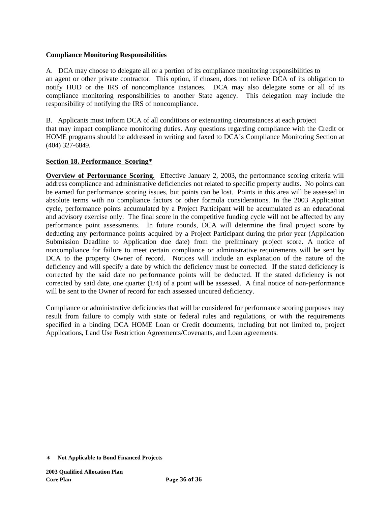### **Compliance Monitoring Responsibilities**

A. DCA may choose to delegate all or a portion of its compliance monitoring responsibilities to an agent or other private contractor. This option, if chosen, does not relieve DCA of its obligation to notify HUD or the IRS of noncompliance instances. DCA may also delegate some or all of its compliance monitoring responsibilities to another State agency. This delegation may include the responsibility of notifying the IRS of noncompliance.

B. Applicants must inform DCA of all conditions or extenuating circumstances at each project that may impact compliance monitoring duties. Any questions regarding compliance with the Credit or HOME programs should be addressed in writing and faxed to DCA's Compliance Monitoring Section at (404) 327-6849.

## **Section 18. Performance Scoring\***

**Overview of Performance Scoring**.Effective January 2, 2003**,** the performance scoring criteria will address compliance and administrative deficiencies not related to specific property audits. No points can be earned for performance scoring issues, but points can be lost. Points in this area will be assessed in absolute terms with no compliance factors or other formula considerations. In the 2003 Application cycle, performance points accumulated by a Project Participant will be accumulated as an educational and advisory exercise only. The final score in the competitive funding cycle will not be affected by any performance point assessments. In future rounds, DCA will determine the final project score by deducting any performance points acquired by a Project Participant during the prior year (Application Submission Deadline to Application due date) from the preliminary project score. A notice of noncompliance for failure to meet certain compliance or administrative requirements will be sent by DCA to the property Owner of record. Notices will include an explanation of the nature of the deficiency and will specify a date by which the deficiency must be corrected. If the stated deficiency is corrected by the said date no performance points will be deducted. If the stated deficiency is not corrected by said date, one quarter (1/4) of a point will be assessed. A final notice of non-performance will be sent to the Owner of record for each assessed uncured deficiency.

Compliance or administrative deficiencies that will be considered for performance scoring purposes may result from failure to comply with state or federal rules and regulations, or with the requirements specified in a binding DCA HOME Loan or Credit documents, including but not limited to, project Applications, Land Use Restriction Agreements/Covenants, and Loan agreements.

<sup>∗</sup> **Not Applicable to Bond Financed Projects**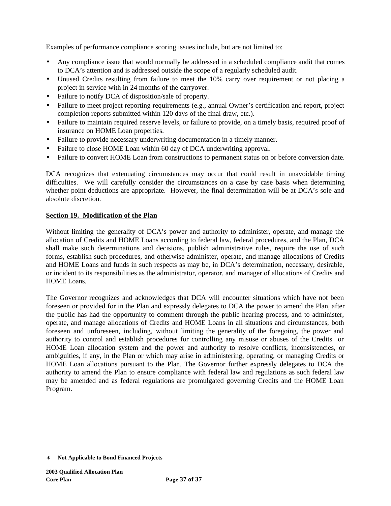Examples of performance compliance scoring issues include, but are not limited to:

- Any compliance issue that would normally be addressed in a scheduled compliance audit that comes to DCA's attention and is addressed outside the scope of a regularly scheduled audit.
- Unused Credits resulting from failure to meet the 10% carry over requirement or not placing a project in service with in 24 months of the carryover.
- Failure to notify DCA of disposition/sale of property.
- Failure to meet project reporting requirements (e.g., annual Owner's certification and report, project completion reports submitted within 120 days of the final draw, etc.).
- Failure to maintain required reserve levels, or failure to provide, on a timely basis, required proof of insurance on HOME Loan properties.
- Failure to provide necessary underwriting documentation in a timely manner.
- Failure to close HOME Loan within 60 day of DCA underwriting approval.
- Failure to convert HOME Loan from constructions to permanent status on or before conversion date.

DCA recognizes that extenuating circumstances may occur that could result in unavoidable timing difficulties. We will carefully consider the circumstances on a case by case basis when determining whether point deductions are appropriate. However, the final determination will be at DCA's sole and absolute discretion.

#### **Section 19. Modification of the Plan**

Without limiting the generality of DCA's power and authority to administer, operate, and manage the allocation of Credits and HOME Loans according to federal law, federal procedures, and the Plan, DCA shall make such determinations and decisions, publish administrative rules, require the use of such forms, establish such procedures, and otherwise administer, operate, and manage allocations of Credits and HOME Loans and funds in such respects as may be, in DCA's determination, necessary, desirable, or incident to its responsibilities as the administrator, operator, and manager of allocations of Credits and HOME Loans.

The Governor recognizes and acknowledges that DCA will encounter situations which have not been foreseen or provided for in the Plan and expressly delegates to DCA the power to amend the Plan, after the public has had the opportunity to comment through the public hearing process, and to administer, operate, and manage allocations of Credits and HOME Loans in all situations and circumstances, both foreseen and unforeseen, including, without limiting the generality of the foregoing, the power and authority to control and establish procedures for controlling any misuse or abuses of the Credits or HOME Loan allocation system and the power and authority to resolve conflicts, inconsistencies, or ambiguities, if any, in the Plan or which may arise in administering, operating, or managing Credits or HOME Loan allocations pursuant to the Plan. The Governor further expressly delegates to DCA the authority to amend the Plan to ensure compliance with federal law and regulations as such federal law may be amended and as federal regulations are promulgated governing Credits and the HOME Loan Program.

<sup>∗</sup> **Not Applicable to Bond Financed Projects**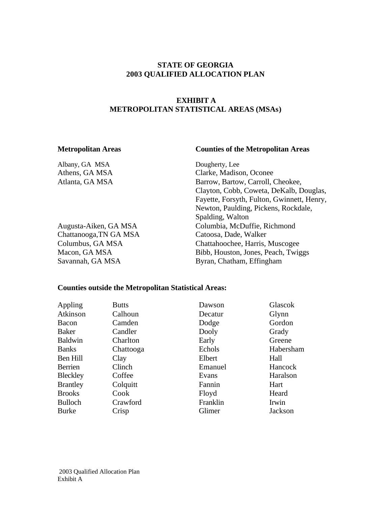# **STATE OF GEORGIA 2003 QUALIFIED ALLOCATION PLAN**

# **EXHIBIT A METROPOLITAN STATISTICAL AREAS (MSAs)**

#### **Metropolitan Areas Counties of the Metropolitan Areas**

Albany, GA MSA Dougherty, Lee Athens, GA MSA Clarke, Madison, Oconee Atlanta, GA MSA Barrow, Barrow, Carroll, Cheokee, Clayton, Cobb, Coweta, DeKalb, Douglas, Fayette, Forsyth, Fulton, Gwinnett, Henry, Newton, Paulding, Pickens, Rockdale, Spalding, Walton Augusta-Aiken, GA MSA Columbia, McDuffie, Richmond Chattanooga,TN GA MSA Catoosa, Dade, Walker Columbus, GA MSA Chattahoochee, Harris, Muscogee Macon, GA MSA Bibb, Houston, Jones, Peach, Twiggs Savannah, GA MSA Byran, Chatham, Effingham

#### **Counties outside the Metropolitan Statistical Areas:**

| Appling         | <b>Butts</b> | Dawson   | Glascok   |
|-----------------|--------------|----------|-----------|
| Atkinson        | Calhoun      | Decatur  | Glynn     |
| Bacon           | Camden       | Dodge    | Gordon    |
| Baker           | Candler      | Dooly    | Grady     |
| <b>Baldwin</b>  | Charlton     | Early    | Greene    |
| <b>Banks</b>    | Chattooga    | Echols   | Habersham |
| Ben Hill        | Clay         | Elbert   | Hall      |
| Berrien         | Clinch       | Emanuel  | Hancock   |
| <b>Bleckley</b> | Coffee       | Evans    | Haralson  |
| <b>Brantley</b> | Colquitt     | Fannin   | Hart      |
| <b>Brooks</b>   | Cook         | Floyd    | Heard     |
| <b>Bulloch</b>  | Crawford     | Franklin | Irwin     |
| <b>Burke</b>    | Crisp        | Glimer   | Jackson   |
|                 |              |          |           |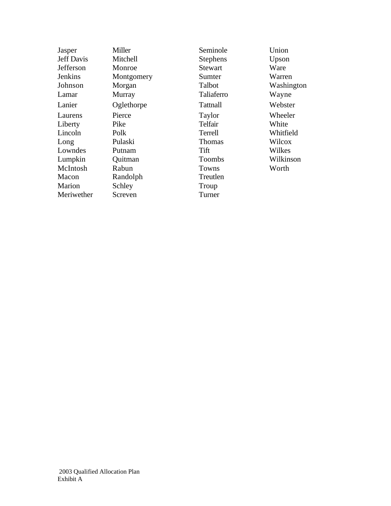| Jasper            | Miller     | Seminole        | Union      |
|-------------------|------------|-----------------|------------|
| <b>Jeff Davis</b> | Mitchell   | <b>Stephens</b> | Upson      |
| Jefferson         | Monroe     | <b>Stewart</b>  | Ware       |
| <b>Jenkins</b>    | Montgomery | Sumter          | Warren     |
| Johnson           | Morgan     | Talbot          | Washington |
| Lamar             | Murray     | Taliaferro      | Wayne      |
| Lanier            | Oglethorpe | <b>Tattnall</b> | Webster    |
| Laurens           | Pierce     | Taylor          | Wheeler    |
| Liberty           | Pike       | Telfair         | White      |
| Lincoln           | Polk       | Terrell         | Whitfield  |
| Long              | Pulaski    | Thomas          | Wilcox     |
| Lowndes           | Putnam     | Tift            | Wilkes     |
| Lumpkin           | Quitman    | <b>Toombs</b>   | Wilkinson  |
| McIntosh          | Rabun      | Towns           | Worth      |
| Macon             | Randolph   | Treutlen        |            |
| Marion            | Schley     | Troup           |            |
| Meriwether        | Screven    | Turner          |            |
|                   |            |                 |            |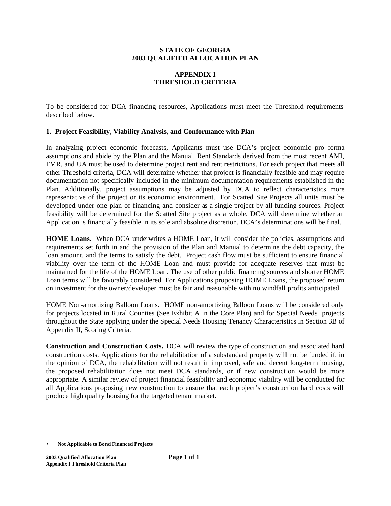#### **STATE OF GEORGIA 2003 QUALIFIED ALLOCATION PLAN**

# **APPENDIX I THRESHOLD CRITERIA**

To be considered for DCA financing resources, Applications must meet the Threshold requirements described below.

## **1. Project Feasibility, Viability Analysis, and Conformance with Plan**

In analyzing project economic forecasts, Applicants must use DCA's project economic pro forma assumptions and abide by the Plan and the Manual. Rent Standards derived from the most recent AMI, FMR, and UA must be used to determine project rent and rent restrictions. For each project that meets all other Threshold criteria, DCA will determine whether that project is financially feasible and may require documentation not specifically included in the minimum documentation requirements established in the Plan. Additionally, project assumptions may be adjusted by DCA to reflect characteristics more representative of the project or its economic environment. For Scatted Site Projects all units must be developed under one plan of financing and consider as a single project by all funding sources. Project feasibility will be determined for the Scatted Site project as a whole. DCA will determine whether an Application is financially feasible in its sole and absolute discretion. DCA's determinations will be final.

HOME Loans. When DCA underwrites a HOME Loan, it will consider the policies, assumptions and requirements set forth in and the provision of the Plan and Manual to determine the debt capacity, the loan amount, and the terms to satisfy the debt. Project cash flow must be sufficient to ensure financial viability over the term of the HOME Loan and must provide for adequate reserves that must be maintained for the life of the HOME Loan. The use of other public financing sources and shorter HOME Loan terms will be favorably considered. For Applications proposing HOME Loans, the proposed return on investment for the owner/developer must be fair and reasonable with no windfall profits anticipated.

HOME Non-amortizing Balloon Loans.HOME non-amortizing Balloon Loans will be considered only for projects located in Rural Counties (See Exhibit A in the Core Plan) and for Special Needs projects throughout the State applying under the Special Needs Housing Tenancy Characteristics in Section 3B of Appendix II, Scoring Criteria.

**Construction and Construction Costs.** DCA will review the type of construction and associated hard construction costs. Applications for the rehabilitation of a substandard property will not be funded if, in the opinion of DCA, the rehabilitation will not result in improved, safe and decent long-term housing, the proposed rehabilitation does not meet DCA standards, or if new construction would be more appropriate. A similar review of project financial feasibility and economic viability will be conducted for all Applications proposing new construction to ensure that each project's construction hard costs will produce high quality housing for the targeted tenant market**.**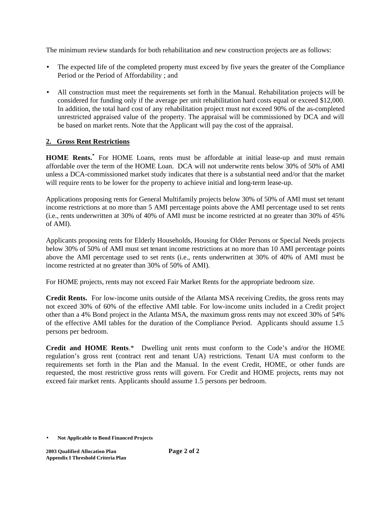The minimum review standards for both rehabilitation and new construction projects are as follows:

- The expected life of the completed property must exceed by five years the greater of the Compliance Period or the Period of Affordability ; and
- All construction must meet the requirements set forth in the Manual. Rehabilitation projects will be considered for funding only if the average per unit rehabilitation hard costs equal or exceed \$12,000. In addition, the total hard cost of any rehabilitation project must not exceed 90% of the as-completed unrestricted appraised value of the property. The appraisal will be commissioned by DCA and will be based on market rents. Note that the Applicant will pay the cost of the appraisal.

# **2. Gross Rent Restrictions**

**HOME Rents.\*** For HOME Loans, rents must be affordable at initial lease-up and must remain affordable over the term of the HOME Loan. DCA will not underwrite rents below 30% of 50% of AMI unless a DCA-commissioned market study indicates that there is a substantial need and/or that the market will require rents to be lower for the property to achieve initial and long-term lease-up.

Applications proposing rents for General Multifamily projects below 30% of 50% of AMI must set tenant income restrictions at no more than 5 AMI percentage points above the AMI percentage used to set rents (i.e., rents underwritten at 30% of 40% of AMI must be income restricted at no greater than 30% of 45% of AMI).

Applicants proposing rents for Elderly Households, Housing for Older Persons or Special Needs projects below 30% of 50% of AMI must set tenant income restrictions at no more than 10 AMI percentage points above the AMI percentage used to set rents (i.e., rents underwritten at 30% of 40% of AMI must be income restricted at no greater than 30% of 50% of AMI).

For HOME projects, rents may not exceed Fair Market Rents for the appropriate bedroom size.

**Credit Rents.** For low-income units outside of the Atlanta MSA receiving Credits, the gross rents may not exceed 30% of 60% of the effective AMI table. For low-income units included in a Credit project other than a 4% Bond project in the Atlanta MSA, the maximum gross rents may not exceed 30% of 54% of the effective AMI tables for the duration of the Compliance Period. Applicants should assume 1.5 persons per bedroom.

**Credit and HOME Rents**.\* Dwelling unit rents must conform to the Code's and/or the HOME regulation's gross rent (contract rent and tenant UA) restrictions. Tenant UA must conform to the requirements set forth in the Plan and the Manual. In the event Credit, HOME, or other funds are requested, the most restrictive gross rents will govern. For Credit and HOME projects, rents may not exceed fair market rents. Applicants should assume 1.5 persons per bedroom.

<sup>•</sup> **Not Applicable to Bond Financed Projects**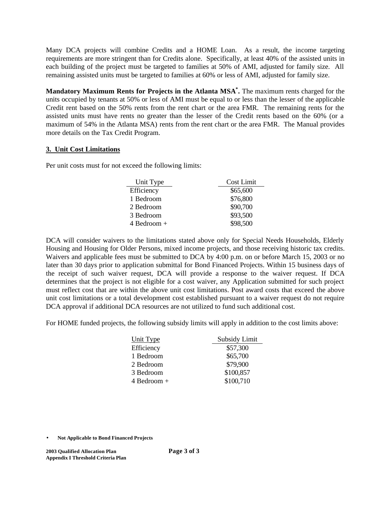Many DCA projects will combine Credits and a HOME Loan. As a result, the income targeting requirements are more stringent than for Credits alone. Specifically, at least 40% of the assisted units in each building of the project must be targeted to families at 50% of AMI, adjusted for family size. All remaining assisted units must be targeted to families at 60% or less of AMI, adjusted for family size.

**Mandatory Maximum Rents for Projects in the Atlanta MSA\* .** The maximum rents charged for the units occupied by tenants at 50% or less of AMI must be equal to or less than the lesser of the applicable Credit rent based on the 50% rents from the rent chart or the area FMR. The remaining rents for the assisted units must have rents no greater than the lesser of the Credit rents based on the 60% (or a maximum of 54% in the Atlanta MSA) rents from the rent chart or the area FMR. The Manual provides more details on the Tax Credit Program.

#### **3. Unit Cost Limitations**

Per unit costs must for not exceed the following limits:

| Unit Type     | Cost Limit |
|---------------|------------|
| Efficiency    | \$65,600   |
| 1 Bedroom     | \$76,800   |
| 2 Bedroom     | \$90,700   |
| 3 Bedroom     | \$93,500   |
| $4$ Bedroom + | \$98,500   |

DCA will consider waivers to the limitations stated above only for Special Needs Households, Elderly Housing and Housing for Older Persons, mixed income projects, and those receiving historic tax credits. Waivers and applicable fees must be submitted to DCA by 4:00 p.m. on or before March 15, 2003 or no later than 30 days prior to application submittal for Bond Financed Projects. Within 15 business days of the receipt of such waiver request, DCA will provide a response to the waiver request. If DCA determines that the project is not eligible for a cost waiver, any Application submitted for such project must reflect cost that are within the above unit cost limitations. Post award costs that exceed the above unit cost limitations or a total development cost established pursuant to a waiver request do not require DCA approval if additional DCA resources are not utilized to fund such additional cost.

For HOME funded projects, the following subsidy limits will apply in addition to the cost limits above:

| Unit Type     | Subsidy Limit |
|---------------|---------------|
| Efficiency    | \$57,300      |
| 1 Bedroom     | \$65,700      |
| 2 Bedroom     | \$79,900      |
| 3 Bedroom     | \$100,857     |
| $4$ Bedroom + | \$100,710     |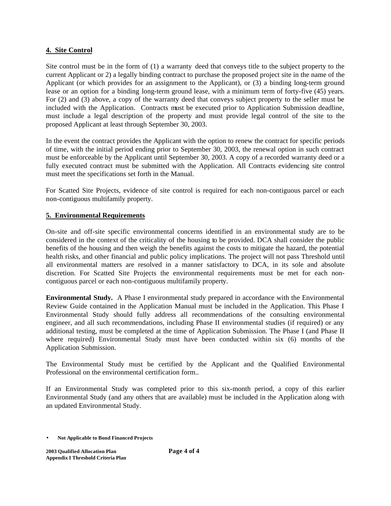#### **4. Site Control**

Site control must be in the form of (1) a warranty deed that conveys title to the subject property to the current Applicant or 2) a legally binding contract to purchase the proposed project site in the name of the Applicant (or which provides for an assignment to the Applicant), or (3) a binding long-term ground lease or an option for a binding long-term ground lease, with a minimum term of forty-five (45) years. For (2) and (3) above, a copy of the warranty deed that conveys subject property to the seller must be included with the Application. Contracts must be executed prior to Application Submission deadline, must include a legal description of the property and must provide legal control of the site to the proposed Applicant at least through September 30, 2003.

In the event the contract provides the Applicant with the option to renew the contract for specific periods of time, with the initial period ending prior to September 30, 2003, the renewal option in such contract must be enforceable by the Applicant until September 30, 2003. A copy of a recorded warranty deed or a fully executed contract must be submitted with the Application. All Contracts evidencing site control must meet the specifications set forth in the Manual.

For Scatted Site Projects, evidence of site control is required for each non-contiguous parcel or each non-contiguous multifamily property.

#### **5. Environmental Requirements**

On-site and off-site specific environmental concerns identified in an environmental study are to be considered in the context of the criticality of the housing to be provided. DCA shall consider the public benefits of the housing and then weigh the benefits against the costs to mitigate the hazard, the potential health risks, and other financial and public policy implications. The project will not pass Threshold until all environmental matters are resolved in a manner satisfactory to DCA, in its sole and absolute discretion. For Scatted Site Projects the environmental requirements must be met for each noncontiguous parcel or each non-contiguous multifamily property.

**Environmental Study.** A Phase I environmental study prepared in accordance with the Environmental Review Guide contained in the Application Manual must be included in the Application. This Phase I Environmental Study should fully address all recommendations of the consulting environmental engineer, and all such recommendations, including Phase II environmental studies (if required) or any additional testing, must be completed at the time of Application Submission. The Phase I (and Phase II where required) Environmental Study must have been conducted within six (6) months of the Application Submission.

The Environmental Study must be certified by the Applicant and the Qualified Environmental Professional on the environmental certification form..

If an Environmental Study was completed prior to this six-month period, a copy of this earlier Environmental Study (and any others that are available) must be included in the Application along with an updated Environmental Study.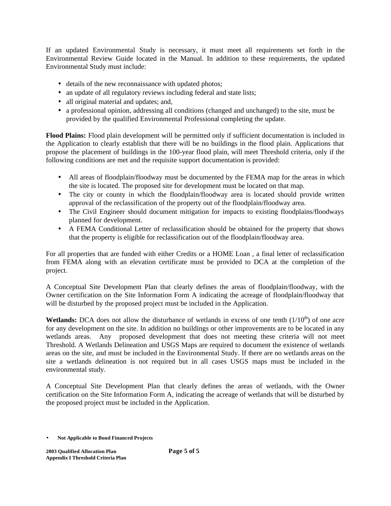If an updated Environmental Study is necessary, it must meet all requirements set forth in the Environmental Review Guide located in the Manual. In addition to these requirements, the updated Environmental Study must include:

- details of the new reconnaissance with updated photos;
- an update of all regulatory reviews including federal and state lists;
- all original material and updates; and,
- a professional opinion, addressing all conditions (changed and unchanged) to the site, must be provided by the qualified Environmental Professional completing the update.

**Flood Plains:** Flood plain development will be permitted only if sufficient documentation is included in the Application to clearly establish that there will be no buildings in the flood plain. Applications that propose the placement of buildings in the 100-year flood plain, will meet Threshold criteria, only if the following conditions are met and the requisite support documentation is provided:

- All areas of floodplain/floodway must be documented by the FEMA map for the areas in which the site is located. The proposed site for development must be located on that map.
- The city or county in which the floodplain/floodway area is located should provide written approval of the reclassification of the property out of the floodplain/floodway area.
- The Civil Engineer should document mitigation for impacts to existing floodplains/floodways planned for development.
- A FEMA Conditional Letter of reclassification should be obtained for the property that shows that the property is eligible for reclassification out of the floodplain/floodway area.

For all properties that are funded with either Credits or a HOME Loan , a final letter of reclassification from FEMA along with an elevation certificate must be provided to DCA at the completion of the project.

A Conceptual Site Development Plan that clearly defines the areas of floodplain/floodway, with the Owner certification on the Site Information Form A indicating the acreage of floodplain/floodway that will be disturbed by the proposed project must be included in the Application.

**Wetlands:** DCA does not allow the disturbance of wetlands in excess of one tenth  $(1/10<sup>th</sup>)$  of one acre for any development on the site. In addition no buildings or other improvements are to be located in any wetlands areas. Any proposed development that does not meeting these criteria will not meet Threshold. A Wetlands Delineation and USGS Maps are required to document the existence of wetlands areas on the site, and must be included in the Environmental Study. If there are no wetlands areas on the site a wetlands delineation is not required but in all cases USGS maps must be included in the environmental study.

A Conceptual Site Development Plan that clearly defines the areas of wetlands, with the Owner certification on the Site Information Form A, indicating the acreage of wetlands that will be disturbed by the proposed project must be included in the Application.

<sup>•</sup> **Not Applicable to Bond Financed Projects**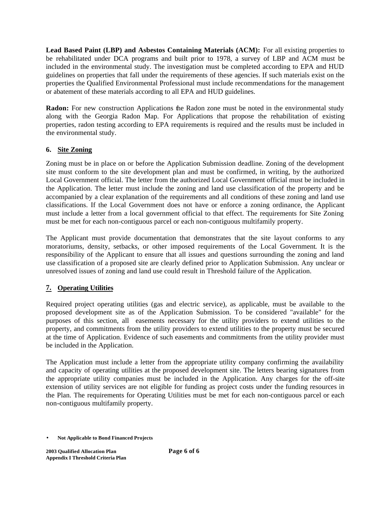**Lead Based Paint (LBP) and Asbestos Containing Materials (ACM):** For all existing properties to be rehabilitated under DCA programs and built prior to 1978, a survey of LBP and ACM must be included in the environmental study. The investigation must be completed according to EPA and HUD guidelines on properties that fall under the requirements of these agencies. If such materials exist on the properties the Qualified Environmental Professional must include recommendations for the management or abatement of these materials according to all EPA and HUD guidelines.

**Radon:** For new construction Applications the Radon zone must be noted in the environmental study along with the Georgia Radon Map. For Applications that propose the rehabilitation of existing properties, radon testing according to EPA requirements is required and the results must be included in the environmental study.

# **6. Site Zoning**

Zoning must be in place on or before the Application Submission deadline. Zoning of the development site must conform to the site development plan and must be confirmed, in writing, by the authorized Local Government official. The letter from the authorized Local Government official must be included in the Application. The letter must include the zoning and land use classification of the property and be accompanied by a clear explanation of the requirements and all conditions of these zoning and land use classifications. If the Local Government does not have or enforce a zoning ordinance, the Applicant must include a letter from a local government official to that effect. The requirements for Site Zoning must be met for each non-contiguous parcel or each non-contiguous multifamily property.

The Applicant must provide documentation that demonstrates that the site layout conforms to any moratoriums, density, setbacks, or other imposed requirements of the Local Government. It is the responsibility of the Applicant to ensure that all issues and questions surrounding the zoning and land use classification of a proposed site are clearly defined prior to Application Submission. Any unclear or unresolved issues of zoning and land use could result in Threshold failure of the Application.

# **7. Operating Utilities**

Required project operating utilities (gas and electric service), as applicable, must be available to the proposed development site as of the Application Submission. To be considered "available" for the purposes of this section, all easements necessary for the utility providers to extend utilities to the property, and commitments from the utility providers to extend utilities to the property must be secured at the time of Application. Evidence of such easements and commitments from the utility provider must be included in the Application.

The Application must include a letter from the appropriate utility company confirming the availability and capacity of operating utilities at the proposed development site. The letters bearing signatures from the appropriate utility companies must be included in the Application. Any charges for the off-site extension of utility services are not eligible for funding as project costs under the funding resources in the Plan. The requirements for Operating Utilities must be met for each non-contiguous parcel or each non-contiguous multifamily property.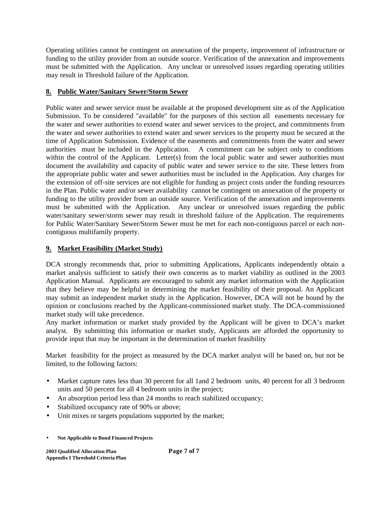Operating utilities cannot be contingent on annexation of the property, improvement of infrastructure or funding to the utility provider from an outside source. Verification of the annexation and improvements must be submitted with the Application. Any unclear or unresolved issues regarding operating utilities may result in Threshold failure of the Application.

# **8. Public Water/Sanitary Sewer/Storm Sewer**

Public water and sewer service must be available at the proposed development site as of the Application Submission. To be considered "available" for the purposes of this section all easements necessary for the water and sewer authorities to extend water and sewer services to the project, and commitments from the water and sewer authorities to extend water and sewer services to the property must be secured at the time of Application Submission. Evidence of the easements and commitments from the water and sewer authorities must be included in the Application. A commitment can be subject only to conditions within the control of the Applicant. Letter(s) from the local public water and sewer authorities must document the availability and capacity of public water and sewer service to the site. These letters from the appropriate public water and sewer authorities must be included in the Application. Any charges for the extension of off-site services are not eligible for funding as project costs under the funding resources in the Plan. Public water and/or sewer availability cannot be contingent on annexation of the property or funding to the utility provider from an outside source. Verification of the annexation and improvements must be submitted with the Application.Any unclear or unresolved issues regarding the public water/sanitary sewer/storm sewer may result in threshold failure of the Application. The requirements for Public Water/Sanitary Sewer/Storm Sewer must be met for each non-contiguous parcel or each noncontiguous multifamily property.

# **9. Market Feasibility (Market Study)**

DCA strongly recommends that, prior to submitting Applications, Applicants independently obtain a market analysis sufficient to satisfy their own concerns as to market viability as outlined in the 2003 Application Manual. Applicants are encouraged to submit any market information with the Application that they believe may be helpful in determining the market feasibility of their proposal. An Applicant may submit an independent market study in the Application. However, DCA will not be bound by the opinion or conclusions reached by the Applicant-commissioned market study. The DCA-commissioned market study will take precedence.

Any market information or market study provided by the Applicant will be given to DCA's market analyst. By submitting this information or market study, Applicants are afforded the opportunity to provide input that may be important in the determination of market feasibility

Market feasibility for the project as measured by the DCA market analyst will be based on, but not be limited, to the following factors:

- Market capture rates less than 30 percent for all 1 and 2 bedroom units, 40 percent for all 3 bedroom units and 50 percent for all 4 bedroom units in the project;
- An absorption period less than 24 months to reach stabilized occupancy;
- Stabilized occupancy rate of 90% or above;
- Unit mixes or targets populations supported by the market;
- **Not Applicable to Bond Financed Projects**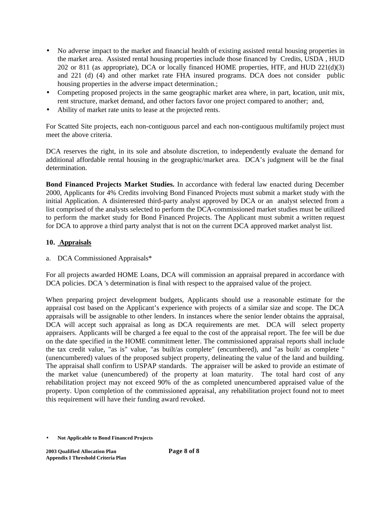- No adverse impact to the market and financial health of existing assisted rental housing properties in the market area. Assisted rental housing properties include those financed by Credits, USDA , HUD 202 or 811 (as appropriate), DCA or locally financed HOME properties, HTF, and HUD 221(d)(3) and 221 (d) (4) and other market rate FHA insured programs. DCA does not consider public housing properties in the adverse impact determination.;
- Competing proposed projects in the same geographic market area where, in part, location, unit mix, rent structure, market demand, and other factors favor one project compared to another; and,
- Ability of market rate units to lease at the projected rents.

For Scatted Site projects, each non-contiguous parcel and each non-contiguous multifamily project must meet the above criteria.

DCA reserves the right, in its sole and absolute discretion, to independently evaluate the demand for additional affordable rental housing in the geographic/market area. DCA's judgment will be the final determination.

**Bond Financed Projects Market Studies.** In accordance with federal law enacted during December 2000, Applicants for 4% Credits involving Bond Financed Projects must submit a market study with the initial Application. A disinterested third-party analyst approved by DCA or an analyst selected from a list comprised of the analysts selected to perform the DCA-commissioned market studies must be utilized to perform the market study for Bond Financed Projects. The Applicant must submit a written request for DCA to approve a third party analyst that is not on the current DCA approved market analyst list.

# **10. Appraisals**

# a. DCA Commissioned Appraisals\*

For all projects awarded HOME Loans, DCA will commission an appraisal prepared in accordance with DCA policies. DCA 's determination is final with respect to the appraised value of the project.

When preparing project development budgets, Applicants should use a reasonable estimate for the appraisal cost based on the Applicant's experience with projects of a similar size and scope. The DCA appraisals will be assignable to other lenders. In instances where the senior lender obtains the appraisal, DCA will accept such appraisal as long as DCA requirements are met. DCA will select property appraisers. Applicants will be charged a fee equal to the cost of the appraisal report. The fee will be due on the date specified in the HOME commitment letter. The commissioned appraisal reports shall include the tax credit value, "as is" value, "as built/as complete" (encumbered), and "as built/ as complete " (unencumbered) values of the proposed subject property, delineating the value of the land and building. The appraisal shall confirm to USPAP standards. The appraiser will be asked to provide an estimate of the market value (unencumbered) of the property at loan maturity. The total hard cost of any rehabilitation project may not exceed 90% of the as completed unencumbered appraised value of the property. Upon completion of the commissioned appraisal, any rehabilitation project found not to meet this requirement will have their funding award revoked.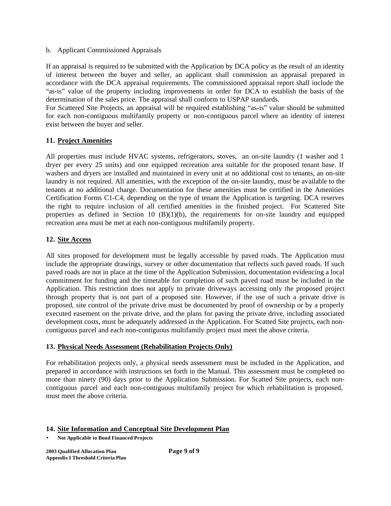#### b. Applicant Commissioned Appraisals

If an appraisal is required to be submitted with the Application by DCA policy as the result of an identity of interest between the buyer and seller, an applicant shall commission an appraisal prepared in accordance with the DCA appraisal requirements. The commissioned appraisal report shall include the "as-is" value of the property including improvements in order for DCA to establish the basis of the determination of the sales price. The appraisal shall conform to USPAP standards.

For Scattered Site Projects, an appraisal will be required establishing "as-is" value should be submitted for each non-contiguous multifamily property or non-contiguous parcel where an identity of interest exist between the buyer and seller.

## **11. Project Amenities**

All properties must include HVAC systems, refrigerators, stoves, an on-site laundry (1 washer and 1 dryer per every 25 units) and one equipped recreation area suitable for the proposed tenant base. If washers and dryers are installed and maintained in every unit at no additional cost to tenants, an on-site laundry is not required. All amenities, with the exception of the on-site laundry, must be available to the tenants at no additional charge. Documentation for these amenities must be certified in the Amenities Certification Forms C1-C4, depending on the type of tenant the Application is targeting. DCA reserves the right to require inclusion of all certified amenities in the finished project. For Scattered Site properties as defined in Section 10 (B)(1)(b), the requirements for on-site laundry and equipped recreation area must be met at each non-contiguous multifamily property.

## **12. Site Access**

All sites proposed for development must be legally accessible by paved roads. The Application must include the appropriate drawings, survey or other documentation that reflects such paved roads. If such paved roads are not in place at the time of the Application Submission, documentation evidencing a local commitment for funding and the timetable for completion of such paved road must be included in the Application. This restriction does not apply to private driveways accessing only the proposed project through property that is not part of a proposed site. However, if the use of such a private drive is proposed, site control of the private drive must be documented by proof of ownership or by a properly executed easement on the private drive, and the plans for paving the private drive, including associated development costs, must be adequately addressed in the Application. For Scatted Site projects, each noncontiguous parcel and each non-contiguous multifamily project must meet the above criteria.

#### **13. Physical Needs Assessment (Rehabilitation Projects Only)**

For rehabilitation projects only, a physical needs assessment must be included in the Application, and prepared in accordance with instructions set forth in the Manual. This assessment must be completed no more than ninety (90) days prior to the Application Submission. For Scatted Site projects, each noncontiguous parcel and each non-contiguous multifamily project for which rehabilitation is proposed, must meet the above criteria.

#### **14. Site Information and Conceptual Site Development Plan**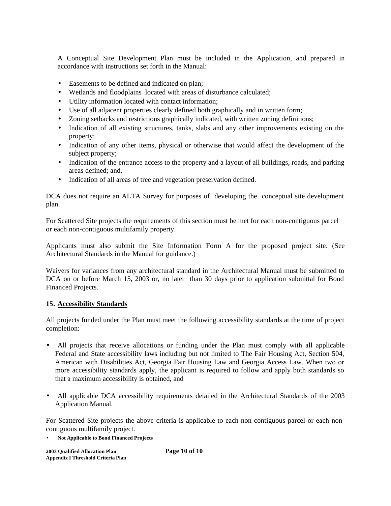A Conceptual Site Development Plan must be included in the Application, and prepared in accordance with instructions set forth in the Manual:

- Easements to be defined and indicated on plan;
- Wetlands and floodplains located with areas of disturbance calculated;
- Utility information located with contact information;
- Use of all adjacent properties clearly defined both graphically and in written form;
- Zoning setbacks and restrictions graphically indicated, with written zoning definitions;
- Indication of all existing structures, tanks, slabs and any other improvements existing on the property;
- Indication of any other items, physical or otherwise that would affect the development of the subject property;
- Indication of the entrance access to the property and a layout of all buildings, roads, and parking areas defined; and,
- Indication of all areas of tree and vegetation preservation defined.

DCA does not require an ALTA Survey for purposes of developing the conceptual site development plan.

For Scattered Site projects the requirements of this section must be met for each non-contiguous parcel or each non-contiguous multifamily property.

Applicants must also submit the Site Information Form A for the proposed project site. (See Architectural Standards in the Manual for guidance.)

Waivers for variances from any architectural standard in the Architectural Manual must be submitted to DCA on or before March 15, 2003 or, no later than 30 days prior to application submittal for Bond Financed Projects.

#### **15. Accessibility Standards**

All projects funded under the Plan must meet the following accessibility standards at the time of project completion:

- All projects that receive allocations or funding under the Plan must comply with all applicable Federal and State accessibility laws including but not limited to The Fair Housing Act, Section 504, American with Disabilities Act, Georgia Fair Housing Law and Georgia Access Law. When two or more accessibility standards apply, the applicant is required to follow and apply both standards so that a maximum accessibility is obtained, and
- All applicable DCA accessibility requirements detailed in the Architectural Standards of the 2003 Application Manual.

For Scattered Site projects the above criteria is applicable to each non-contiguous parcel or each noncontiguous multifamily project.

• **Not Applicable to Bond Financed Projects**

**2003 Qualified Allocation Plan Page 10 of 10 Appendix I Threshold Criteria Plan**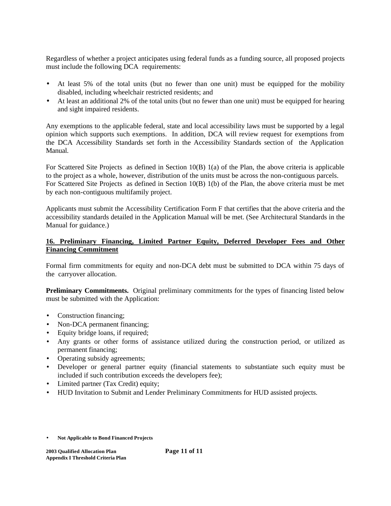Regardless of whether a project anticipates using federal funds as a funding source, all proposed projects must include the following DCA requirements:

- At least 5% of the total units (but no fewer than one unit) must be equipped for the mobility disabled, including wheelchair restricted residents; and
- At least an additional 2% of the total units (but no fewer than one unit) must be equipped for hearing and sight impaired residents.

Any exemptions to the applicable federal, state and local accessibility laws must be supported by a legal opinion which supports such exemptions. In addition, DCA will review request for exemptions from the DCA Accessibility Standards set forth in the Accessibility Standards section of the Application Manual.

For Scattered Site Projects as defined in Section 10(B) 1(a) of the Plan, the above criteria is applicable to the project as a whole, however, distribution of the units must be across the non-contiguous parcels. For Scattered Site Projects as defined in Section 10(B) 1(b) of the Plan, the above criteria must be met by each non-contiguous multifamily project.

Applicants must submit the Accessibility Certification Form F that certifies that the above criteria and the accessibility standards detailed in the Application Manual will be met. (See Architectural Standards in the Manual for guidance.)

## **16. Preliminary Financing, Limited Partner Equity, Deferred Developer Fees and Other Financing Commitment**

Formal firm commitments for equity and non-DCA debt must be submitted to DCA within 75 days of the carryover allocation.

**Preliminary Commitments.** Original preliminary commitments for the types of financing listed below must be submitted with the Application:

- Construction financing;
- Non-DCA permanent financing;
- Equity bridge loans, if required;
- Any grants or other forms of assistance utilized during the construction period, or utilized as permanent financing;
- Operating subsidy agreements;
- Developer or general partner equity (financial statements to substantiate such equity must be included if such contribution exceeds the developers fee);
- Limited partner (Tax Credit) equity;
- HUD Invitation to Submit and Lender Preliminary Commitments for HUD assisted projects.
- **Not Applicable to Bond Financed Projects**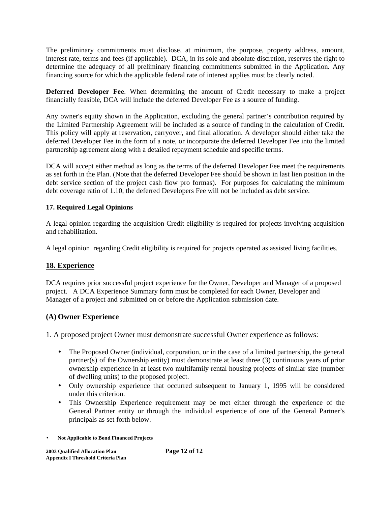The preliminary commitments must disclose, at minimum, the purpose, property address, amount, interest rate, terms and fees (if applicable). DCA, in its sole and absolute discretion, reserves the right to determine the adequacy of all preliminary financing commitments submitted in the Application. Any financing source for which the applicable federal rate of interest applies must be clearly noted.

**Deferred Developer Fee**. When determining the amount of Credit necessary to make a project financially feasible, DCA will include the deferred Developer Fee as a source of funding.

Any owner's equity shown in the Application, excluding the general partner's contribution required by the Limited Partnership Agreement will be included as a source of funding in the calculation of Credit. This policy will apply at reservation, carryover, and final allocation. A developer should either take the deferred Developer Fee in the form of a note, or incorporate the deferred Developer Fee into the limited partnership agreement along with a detailed repayment schedule and specific terms.

DCA will accept either method as long as the terms of the deferred Developer Fee meet the requirements as set forth in the Plan. (Note that the deferred Developer Fee should be shown in last lien position in the debt service section of the project cash flow pro formas). For purposes for calculating the minimum debt coverage ratio of 1.10, the deferred Developers Fee will not be included as debt service.

# **17. Required Legal Opinions**

A legal opinion regarding the acquisition Credit eligibility is required for projects involving acquisition and rehabilitation.

A legal opinion regarding Credit eligibility is required for projects operated as assisted living facilities.

# **18. Experience**

DCA requires prior successful project experience for the Owner, Developer and Manager of a proposed project. A DCA Experience Summary form must be completed for each Owner, Developer and Manager of a project and submitted on or before the Application submission date.

# **(A) Owner Experience**

1. A proposed project Owner must demonstrate successful Owner experience as follows:

- The Proposed Owner (individual, corporation, or in the case of a limited partnership, the general partner(s) of the Ownership entity) must demonstrate at least three (3) continuous years of prior ownership experience in at least two multifamily rental housing projects of similar size (number of dwelling units) to the proposed project.
- Only ownership experience that occurred subsequent to January 1, 1995 will be considered under this criterion.
- This Ownership Experience requirement may be met either through the experience of the General Partner entity or through the individual experience of one of the General Partner's principals as set forth below.
- **Not Applicable to Bond Financed Projects**

**2003 Qualified Allocation Plan Page 12 of 12 Appendix I Threshold Criteria Plan**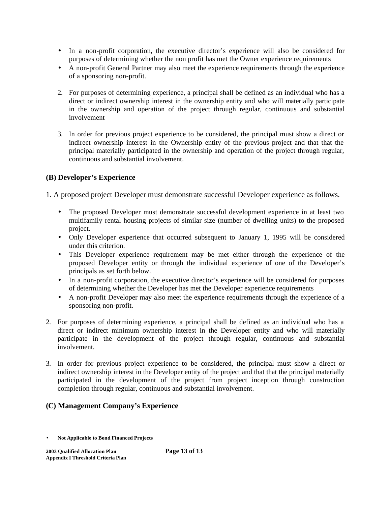- In a non-profit corporation, the executive director's experience will also be considered for purposes of determining whether the non profit has met the Owner experience requirements
- A non-profit General Partner may also meet the experience requirements through the experience of a sponsoring non-profit.
- 2. For purposes of determining experience, a principal shall be defined as an individual who has a direct or indirect ownership interest in the ownership entity and who will materially participate in the ownership and operation of the project through regular, continuous and substantial involvement
- 3. In order for previous project experience to be considered, the principal must show a direct or indirect ownership interest in the Ownership entity of the previous project and that that the principal materially participated in the ownership and operation of the project through regular, continuous and substantial involvement.

# **(B) Developer's Experience**

1. A proposed project Developer must demonstrate successful Developer experience as follows.

- The proposed Developer must demonstrate successful development experience in at least two multifamily rental housing projects of similar size (number of dwelling units) to the proposed project.
- Only Developer experience that occurred subsequent to January 1, 1995 will be considered under this criterion.
- This Developer experience requirement may be met either through the experience of the proposed Developer entity or through the individual experience of one of the Developer's principals as set forth below.
- In a non-profit corporation, the executive director's experience will be considered for purposes of determining whether the Developer has met the Developer experience requirements
- A non-profit Developer may also meet the experience requirements through the experience of a sponsoring non-profit.
- 2. For purposes of determining experience, a principal shall be defined as an individual who has a direct or indirect minimum ownership interest in the Developer entity and who will materially participate in the development of the project through regular, continuous and substantial involvement.
- 3. In order for previous project experience to be considered, the principal must show a direct or indirect ownership interest in the Developer entity of the project and that that the principal materially participated in the development of the project from project inception through construction completion through regular, continuous and substantial involvement.

# **(C) Management Company's Experience**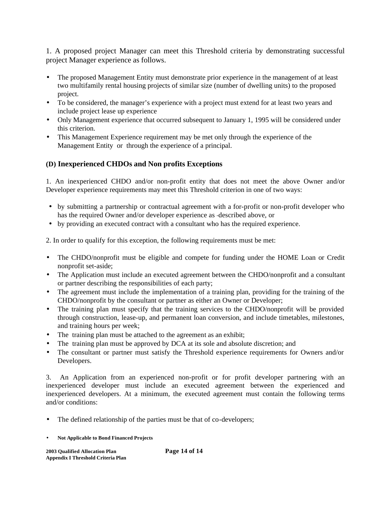1. A proposed project Manager can meet this Threshold criteria by demonstrating successful project Manager experience as follows.

- The proposed Management Entity must demonstrate prior experience in the management of at least two multifamily rental housing projects of similar size (number of dwelling units) to the proposed project.
- To be considered, the manager's experience with a project must extend for at least two years and include project lease up experience
- Only Management experience that occurred subsequent to January 1, 1995 will be considered under this criterion.
- This Management Experience requirement may be met only through the experience of the Management Entity or through the experience of a principal.

# **(D) Inexperienced CHDOs and Non profits Exceptions**

1. An inexperienced CHDO and/or non-profit entity that does not meet the above Owner and/or Developer experience requirements may meet this Threshold criterion in one of two ways:

- by submitting a partnership or contractual agreement with a for-profit or non-profit developer who has the required Owner and/or developer experience as described above, or
- by providing an executed contract with a consultant who has the required experience.

2. In order to qualify for this exception, the following requirements must be met:

- The CHDO/nonprofit must be eligible and compete for funding under the HOME Loan or Credit nonprofit set-aside;
- The Application must include an executed agreement between the CHDO/nonprofit and a consultant or partner describing the responsibilities of each party;
- The agreement must include the implementation of a training plan, providing for the training of the CHDO/nonprofit by the consultant or partner as either an Owner or Developer;
- The training plan must specify that the training services to the CHDO/nonprofit will be provided through construction, lease-up, and permanent loan conversion, and include timetables, milestones, and training hours per week;
- The training plan must be attached to the agreement as an exhibit;
- The training plan must be approved by DCA at its sole and absolute discretion; and
- The consultant or partner must satisfy the Threshold experience requirements for Owners and/or Developers.

3. An Application from an experienced non-profit or for profit developer partnering with an inexperienced developer must include an executed agreement between the experienced and inexperienced developers. At a minimum, the executed agreement must contain the following terms and/or conditions:

- The defined relationship of the parties must be that of co-developers;
- **Not Applicable to Bond Financed Projects**

**2003 Qualified Allocation Plan Page 14 of 14 Appendix I Threshold Criteria Plan**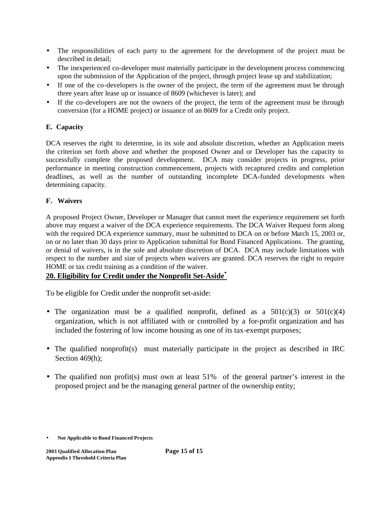- The responsibilities of each party to the agreement for the development of the project must be described in detail;
- The inexperienced co-developer must materially participate in the development process commencing upon the submission of the Application of the project, through project lease up and stabilization;
- If one of the co-developers is the owner of the project, the term of the agreement must be through three years after lease up or issuance of 8609 (whichever is later); and
- If the co-developers are not the owners of the project, the term of the agreement must be through conversion (for a HOME project) or issuance of an 8609 for a Credit only project.

# **E. Capacity**

DCA reserves the right to determine, in its sole and absolute discretion, whether an Application meets the criterion set forth above and whether the proposed Owner and or Developer has the capacity to successfully complete the proposed development. DCA may consider projects in progress, prior performance in meeting construction commencement, projects with recaptured credits and completion deadlines, as well as the number of outstanding incomplete DCA-funded developments when determining capacity.

# **F. Waivers**

A proposed Project Owner, Developer or Manager that cannot meet the experience requirement set forth above may request a waiver of the DCA experience requirements. The DCA Waiver Request form along with the required DCA experience summary, must be submitted to DCA on or before March 15, 2003 or, on or no later than 30 days prior to Application submittal for Bond Financed Applications. The granting, or denial of waivers, is in the sole and absolute discretion of DCA. DCA may include limitations with respect to the number and size of projects when waivers are granted. DCA reserves the right to require HOME or tax credit training as a condition of the waiver.

# **20. Eligibility for Credit under the Nonprofit Set-Aside\***

To be eligible for Credit under the nonprofit set-aside:

- The organization must be a qualified nonprofit, defined as a  $501(c)(3)$  or  $501(c)(4)$ organization, which is not affiliated with or controlled by a for-profit organization and has included the fostering of low income housing as one of its tax-exempt purposes;
- The qualified nonprofit(s) must materially participate in the project as described in IRC Section 469(h);
- The qualified non profit(s) must own at least 51% of the general partner's interest in the proposed project and be the managing general partner of the ownership entity;

<sup>•</sup> **Not Applicable to Bond Financed Projects**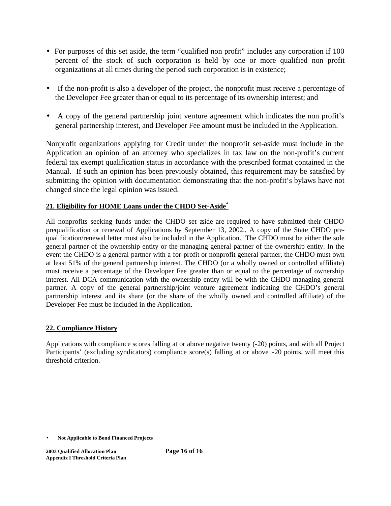- For purposes of this set aside, the term "qualified non profit" includes any corporation if 100 percent of the stock of such corporation is held by one or more qualified non profit organizations at all times during the period such corporation is in existence;
- If the non-profit is also a developer of the project, the nonprofit must receive a percentage of the Developer Fee greater than or equal to its percentage of its ownership interest; and
- A copy of the general partnership joint venture agreement which indicates the non profit's general partnership interest, and Developer Fee amount must be included in the Application.

Nonprofit organizations applying for Credit under the nonprofit set-aside must include in the Application an opinion of an attorney who specializes in tax law on the non-profit's current federal tax exempt qualification status in accordance with the prescribed format contained in the Manual. If such an opinion has been previously obtained, this requirement may be satisfied by submitting the opinion with documentation demonstrating that the non-profit's bylaws have not changed since the legal opinion was issued.

# **21. Eligibility for HOME Loans under the CHDO Set-Aside\***

All nonprofits seeking funds under the CHDO set aside are required to have submitted their CHDO prequalification or renewal of Applications by September 13, 2002.. A copy of the State CHDO prequalification/renewal letter must also be included in the Application. The CHDO must be either the sole general partner of the ownership entity or the managing general partner of the ownership entity. In the event the CHDO is a general partner with a for-profit or nonprofit general partner, the CHDO must own at least 51% of the general partnership interest. The CHDO (or a wholly owned or controlled affiliate) must receive a percentage of the Developer Fee greater than or equal to the percentage of ownership interest. All DCA communication with the ownership entity will be with the CHDO managing general partner. A copy of the general partnership/joint venture agreement indicating the CHDO's general partnership interest and its share (or the share of the wholly owned and controlled affiliate) of the Developer Fee must be included in the Application.

# **22. Compliance History**

Applications with compliance scores falling at or above negative twenty (-20) points, and with all Project Participants' (excluding syndicators) compliance score(s) falling at or above -20 points, will meet this threshold criterion.

<sup>•</sup> **Not Applicable to Bond Financed Projects**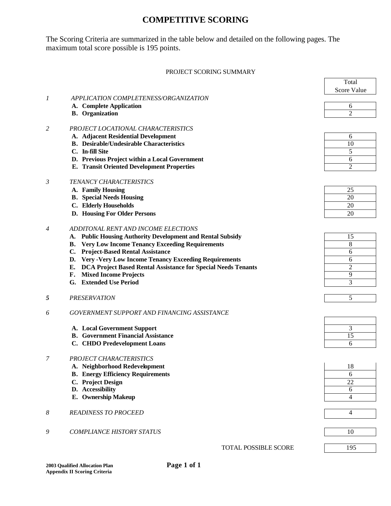# **COMPETITIVE SCORING**

The Scoring Criteria are summarized in the table below and detailed on the following pages. The maximum total score possible is 195 points.

#### PROJECT SCORING SUMMARY

|                  |                                                                     | Total              |
|------------------|---------------------------------------------------------------------|--------------------|
|                  |                                                                     | <b>Score Value</b> |
| $\boldsymbol{l}$ | APPLICATION COMPLETENESS/ORGANIZATION                               |                    |
|                  | A. Complete Application                                             | 6                  |
|                  | <b>B.</b> Organization                                              | $\overline{2}$     |
|                  |                                                                     |                    |
| 2                | PROJECT LOCATIONAL CHARACTERISTICS                                  |                    |
|                  | A. Adjacent Residential Development                                 | 6                  |
|                  | <b>B.</b> Desirable/Undesirable Characteristics                     | 10                 |
|                  | C. In-fill Site                                                     | 5                  |
|                  | D. Previous Project within a Local Government                       | 6                  |
|                  | <b>E. Transit Oriented Development Properties</b>                   | $\overline{c}$     |
| 3                | TENANCY CHARACTERISTICS                                             |                    |
|                  | A. Family Housing                                                   | 25                 |
|                  | <b>B.</b> Special Needs Housing                                     | 20                 |
|                  | C. Elderly Households                                               | 20                 |
|                  | D. Housing For Older Persons                                        | 20                 |
|                  |                                                                     |                    |
| $\overline{4}$   | ADDITONAL RENT AND INCOME ELECTIONS                                 |                    |
|                  | A. Public Housing Authority Development and Rental Subsidy          | 15                 |
|                  | <b>B.</b> Very Low Income Tenancy Exceeding Requirements            | 8                  |
|                  | C. Project-Based Rental Assistance                                  | 6                  |
|                  | <b>Very-Very Low Income Tenancy Exceeding Requirements</b><br>D.    | 6                  |
|                  | DCA Project Based Rental Assistance for Special Needs Tenants<br>Е. | 2                  |
|                  | <b>Mixed Income Projects</b><br>F.                                  | 9                  |
|                  | G. Extended Use Period                                              | 3                  |
|                  |                                                                     |                    |
| 5                | <b>PRESERVATION</b>                                                 | 5                  |
| 6                | GOVERNMENT SUPPORT AND FINANCING ASSISTANCE                         |                    |
|                  |                                                                     |                    |
|                  | A. Local Government Support                                         | 3                  |
|                  | <b>B.</b> Government Financial Assistance                           | 15                 |
|                  | C. CHDO Predevelopment Loans                                        | 6                  |
| 7                | PROJECT CHARACTERISTICS                                             |                    |
|                  | A. Neighborhood Redevelopment                                       |                    |
|                  | <b>B.</b> Energy Efficiency Requirements                            | 18<br>6            |
|                  | C. Project Design                                                   | 22                 |
|                  | D. Accessibility                                                    | 6                  |
|                  | E. Ownership Makeup                                                 | 4                  |
|                  |                                                                     |                    |
| 8                | <b>READINESS TO PROCEED</b>                                         | 4                  |
|                  |                                                                     |                    |
| 9                | <b>COMPLIANCE HISTORY STATUS</b>                                    | 10                 |
|                  |                                                                     |                    |
|                  | <b>TOTAL POSSIBLE SCORE</b>                                         | 195                |
|                  |                                                                     |                    |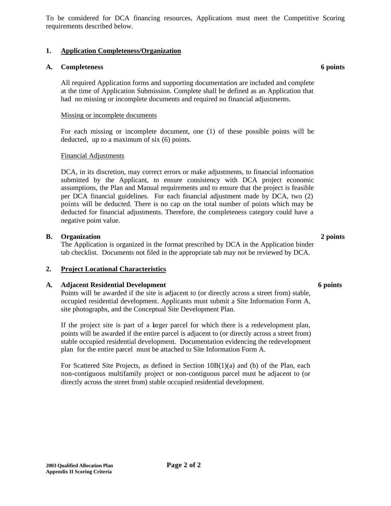To be considered for DCA financing resources, Applications must meet the Competitive Scoring requirements described below.

## **1. Application Completeness/Organization**

### **A. Completeness 6 points**

All required Application forms and supporting documentation are included and complete at the time of Application Submission. Complete shall be defined as an Application that had no missing or incomplete documents and required no financial adjustments.

#### Missing or incomplete documents

For each missing or incomplete document, one (1) of these possible points will be deducted, up to a maximum of six (6) points.

#### Financial Adjustments

DCA, in its discretion, may correct errors or make adjustments, to financial information submitted by the Applicant, to ensure consistency with DCA project economic assumptions, the Plan and Manual requirements and to ensure that the project is feasible per DCA financial guidelines. For each financial adjustment made by DCA, two (2) points will be deducted. There is no cap on the total number of points which may be deducted for financial adjustments. Therefore, the completeness category could have a negative point value.

#### **B. Organization 2 points**

The Application is organized in the format prescribed by DCA in the Application binder tab checklist. Documents not filed in the appropriate tab may not be reviewed by DCA.

#### **2. Project Locational Characteristics**

#### **A. Adjacent Residential Development 6 points**

Points will be awarded if the site is adjacent to (or directly across a street from) stable, occupied residential development. Applicants must submit a Site Information Form A, site photographs, and the Conceptual Site Development Plan.

If the project site is part of a larger parcel for which there is a redevelopment plan, points will be awarded if the entire parcel is adjacent to (or directly across a street from) stable occupied residential development. Documentation evidencing the redevelopment plan for the entire parcel must be attached to Site Information Form A.

For Scattered Site Projects, as defined in Section 10B(1)(a) and (b) of the Plan, each non-contiguous multifamily project or non-contiguous parcel must be adjacent to (or directly across the street from) stable occupied residential development.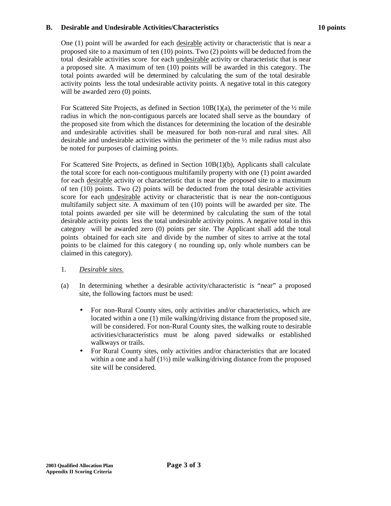#### **B. Desirable and Undesirable Activities/Characteristics 10 points**

One (1) point will be awarded for each desirable activity or characteristic that is near a proposed site to a maximum of ten (10) points. Two (2) points will be deducted from the total desirable activities score for each undesirable activity or characteristic that is near a proposed site. A maximum of ten (10) points will be awarded in this category. The total points awarded will be determined by calculating the sum of the total desirable activity points less the total undesirable activity points. A negative total in this category will be awarded zero (0) points.

For Scattered Site Projects, as defined in Section  $10B(1)(a)$ , the perimeter of the  $\frac{1}{2}$  mile radius in which the non-contiguous parcels are located shall serve as the boundary of the proposed site from which the distances for determining the location of the desirable and undesirable activities shall be measured for both non-rural and rural sites. All desirable and undesirable activities within the perimeter of the  $\frac{1}{2}$  mile radius must also be noted for purposes of claiming points.

For Scattered Site Projects, as defined in Section 10B(1)(b), Applicants shall calculate the total score for each non-contiguous multifamily property with one (1) point awarded for each desirable activity or characteristic that is near the proposed site to a maximum of ten (10) points. Two (2) points will be deducted from the total desirable activities score for each undesirable activity or characteristic that is near the non-contiguous multifamily subject site. A maximum of ten (10) points will be awarded per site. The total points awarded per site will be determined by calculating the sum of the total desirable activity points less the total undesirable activity points. A negative total in this category will be awarded zero (0) points per site. The Applicant shall add the total points obtained for each site and divide by the number of sites to arrive at the total points to be claimed for this category ( no rounding up, only whole numbers can be claimed in this category).

- 1. *Desirable sites.*
- (a) In determining whether a desirable activity/characteristic is "near" a proposed site, the following factors must be used:
	- For non-Rural County sites, only activities and/or characteristics, which are located within a one (1) mile walking/driving distance from the proposed site, will be considered. For non-Rural County sites, the walking route to desirable activities/characteristics must be along paved sidewalks or established walkways or trails.
	- For Rural County sites, only activities and/or characteristics that are located within a one and a half (1½) mile walking/driving distance from the proposed site will be considered.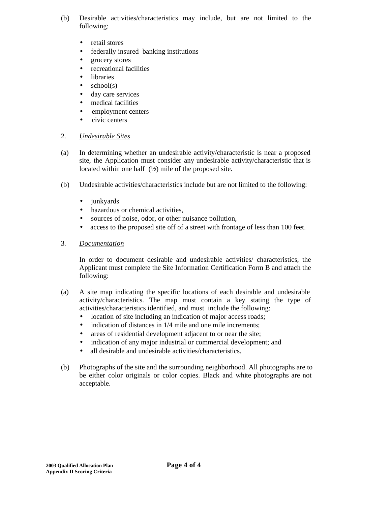- (b) Desirable activities/characteristics may include, but are not limited to the following:
	- retail stores
	- federally insured banking institutions
	- grocery stores
	- recreational facilities
	- libraries
	- $\bullet$  school(s)
	- day care services
	- medical facilities
	- employment centers
	- civic centers

#### 2. *Undesirable Sites*

- (a) In determining whether an undesirable activity/characteristic is near a proposed site, the Application must consider any undesirable activity/characteristic that is located within one half  $(½)$  mile of the proposed site.
- (b) Undesirable activities/characteristics include but are not limited to the following:
	- junkyards
	- hazardous or chemical activities,
	- sources of noise, odor, or other nuisance pollution,
	- access to the proposed site off of a street with frontage of less than 100 feet.
- 3. *Documentation*

In order to document desirable and undesirable activities/ characteristics, the Applicant must complete the Site Information Certification Form B and attach the following:

- (a) A site map indicating the specific locations of each desirable and undesirable activity/characteristics. The map must contain a key stating the type of activities/characteristics identified, and must include the following:
	- location of site including an indication of major access roads;
	- indication of distances in  $1/4$  mile and one mile increments;
	- areas of residential development adjacent to or near the site;
	- indication of any major industrial or commercial development; and
	- all desirable and undesirable activities/characteristics.
- (b) Photographs of the site and the surrounding neighborhood. All photographs are to be either color originals or color copies. Black and white photographs are not acceptable.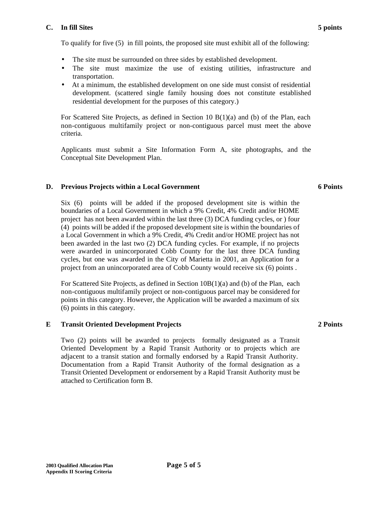#### **C. In fill Sites 5 points**

To qualify for five (5) in fill points, the proposed site must exhibit all of the following:

- The site must be surrounded on three sides by established development.
- The site must maximize the use of existing utilities, infrastructure and transportation.
- At a minimum, the established development on one side must consist of residential development. (scattered single family housing does not constitute established residential development for the purposes of this category.)

For Scattered Site Projects, as defined in Section 10 B(1)(a) and (b) of the Plan, each non-contiguous multifamily project or non-contiguous parcel must meet the above criteria.

Applicants must submit a Site Information Form A, site photographs, and the Conceptual Site Development Plan.

# **D. Previous Projects within a Local Government**

Six (6) points will be added if the proposed development site is within the boundaries of a Local Government in which a 9% Credit, 4% Credit and/or HOME project has not been awarded within the last three (3) DCA funding cycles, or ) four (4) points will be added if the proposed development site is within the boundaries of a Local Government in which a 9% Credit, 4% Credit and/or HOME project has not been awarded in the last two (2) DCA funding cycles. For example, if no projects were awarded in unincorporated Cobb County for the last three DCA funding cycles, but one was awarded in the City of Marietta in 2001, an Application for a project from an unincorporated area of Cobb County would receive six (6) points .

For Scattered Site Projects, as defined in Section 10B(1)(a) and (b) of the Plan, each non-contiguous multifamily project or non-contiguous parcel may be considered for points in this category. However, the Application will be awarded a maximum of six (6) points in this category.

# **E Transit Oriented Development Projects**

Two (2) points will be awarded to projects formally designated as a Transit Oriented Development by a Rapid Transit Authority or to projects which are adjacent to a transit station and formally endorsed by a Rapid Transit Authority. Documentation from a Rapid Transit Authority of the formal designation as a Transit Oriented Development or endorsement by a Rapid Transit Authority must be attached to Certification form B.

#### **2 Points**

#### **6 Points**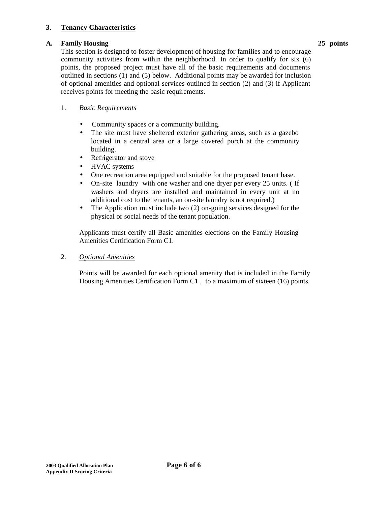## **3. Tenancy Characteristics**

## **A. Family Housing 25 points**

This section is designed to foster development of housing for families and to encourage community activities from within the neighborhood. In order to qualify for six (6) points, the proposed project must have all of the basic requirements and documents outlined in sections (1) and (5) below. Additional points may be awarded for inclusion of optional amenities and optional services outlined in section (2) and (3) if Applicant receives points for meeting the basic requirements.

## 1. *Basic Requirements*

- Community spaces or a community building.
- The site must have sheltered exterior gathering areas, such as a gazebo located in a central area or a large covered porch at the community building.
- Refrigerator and stove
- HVAC systems
- One recreation area equipped and suitable for the proposed tenant base.
- On-site laundry with one washer and one dryer per every 25 units. (If washers and dryers are installed and maintained in every unit at no additional cost to the tenants, an on-site laundry is not required.)
- The Application must include two (2) on-going services designed for the physical or social needs of the tenant population.

Applicants must certify all Basic amenities elections on the Family Housing Amenities Certification Form C1.

2. *Optional Amenities*

Points will be awarded for each optional amenity that is included in the Family Housing Amenities Certification Form C1 , to a maximum of sixteen (16) points.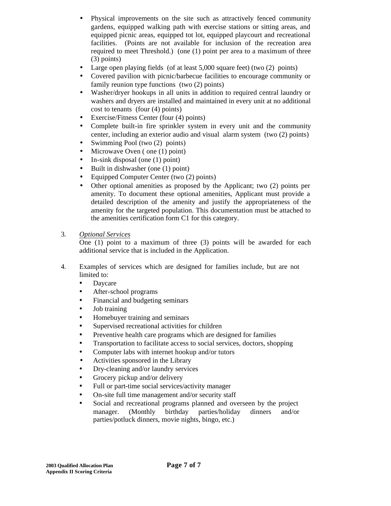- Physical improvements on the site such as attractively fenced community gardens, equipped walking path with exercise stations or sitting areas, and equipped picnic areas, equipped tot lot, equipped playcourt and recreational facilities. (Points are not available for inclusion of the recreation area required to meet Threshold.) (one (1) point per area to a maximum of three (3) points)
- Large open playing fields (of at least 5,000 square feet) (two (2) points)
- Covered pavilion with picnic/barbecue facilities to encourage community or family reunion type functions (two (2) points)
- Washer/dryer hookups in all units in addition to required central laundry or washers and dryers are installed and maintained in every unit at no additional cost to tenants (four (4) points)
- Exercise/Fitness Center (four (4) points)
- Complete built-in fire sprinkler system in every unit and the community center, including an exterior audio and visual alarm system (two (2) points)
- Swimming Pool (two (2) points)
- Microwave Oven (one (1) point)
- In-sink disposal (one (1) point)
- Built in dishwasher (one (1) point)
- Equipped Computer Center (two (2) points)
- Other optional amenities as proposed by the Applicant; two (2) points per amenity. To document these optional amenities, Applicant must provide a detailed description of the amenity and justify the appropriateness of the amenity for the targeted population. This documentation must be attached to the amenities certification form C1 for this category.
- 3. *Optional Services*

One (1) point to a maximum of three (3) points will be awarded for each additional service that is included in the Application.

- 4. Examples of services which are designed for families include, but are not limited to:
	- Daycare
	- After-school programs
	- Financial and budgeting seminars
	- Job training
	- Homebuyer training and seminars
	- Supervised recreational activities for children
	- Preventive health care programs which are designed for families
	- Transportation to facilitate access to social services, doctors, shopping
	- Computer labs with internet hookup and/or tutors
	- Activities sponsored in the Library
	- Dry-cleaning and/or laundry services
	- Grocery pickup and/or delivery
	- Full or part-time social services/activity manager
	- On-site full time management and/or security staff
	- Social and recreational programs planned and overseen by the project manager. (Monthly birthday parties/holiday dinners and/or parties/potluck dinners, movie nights, bingo, etc.)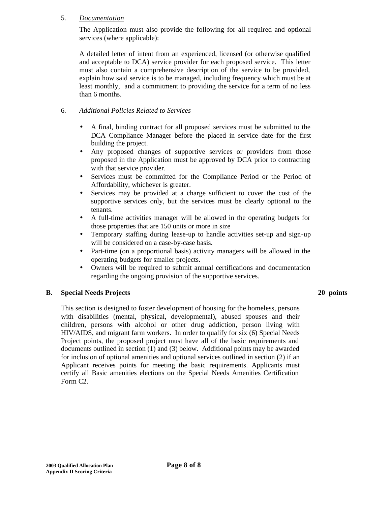### 5. *Documentation*

The Application must also provide the following for all required and optional services (where applicable):

A detailed letter of intent from an experienced, licensed (or otherwise qualified and acceptable to DCA) service provider for each proposed service. This letter must also contain a comprehensive description of the service to be provided, explain how said service is to be managed, including frequency which must be at least monthly, and a commitment to providing the service for a term of no less than 6 months.

# 6. *Additional Policies Related to Services*

- A final, binding contract for all proposed services must be submitted to the DCA Compliance Manager before the placed in service date for the first building the project.
- Any proposed changes of supportive services or providers from those proposed in the Application must be approved by DCA prior to contracting with that service provider.
- Services must be committed for the Compliance Period or the Period of Affordability, whichever is greater.
- Services may be provided at a charge sufficient to cover the cost of the supportive services only, but the services must be clearly optional to the tenants.
- A full-time activities manager will be allowed in the operating budgets for those properties that are 150 units or more in size
- Temporary staffing during lease-up to handle activities set-up and sign-up will be considered on a case-by-case basis.
- Part-time (on a proportional basis) activity managers will be allowed in the operating budgets for smaller projects.
- Owners will be required to submit annual certifications and documentation regarding the ongoing provision of the supportive services.

# **B. Special Needs Projects**

#### **20 points**

This section is designed to foster development of housing for the homeless, persons with disabilities (mental, physical, developmental), abused spouses and their children, persons with alcohol or other drug addiction, person living with HIV/AIDS, and migrant farm workers. In order to qualify for six (6) Special Needs Project points, the proposed project must have all of the basic requirements and documents outlined in section (1) and (3) below. Additional points may be awarded for inclusion of optional amenities and optional services outlined in section (2) if an Applicant receives points for meeting the basic requirements. Applicants must certify all Basic amenities elections on the Special Needs Amenities Certification Form C2.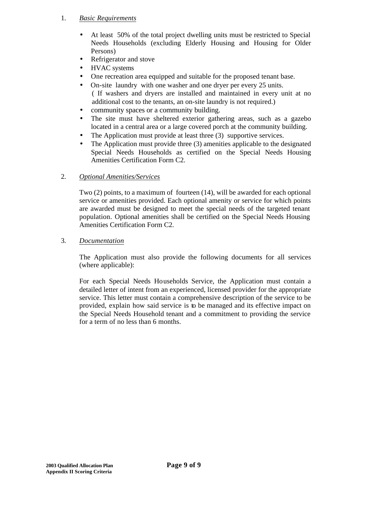#### 1. *Basic Requirements*

- At least 50% of the total project dwelling units must be restricted to Special Needs Households (excluding Elderly Housing and Housing for Older Persons)
- Refrigerator and stove
- HVAC systems
- One recreation area equipped and suitable for the proposed tenant base.
- On-site laundry with one washer and one dryer per every 25 units. ( If washers and dryers are installed and maintained in every unit at no additional cost to the tenants, an on-site laundry is not required.)
- community spaces or a community building.
- The site must have sheltered exterior gathering areas, such as a gazebo located in a central area or a large covered porch at the community building.
- The Application must provide at least three (3) supportive services.
- The Application must provide three (3) amenities applicable to the designated Special Needs Households as certified on the Special Needs Housing Amenities Certification Form C2.

# 2. *Optional Amenities/Services*

Two (2) points, to a maximum of fourteen (14), will be awarded for each optional service or amenities provided. Each optional amenity or service for which points are awarded must be designed to meet the special needs of the targeted tenant population. Optional amenities shall be certified on the Special Needs Housing Amenities Certification Form C2.

# 3. *Documentation*

The Application must also provide the following documents for all services (where applicable):

For each Special Needs Households Service, the Application must contain a detailed letter of intent from an experienced, licensed provider for the appropriate service. This letter must contain a comprehensive description of the service to be provided, explain how said service is to be managed and its effective impact on the Special Needs Household tenant and a commitment to providing the service for a term of no less than 6 months.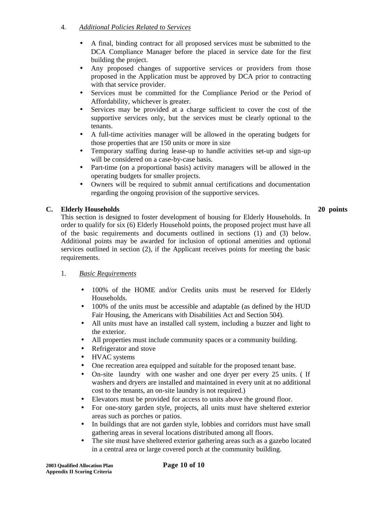# 4. *Additional Policies Related to Services*

- A final, binding contract for all proposed services must be submitted to the DCA Compliance Manager before the placed in service date for the first building the project.
- Any proposed changes of supportive services or providers from those proposed in the Application must be approved by DCA prior to contracting with that service provider.
- Services must be committed for the Compliance Period or the Period of Affordability, whichever is greater.
- Services may be provided at a charge sufficient to cover the cost of the supportive services only, but the services must be clearly optional to the tenants.
- A full-time activities manager will be allowed in the operating budgets for those properties that are 150 units or more in size
- Temporary staffing during lease-up to handle activities set-up and sign-up will be considered on a case-by-case basis.
- Part-time (on a proportional basis) activity managers will be allowed in the operating budgets for smaller projects.
- Owners will be required to submit annual certifications and documentation regarding the ongoing provision of the supportive services.

## **C. Elderly Households 20 points**

This section is designed to foster development of housing for Elderly Households. In order to qualify for six (6) Elderly Household points, the proposed project must have all of the basic requirements and documents outlined in sections (1) and (3) below. Additional points may be awarded for inclusion of optional amenities and optional services outlined in section (2), if the Applicant receives points for meeting the basic requirements.

# 1. *Basic Requirements*

- 100% of the HOME and/or Credits units must be reserved for Elderly Households.
- 100% of the units must be accessible and adaptable (as defined by the HUD Fair Housing, the Americans with Disabilities Act and Section 504).
- All units must have an installed call system, including a buzzer and light to the exterior.
- All properties must include community spaces or a community building.
- Refrigerator and stove
- HVAC systems
- One recreation area equipped and suitable for the proposed tenant base.
- On-site laundry with one washer and one dryer per every 25 units. (If washers and dryers are installed and maintained in every unit at no additional cost to the tenants, an on-site laundry is not required.)
- Elevators must be provided for access to units above the ground floor.
- For one-story garden style, projects, all units must have sheltered exterior areas such as porches or patios.
- In buildings that are not garden style, lobbies and corridors must have small gathering areas in several locations distributed among all floors.
- The site must have sheltered exterior gathering areas such as a gazebo located in a central area or large covered porch at the community building.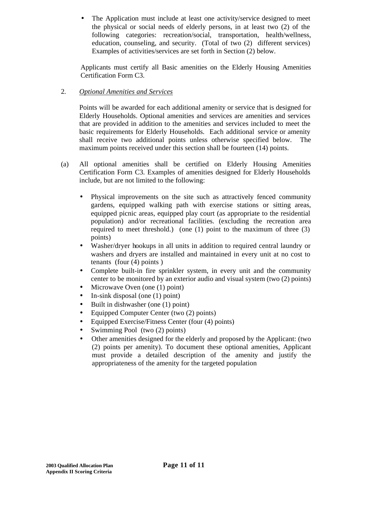The Application must include at least one activity/service designed to meet the physical or social needs of elderly persons, in at least two (2) of the following categories: recreation/social, transportation, health/wellness, education, counseling, and security. (Total of two (2) different services) Examples of activities/services are set forth in Section (2) below.

Applicants must certify all Basic amenities on the Elderly Housing Amenities Certification Form C3.

# 2. *Optional Amenities and Services*

Points will be awarded for each additional amenity or service that is designed for Elderly Households. Optional amenities and services are amenities and services that are provided in addition to the amenities and services included to meet the basic requirements for Elderly Households. Each additional service or amenity shall receive two additional points unless otherwise specified below. The maximum points received under this section shall be fourteen (14) points.

- (a) All optional amenities shall be certified on Elderly Housing Amenities Certification Form C3. Examples of amenities designed for Elderly Households include, but are not limited to the following:
	- Physical improvements on the site such as attractively fenced community gardens, equipped walking path with exercise stations or sitting areas, equipped picnic areas, equipped play court (as appropriate to the residential population) and/or recreational facilities. (excluding the recreation area required to meet threshold.) (one (1) point to the maximum of three (3) points)
	- Washer/dryer hookups in all units in addition to required central laundry or washers and dryers are installed and maintained in every unit at no cost to tenants (four (4) points )
	- Complete built-in fire sprinkler system, in every unit and the community center to be monitored by an exterior audio and visual system (two (2) points)
	- Microwave Oven (one (1) point)
	- In-sink disposal (one (1) point)
	- Built in dishwasher (one (1) point)
	- Equipped Computer Center (two (2) points)
	- Equipped Exercise/Fitness Center (four (4) points)
	- Swimming Pool (two (2) points)
	- Other amenities designed for the elderly and proposed by the Applicant: (two (2) points per amenity). To document these optional amenities, Applicant must provide a detailed description of the amenity and justify the appropriateness of the amenity for the targeted population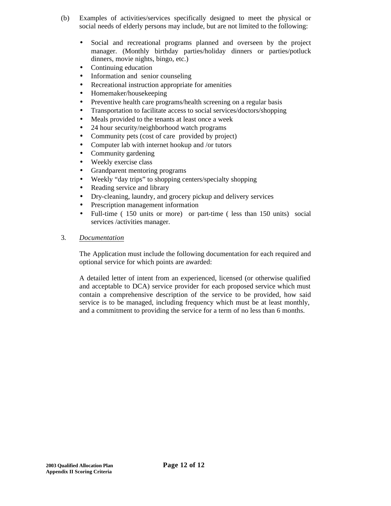- (b) Examples of activities/services specifically designed to meet the physical or social needs of elderly persons may include, but are not limited to the following:
	- Social and recreational programs planned and overseen by the project manager. (Monthly birthday parties/holiday dinners or parties/potluck dinners, movie nights, bingo, etc.)
	- Continuing education
	- Information and senior counseling
	- Recreational instruction appropriate for amenities
	- Homemaker/housekeeping
	- Preventive health care programs/health screening on a regular basis
	- Transportation to facilitate access to social services/doctors/shopping
	- Meals provided to the tenants at least once a week
	- 24 hour security/neighborhood watch programs
	- Community pets (cost of care provided by project)
	- Computer lab with internet hookup and /or tutors
	- Community gardening
	- Weekly exercise class
	- Grandparent mentoring programs
	- Weekly "day trips" to shopping centers/specialty shopping
	- Reading service and library
	- Dry-cleaning, laundry, and grocery pickup and delivery services
	- Prescription management information
	- Full-time (150 units or more) or part-time (less than 150 units) social services /activities manager.
- 3. *Documentation*

The Application must include the following documentation for each required and optional service for which points are awarded:

A detailed letter of intent from an experienced, licensed (or otherwise qualified and acceptable to DCA) service provider for each proposed service which must contain a comprehensive description of the service to be provided, how said service is to be managed, including frequency which must be at least monthly, and a commitment to providing the service for a term of no less than 6 months.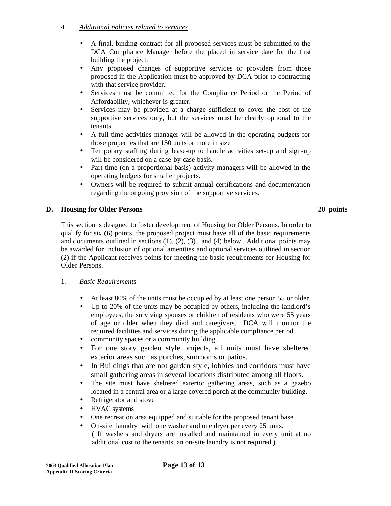# 4. *Additional policies related to services*

- A final, binding contract for all proposed services must be submitted to the DCA Compliance Manager before the placed in service date for the first building the project.
- Any proposed changes of supportive services or providers from those proposed in the Application must be approved by DCA prior to contracting with that service provider.
- Services must be committed for the Compliance Period or the Period of Affordability, whichever is greater.
- Services may be provided at a charge sufficient to cover the cost of the supportive services only, but the services must be clearly optional to the tenants.
- A full-time activities manager will be allowed in the operating budgets for those properties that are 150 units or more in size
- Temporary staffing during lease-up to handle activities set-up and sign-up will be considered on a case-by-case basis.
- Part-time (on a proportional basis) activity managers will be allowed in the operating budgets for smaller projects.
- Owners will be required to submit annual certifications and documentation regarding the ongoing provision of the supportive services.

#### **D. Housing for Older Persons 20 points**

This section is designed to foster development of Housing for Older Persons. In order to qualify for six (6) points, the proposed project must have all of the basic requirements and documents outlined in sections  $(1)$ ,  $(2)$ ,  $(3)$ , and  $(4)$  below. Additional points may be awarded for inclusion of optional amenities and optional services outlined in section (2) if the Applicant receives points for meeting the basic requirements for Housing for Older Persons.

#### 1. *Basic Requirements*

- At least 80% of the units must be occupied by at least one person 55 or older.
- Up to 20% of the units may be occupied by others, including the landlord's employees, the surviving spouses or children of residents who were 55 years of age or older when they died and caregivers. DCA will monitor the required facilities and services during the applicable compliance period.
- community spaces or a community building.
- For one story garden style projects, all units must have sheltered exterior areas such as porches, sunrooms or patios.
- In Buildings that are not garden style, lobbies and corridors must have small gathering areas in several locations distributed among all floors.
- The site must have sheltered exterior gathering areas, such as a gazebo located in a central area or a large covered porch at the community building.
- Refrigerator and stove
- HVAC systems
- One recreation area equipped and suitable for the proposed tenant base.
- On-site laundry with one washer and one dryer per every 25 units. ( If washers and dryers are installed and maintained in every unit at no additional cost to the tenants, an on-site laundry is not required.)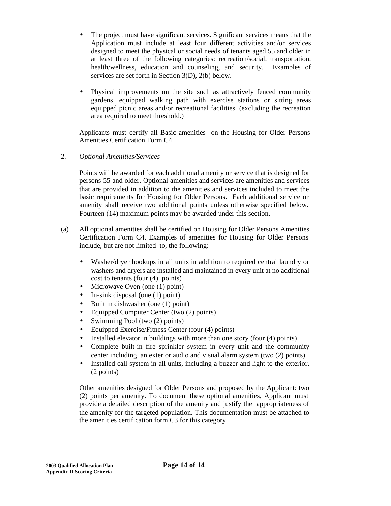- The project must have significant services. Significant services means that the Application must include at least four different activities and/or services designed to meet the physical or social needs of tenants aged 55 and older in at least three of the following categories: recreation/social, transportation, health/wellness, education and counseling, and security. Examples of services are set forth in Section 3(D), 2(b) below.
- Physical improvements on the site such as attractively fenced community gardens, equipped walking path with exercise stations or sitting areas equipped picnic areas and/or recreational facilities. (excluding the recreation area required to meet threshold.)

Applicants must certify all Basic amenities on the Housing for Older Persons Amenities Certification Form C4.

# 2. *Optional Amenities/Services*

Points will be awarded for each additional amenity or service that is designed for persons 55 and older. Optional amenities and services are amenities and services that are provided in addition to the amenities and services included to meet the basic requirements for Housing for Older Persons. Each additional service or amenity shall receive two additional points unless otherwise specified below. Fourteen (14) maximum points may be awarded under this section.

- (a) All optional amenities shall be certified on Housing for Older Persons Amenities Certification Form C4. Examples of amenities for Housing for Older Persons include, but are not limited to, the following:
	- Washer/dryer hookups in all units in addition to required central laundry or washers and dryers are installed and maintained in every unit at no additional cost to tenants (four (4) points)
	- Microwave Oven (one (1) point)
	- In-sink disposal (one (1) point)
	- Built in dishwasher (one (1) point)
	- Equipped Computer Center (two (2) points)
	- Swimming Pool (two  $(2)$  points)
	- Equipped Exercise/Fitness Center (four (4) points)
	- Installed elevator in buildings with more than one story (four (4) points)
	- Complete built-in fire sprinkler system in every unit and the community center including an exterior audio and visual alarm system (two (2) points)
	- Installed call system in all units, including a buzzer and light to the exterior. (2 points)

Other amenities designed for Older Persons and proposed by the Applicant: two (2) points per amenity. To document these optional amenities, Applicant must provide a detailed description of the amenity and justify the appropriateness of the amenity for the targeted population. This documentation must be attached to the amenities certification form C3 for this category.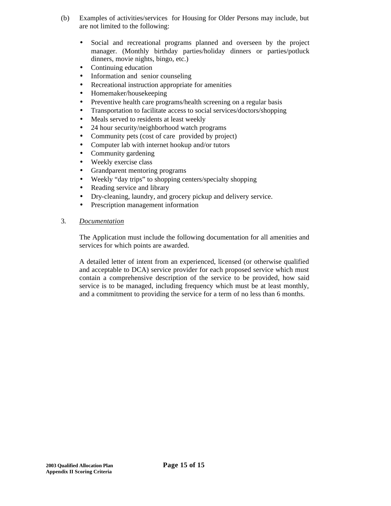- (b) Examples of activities/services for Housing for Older Persons may include, but are not limited to the following:
	- Social and recreational programs planned and overseen by the project manager. (Monthly birthday parties/holiday dinners or parties/potluck dinners, movie nights, bingo, etc.)
	- Continuing education
	- Information and senior counseling
	- Recreational instruction appropriate for amenities
	- Homemaker/housekeeping
	- Preventive health care programs/health screening on a regular basis
	- Transportation to facilitate access to social services/doctors/shopping
	- Meals served to residents at least weekly
	- 24 hour security/neighborhood watch programs
	- Community pets (cost of care provided by project)
	- Computer lab with internet hookup and/or tutors
	- Community gardening
	- Weekly exercise class
	- Grandparent mentoring programs
	- Weekly "day trips" to shopping centers/specialty shopping
	- Reading service and library
	- Dry-cleaning, laundry, and grocery pickup and delivery service.
	- Prescription management information
- 3. *Documentation*

The Application must include the following documentation for all amenities and services for which points are awarded.

A detailed letter of intent from an experienced, licensed (or otherwise qualified and acceptable to DCA) service provider for each proposed service which must contain a comprehensive description of the service to be provided, how said service is to be managed, including frequency which must be at least monthly, and a commitment to providing the service for a term of no less than 6 months.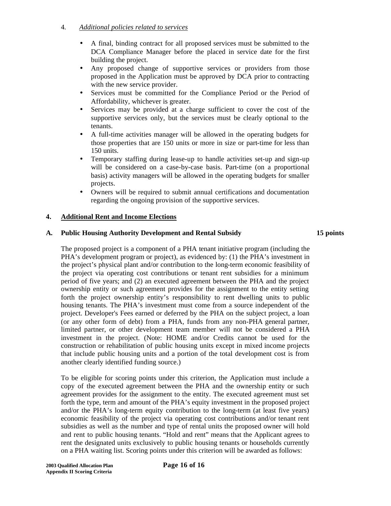# 4. *Additional policies related to services*

- A final, binding contract for all proposed services must be submitted to the DCA Compliance Manager before the placed in service date for the first building the project.
- Any proposed change of supportive services or providers from those proposed in the Application must be approved by DCA prior to contracting with the new service provider.
- Services must be committed for the Compliance Period or the Period of Affordability, whichever is greater.
- Services may be provided at a charge sufficient to cover the cost of the supportive services only, but the services must be clearly optional to the tenants.
- A full-time activities manager will be allowed in the operating budgets for those properties that are 150 units or more in size or part-time for less than 150 units.
- Temporary staffing during lease-up to handle activities set-up and sign-up will be considered on a case-by-case basis. Part-time (on a proportional basis) activity managers will be allowed in the operating budgets for smaller projects.
- Owners will be required to submit annual certifications and documentation regarding the ongoing provision of the supportive services.

## **4. Additional Rent and Income Elections**

## **A. Public Housing Authority Development and Rental Subsidy 15 points**

The proposed project is a component of a PHA tenant initiative program (including the PHA's development program or project), as evidenced by: (1) the PHA's investment in the project's physical plant and/or contribution to the long-term economic feasibility of the project via operating cost contributions or tenant rent subsidies for a minimum period of five years; and (2) an executed agreement between the PHA and the project ownership entity or such agreement provides for the assignment to the entity setting forth the project ownership entity's responsibility to rent dwelling units to public housing tenants. The PHA's investment must come from a source independent of the project. Developer's Fees earned or deferred by the PHA on the subject project, a loan (or any other form of debt) from a PHA, funds from any non-PHA general partner, limited partner, or other development team member will not be considered a PHA investment in the project. (Note: HOME and/or Credits cannot be used for the construction or rehabilitation of public housing units except in mixed income projects that include public housing units and a portion of the total development cost is from another clearly identified funding source.)

To be eligible for scoring points under this criterion, the Application must include a copy of the executed agreement between the PHA and the ownership entity or such agreement provides for the assignment to the entity. The executed agreement must set forth the type, term and amount of the PHA's equity investment in the proposed project and/or the PHA's long-term equity contribution to the long-term (at least five years) economic feasibility of the project via operating cost contributions and/or tenant rent subsidies as well as the number and type of rental units the proposed owner will hold and rent to public housing tenants. "Hold and rent" means that the Applicant agrees to rent the designated units exclusively to public housing tenants or households currently on a PHA waiting list. Scoring points under this criterion will be awarded as follows: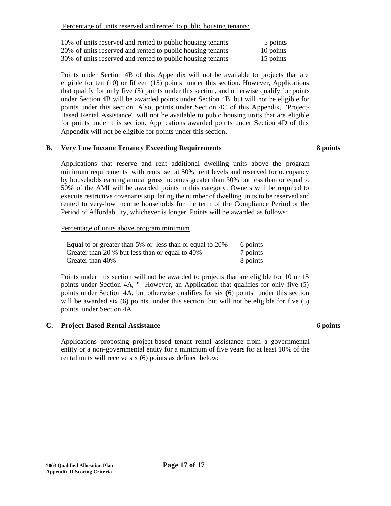Percentage of units reserved and rented to public housing tenants:

| 10% of units reserved and rented to public housing tenants | 5 points  |
|------------------------------------------------------------|-----------|
| 20% of units reserved and rented to public housing tenants | 10 points |
| 30% of units reserved and rented to public housing tenants | 15 points |

Points under Section 4B of this Appendix will not be available to projects that are eligible for ten (10) or fifteen (15) points under this section. However, Applications that qualify for only five (5) points under this section, and otherwise qualify for points under Section 4B will be awarded points under Section 4B, but will not be eligible for points under this section. Also, points under Section 4C of this Appendix, "Project-Based Rental Assistance" will not be available to pubic housing units that are eligible for points under this section. Applications awarded points under Section 4D of this Appendix will not be eligible for points under this section.

## **B. Very Low Income Tenancy Exceeding Requirements 8 points**

Applications that reserve and rent additional dwelling units above the program minimum requirements with rents set at 50% rent levels and reserved for occupancy by households earning annual gross incomes greater than 30% but less than or equal to 50% of the AMI will be awarded points in this category. Owners will be required to execute restrictive covenants stipulating the number of dwelling units to be reserved and rented to very-low income households for the term of the Compliance Period or the Period of Affordability, whichever is longer. Points will be awarded as follows:

#### Percentage of units above program minimum

| Equal to or greater than 5% or less than or equal to 20% | 6 points |
|----------------------------------------------------------|----------|
| Greater than 20 % but less than or equal to 40%          | 7 points |
| Greater than 40%                                         | 8 points |

Points under this section will not be awarded to projects that are eligible for 10 or 15 points under Section 4A, " However, an Application that qualifies for only five (5) points under Section 4A, but otherwise qualifies for six (6) points under this section will be awarded six (6) points under this section, but will not be eligible for five (5) points under Section 4A.

#### **C. Project-Based Rental Assistance 6 points**

Applications proposing project-based tenant rental assistance from a governmental entity or a non-governmental entity for a minimum of five years for at least 10% of the rental units will receive six (6) points as defined below: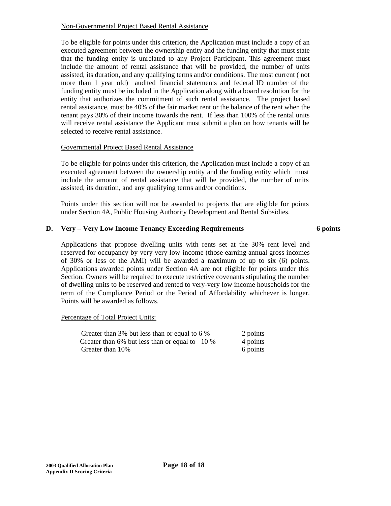## Non-Governmental Project Based Rental Assistance

To be eligible for points under this criterion, the Application must include a copy of an executed agreement between the ownership entity and the funding entity that must state that the funding entity is unrelated to any Project Participant. This agreement must include the amount of rental assistance that will be provided, the number of units assisted, its duration, and any qualifying terms and/or conditions. The most current ( not more than 1 year old) audited financial statements and federal ID number of the funding entity must be included in the Application along with a board resolution for the entity that authorizes the commitment of such rental assistance. The project based rental assistance, must be 40% of the fair market rent or the balance of the rent when the tenant pays 30% of their income towards the rent. If less than 100% of the rental units will receive rental assistance the Applicant must submit a plan on how tenants will be selected to receive rental assistance.

## Governmental Project Based Rental Assistance

To be eligible for points under this criterion, the Application must include a copy of an executed agreement between the ownership entity and the funding entity which must include the amount of rental assistance that will be provided, the number of units assisted, its duration, and any qualifying terms and/or conditions.

Points under this section will not be awarded to projects that are eligible for points under Section 4A, Public Housing Authority Development and Rental Subsidies.

# **D. Very – Very Low Income Tenancy Exceeding Requirements 6 points**

Applications that propose dwelling units with rents set at the 30% rent level and reserved for occupancy by very-very low-income (those earning annual gross incomes of 30% or less of the AMI) will be awarded a maximum of up to six (6) points. Applications awarded points under Section 4A are not eligible for points under this Section. Owners will be required to execute restrictive covenants stipulating the number of dwelling units to be reserved and rented to very-very low income households for the term of the Compliance Period or the Period of Affordability whichever is longer. Points will be awarded as follows.

## Percentage of Total Project Units:

| Greater than 3% but less than or equal to 6 %  | 2 points |
|------------------------------------------------|----------|
| Greater than 6% but less than or equal to 10 % | 4 points |
| Greater than 10%                               | 6 points |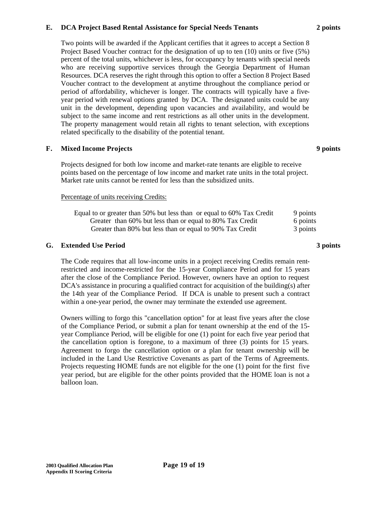### **E. DCA Project Based Rental Assistance for Special Needs Tenants 2 points**

Two points will be awarded if the Applicant certifies that it agrees to accept a Section 8 Project Based Voucher contract for the designation of up to ten (10) units or five (5%) percent of the total units, whichever is less, for occupancy by tenants with special needs who are receiving supportive services through the Georgia Department of Human Resources. DCA reserves the right through this option to offer a Section 8 Project Based Voucher contract to the development at anytime throughout the compliance period or period of affordability, whichever is longer. The contracts will typically have a fiveyear period with renewal options granted by DCA. The designated units could be any unit in the development, depending upon vacancies and availability, and would be subject to the same income and rent restrictions as all other units in the development. The property management would retain all rights to tenant selection, with exceptions related specifically to the disability of the potential tenant.

### **F. Mixed Income Projects 9 points**

Projects designed for both low income and market-rate tenants are eligible to receive points based on the percentage of low income and market rate units in the total project. Market rate units cannot be rented for less than the subsidized units.

### Percentage of units receiving Credits:

| Equal to or greater than 50% but less than or equal to 60% Tax Credit | 9 points |
|-----------------------------------------------------------------------|----------|
| Greater than 60% but less than or equal to 80% Tax Credit             | 6 points |
| Greater than 80% but less than or equal to 90% Tax Credit             | 3 points |

## **G. Extended Use Period 3 points**

The Code requires that all low-income units in a project receiving Credits remain rentrestricted and income-restricted for the 15-year Compliance Period and for 15 years after the close of the Compliance Period. However, owners have an option to request  $DCA's$  assistance in procuring a qualified contract for acquisition of the building(s) after the 14th year of the Compliance Period. If DCA is unable to present such a contract within a one-year period, the owner may terminate the extended use agreement.

Owners willing to forgo this "cancellation option" for at least five years after the close of the Compliance Period, or submit a plan for tenant ownership at the end of the 15 year Compliance Period, will be eligible for one (1) point for each five year period that the cancellation option is foregone, to a maximum of three (3) points for 15 years. Agreement to forgo the cancellation option or a plan for tenant ownership will be included in the Land Use Restrictive Covenants as part of the Terms of Agreements. Projects requesting HOME funds are not eligible for the one (1) point for the first five year period, but are eligible for the other points provided that the HOME loan is not a balloon loan.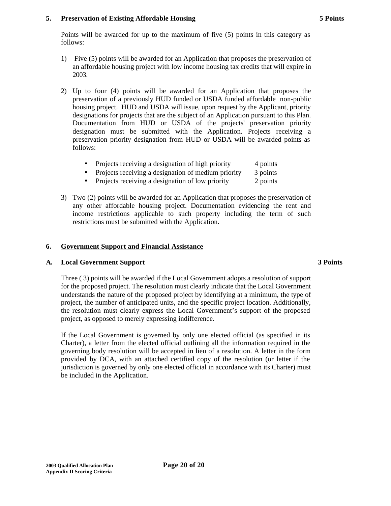## **5. Preservation of Existing Affordable Housing 5 Points**

Points will be awarded for up to the maximum of five (5) points in this category as follows:

- 1) Five (5) points will be awarded for an Application that proposes the preservation of an affordable housing project with low income housing tax credits that will expire in 2003.
- 2) Up to four (4) points will be awarded for an Application that proposes the preservation of a previously HUD funded or USDA funded affordable non-public housing project. HUD and USDA will issue, upon request by the Applicant, priority designations for projects that are the subject of an Application pursuant to this Plan. Documentation from HUD or USDA of the projects' preservation priority designation must be submitted with the Application. Projects receiving a preservation priority designation from HUD or USDA will be awarded points as follows:
	- Projects receiving a designation of high priority 4 points
	- Projects receiving a designation of medium priority 3 points
	- Projects receiving a designation of low priority 2 points
- 3) Two (2) points will be awarded for an Application that proposes the preservation of any other affordable housing project. Documentation evidencing the rent and income restrictions applicable to such property including the term of such restrictions must be submitted with the Application.

# **6. Government Support and Financial Assistance**

## **A. Local Government Support 3 Points**

Three ( 3) points will be awarded if the Local Government adopts a resolution of support for the proposed project. The resolution must clearly indicate that the Local Government understands the nature of the proposed project by identifying at a minimum, the type of project, the number of anticipated units, and the specific project location. Additionally, the resolution must clearly express the Local Government's support of the proposed project, as opposed to merely expressing indifference.

If the Local Government is governed by only one elected official (as specified in its Charter), a letter from the elected official outlining all the information required in the governing body resolution will be accepted in lieu of a resolution. A letter in the form provided by DCA, with an attached certified copy of the resolution (or letter if the jurisdiction is governed by only one elected official in accordance with its Charter) must be included in the Application.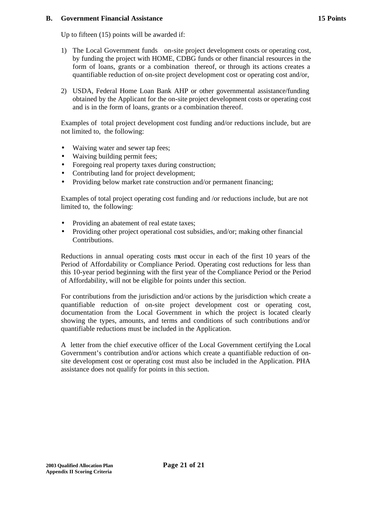### **B. Government Financial Assistance 15 Points**

Up to fifteen (15) points will be awarded if:

- 1) The Local Government funds on-site project development costs or operating cost, by funding the project with HOME, CDBG funds or other financial resources in the form of loans, grants or a combination thereof, or through its actions creates a quantifiable reduction of on-site project development cost or operating cost and/or,
- 2) USDA, Federal Home Loan Bank AHP or other governmental assistance/funding obtained by the Applicant for the on-site project development costs or operating cost and is in the form of loans, grants or a combination thereof.

Examples of total project development cost funding and/or reductions include, but are not limited to, the following:

- Waiving water and sewer tap fees;
- Waiving building permit fees;
- Foregoing real property taxes during construction;
- Contributing land for project development;
- Providing below market rate construction and/or permanent financing;

Examples of total project operating cost funding and /or reductions include, but are not limited to, the following:

- Providing an abatement of real estate taxes;
- Providing other project operational cost subsidies, and/or; making other financial Contributions.

Reductions in annual operating costs must occur in each of the first 10 years of the Period of Affordability or Compliance Period. Operating cost reductions for less than this 10-year period beginning with the first year of the Compliance Period or the Period of Affordability, will not be eligible for points under this section.

For contributions from the jurisdiction and/or actions by the jurisdiction which create a quantifiable reduction of on-site project development cost or operating cost, documentation from the Local Government in which the project is located clearly showing the types, amounts, and terms and conditions of such contributions and/or quantifiable reductions must be included in the Application.

A letter from the chief executive officer of the Local Government certifying the Local Government's contribution and/or actions which create a quantifiable reduction of onsite development cost or operating cost must also be included in the Application. PHA assistance does not qualify for points in this section.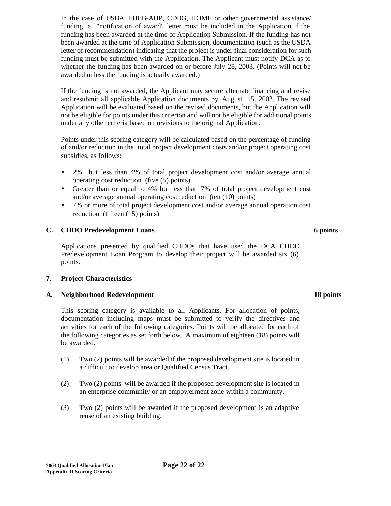In the case of USDA, FHLB-AHP, CDBG, HOME or other governmental assistance/ funding, a "notification of award" letter must be included in the Application if the funding has been awarded at the time of Application Submission. If the funding has not been awarded at the time of Application Submission, documentation (such as the USDA letter of recommendation) indicating that the project is under final consideration for such funding must be submitted with the Application. The Applicant must notify DCA as to whether the funding has been awarded on or before July 28, 2003. (Points will not be awarded unless the funding is actually awarded.)

If the funding is not awarded, the Applicant may secure alternate financing and revise and resubmit all applicable Application documents by August 15, 2002. The revised Application will be evaluated based on the revised documents, but the Application will not be eligible for points under this criterion and will not be eligible for additional points under any other criteria based on revisions to the original Application.

Points under this scoring category will be calculated based on the percentage of funding of and/or reduction in the total project development costs and/or project operating cost subsidies, as follows:

- 2% but less than 4% of total project development cost and/or average annual operating cost reduction (five (5) points)
- Greater than or equal to 4% but less than 7% of total project development cost and/or average annual operating cost reduction (ten (10) points)
- 7% or more of total project development cost and/or average annual operation cost reduction (fifteen (15) points)

## **C. CHDO Predevelopment Loans 6 points**

Applications presented by qualified CHDOs that have used the DCA CHDO Predevelopment Loan Program to develop their project will be awarded six (6) points.

## **7. Project Characteristics**

## **A. Neighborhood Redevelopment 18 points**

This scoring category is available to all Applicants. For allocation of points, documentation including maps must be submitted to verify the directives and activities for each of the following categories. Points will be allocated for each of the following categories as set forth below. A maximum of eighteen (18) points will be awarded.

- (1) Two (2) points will be awarded if the proposed development site is located in a difficult to develop area or Qualified Census Tract.
- (2) Two (2) points will be awarded if the proposed development site is located in an enterprise community or an empowerment zone within a community.
- (3) Two (2) points will be awarded if the proposed development is an adaptive reuse of an existing building.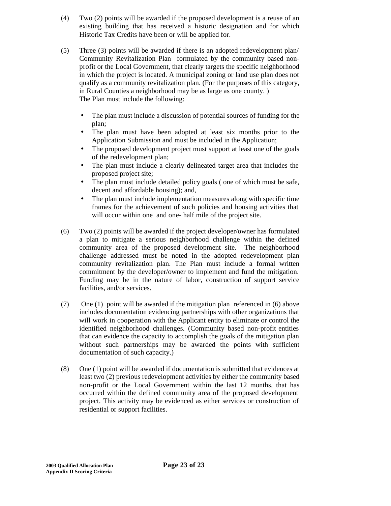- (4) Two (2) points will be awarded if the proposed development is a reuse of an existing building that has received a historic designation and for which Historic Tax Credits have been or will be applied for.
- (5) Three (3) points will be awarded if there is an adopted redevelopment plan/ Community Revitalization Plan formulated by the community based nonprofit or the Local Government, that clearly targets the specific neighborhood in which the project is located. A municipal zoning or land use plan does not qualify as a community revitalization plan. (For the purposes of this category, in Rural Counties a neighborhood may be as large as one county. ) The Plan must include the following:
	- The plan must include a discussion of potential sources of funding for the plan;
	- The plan must have been adopted at least six months prior to the Application Submission and must be included in the Application;
	- The proposed development project must support at least one of the goals of the redevelopment plan;
	- The plan must include a clearly delineated target area that includes the proposed project site;
	- The plan must include detailed policy goals ( one of which must be safe, decent and affordable housing); and,
	- The plan must include implementation measures along with specific time frames for the achievement of such policies and housing activities that will occur within one and one- half mile of the project site.
- (6) Two (2) points will be awarded if the project developer/owner has formulated a plan to mitigate a serious neighborhood challenge within the defined community area of the proposed development site. The neighborhood challenge addressed must be noted in the adopted redevelopment plan community revitalization plan. The Plan must include a formal written commitment by the developer/owner to implement and fund the mitigation. Funding may be in the nature of labor, construction of support service facilities, and/or services.
- (7) One (1) point will be awarded if the mitigation plan referenced in (6) above includes documentation evidencing partnerships with other organizations that will work in cooperation with the Applicant entity to eliminate or control the identified neighborhood challenges. (Community based non-profit entities that can evidence the capacity to accomplish the goals of the mitigation plan without such partnerships may be awarded the points with sufficient documentation of such capacity.)
- (8) One (1) point will be awarded if documentation is submitted that evidences at least two (2) previous redevelopment activities by either the community based non-profit or the Local Government within the last 12 months, that has occurred within the defined community area of the proposed development project. This activity may be evidenced as either services or construction of residential or support facilities.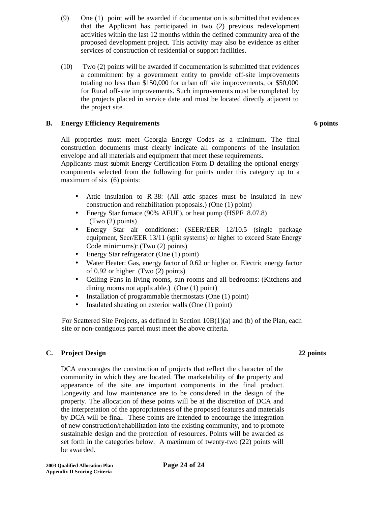- (9) One (1) point will be awarded if documentation is submitted that evidences that the Applicant has participated in two (2) previous redevelopment activities within the last 12 months within the defined community area of the proposed development project. This activity may also be evidence as either services of construction of residential or support facilities.
- (10) Two (2) points will be awarded if documentation is submitted that evidences a commitment by a government entity to provide off-site improvements totaling no less than \$150,000 for urban off site improvements, or \$50,000 for Rural off-site improvements. Such improvements must be completed by the projects placed in service date and must be located directly adjacent to the project site.

## **B. Energy Efficiency Requirements 6 points**

All properties must meet Georgia Energy Codes as a minimum. The final construction documents must clearly indicate all components of the insulation envelope and all materials and equipment that meet these requirements.

Applicants must submit Energy Certification Form D detailing the optional energy components selected from the following for points under this category up to a maximum of six (6) points:

- Attic insulation to R-38: (All attic spaces must be insulated in new construction and rehabilitation proposals.) (One (1) point)
- Energy Star furnace (90% AFUE), or heat pump (HSPF 8.07.8) (Two (2) points)
- Energy Star air conditioner: (SEER/EER 12/10.5 (single package equipment, Seer/EER 13/11 (split systems) or higher to exceed State Energy Code minimums): (Two (2) points)
- Energy Star refrigerator (One (1) point)
- Water Heater: Gas, energy factor of 0.62 or higher or, Electric energy factor of 0.92 or higher (Two (2) points)
- Ceiling Fans in living rooms, sun rooms and all bedrooms: (Kitchens and dining rooms not applicable.) (One (1) point)
- Installation of programmable thermostats (One (1) point)
- Insulated sheating on exterior walls (One (1) point)

For Scattered Site Projects, as defined in Section 10B(1)(a) and (b) of the Plan, each site or non-contiguous parcel must meet the above criteria.

## **C. Project Design 22 points**

DCA encourages the construction of projects that reflect the character of the community in which they are located. The marketability of the property and appearance of the site are important components in the final product. Longevity and low maintenance are to be considered in the design of the property. The allocation of these points will be at the discretion of DCA and the interpretation of the appropriateness of the proposed features and materials by DCA will be final. These points are intended to encourage the integration of new construction/rehabilitation into the existing community, and to promote sustainable design and the protection of resources. Points will be awarded as set forth in the categories below. A maximum of twenty-two (22) points will be awarded.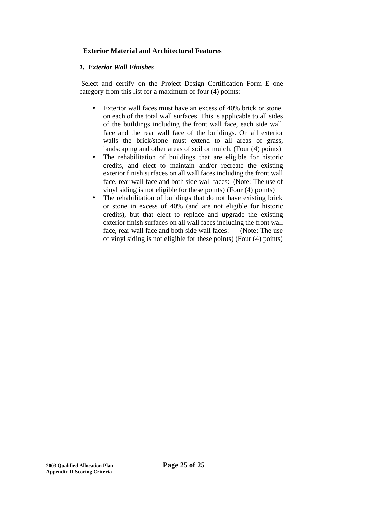# **Exterior Material and Architectural Features**

## *1. Exterior Wall Finishes*

 Select and certify on the Project Design Certification Form E one category from this list for a maximum of four (4) points:

- Exterior wall faces must have an excess of 40% brick or stone. on each of the total wall surfaces. This is applicable to all sides of the buildings including the front wall face, each side wall face and the rear wall face of the buildings. On all exterior walls the brick/stone must extend to all areas of grass, landscaping and other areas of soil or mulch. (Four (4) points)
- The rehabilitation of buildings that are eligible for historic credits, and elect to maintain and/or recreate the existing exterior finish surfaces on all wall faces including the front wall face, rear wall face and both side wall faces: (Note: The use of vinyl siding is not eligible for these points) (Four (4) points)
- The rehabilitation of buildings that do not have existing brick or stone in excess of 40% (and are not eligible for historic credits), but that elect to replace and upgrade the existing exterior finish surfaces on all wall faces including the front wall face, rear wall face and both side wall faces: (Note: The use of vinyl siding is not eligible for these points) (Four (4) points)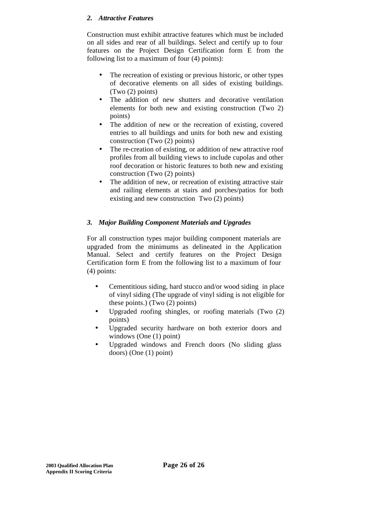## *2. Attractive Features*

Construction must exhibit attractive features which must be included on all sides and rear of all buildings. Select and certify up to four features on the Project Design Certification form E from the following list to a maximum of four (4) points):

- The recreation of existing or previous historic, or other types of decorative elements on all sides of existing buildings. (Two (2) points)
- The addition of new shutters and decorative ventilation elements for both new and existing construction (Two 2) points)
- The addition of new or the recreation of existing, covered entries to all buildings and units for both new and existing construction (Two (2) points)
- The re-creation of existing, or addition of new attractive roof profiles from all building views to include cupolas and other roof decoration or historic features to both new and existing construction (Two (2) points)
- The addition of new, or recreation of existing attractive stair and railing elements at stairs and porches/patios for both existing and new construction Two (2) points)

# *3. Major Building Component Materials and Upgrades*

For all construction types major building component materials are upgraded from the minimums as delineated in the Application Manual. Select and certify features on the Project Design Certification form E from the following list to a maximum of four (4) points:

- Cementitious siding, hard stucco and/or wood siding in place of vinyl siding (The upgrade of vinyl siding is not eligible for these points.) (Two (2) points)
- Upgraded roofing shingles, or roofing materials (Two (2) points)
- Upgraded security hardware on both exterior doors and windows (One (1) point)
- Upgraded windows and French doors (No sliding glass doors) (One (1) point)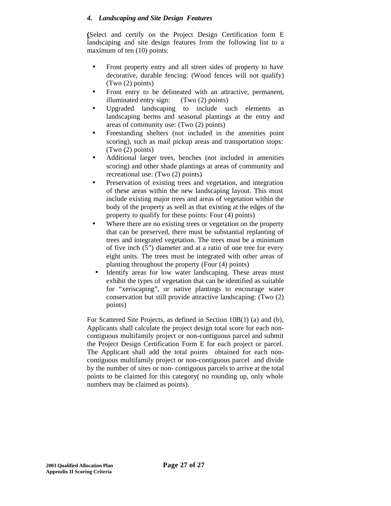## *4. Landscaping and Site Design Features*

**(**Select and certify on the Project Design Certification form E landscaping and site design features from the following list to a maximum of ten (10) points:

- Front property entry and all street sides of property to have decorative, durable fencing: (Wood fences will not qualify) (Two (2) points)
- Front entry to be delineated with an attractive, permanent, illuminated entry sign: (Two (2) points)
- Upgraded landscaping to include such elements as landscaping berms and seasonal plantings at the entry and areas of community use: (Two (2) points)
- Freestanding shelters (not included in the amenities point scoring), such as mail pickup areas and transportation stops: (Two (2) points)
- Additional larger trees, benches (not included in amenities scoring) and other shade plantings at areas of community and recreational use: (Two (2) points)
- Preservation of existing trees and vegetation, and integration of these areas within the new landscaping layout. This must include existing major trees and areas of vegetation within the body of the property as well as that existing at the edges of the property to qualify for these points: Four (4) points)
- Where there are no existing trees or vegetation on the property that can be preserved, there must be substantial replanting of trees and integrated vegetation. The trees must be a minimum of five inch (5") diameter and at a ratio of one tree for every eight units. The trees must be integrated with other areas of planting throughout the property (Four (4) points)
- Identify areas for low water landscaping. These areas must exhibit the types of vegetation that can be identified as suitable for "xeriscaping", or native plantings to encourage water conservation but still provide attractive landscaping: (Two (2) points)

For Scattered Site Projects, as defined in Section 10B(1) (a) and (b), Applicants shall calculate the project design total score for each noncontiguous multifamily project or non-contiguous parcel and submit the Project Design Certification Form E for each project or parcel. The Applicant shall add the total points obtained for each noncontiguous multifamily project or non-contiguous parcel and divide by the number of sites or non- contiguous parcels to arrive at the total points to be claimed for this category( no rounding up, only whole numbers may be claimed as points).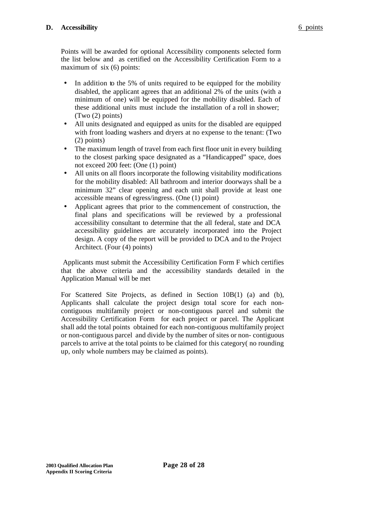Points will be awarded for optional Accessibility components selected form the list below and as certified on the Accessibility Certification Form to a maximum of six (6) points:

- In addition to the 5% of units required to be equipped for the mobility disabled, the applicant agrees that an additional 2% of the units (with a minimum of one) will be equipped for the mobility disabled. Each of these additional units must include the installation of a roll in shower; (Two (2) points)
- All units designated and equipped as units for the disabled are equipped with front loading washers and dryers at no expense to the tenant: (Two (2) points)
- The maximum length of travel from each first floor unit in every building to the closest parking space designated as a "Handicapped" space, does not exceed 200 feet: (One (1) point)
- All units on all floors incorporate the following visitability modifications for the mobility disabled: All bathroom and interior doorways shall be a minimum 32" clear opening and each unit shall provide at least one accessible means of egress/ingress. (One (1) point)
- Applicant agrees that prior to the commencement of construction, the final plans and specifications will be reviewed by a professional accessibility consultant to determine that the all federal, state and DCA accessibility guidelines are accurately incorporated into the Project design. A copy of the report will be provided to DCA and to the Project Architect. (Four (4) points)

 Applicants must submit the Accessibility Certification Form F which certifies that the above criteria and the accessibility standards detailed in the Application Manual will be met

For Scattered Site Projects, as defined in Section 10B(1) (a) and (b), Applicants shall calculate the project design total score for each noncontiguous multifamily project or non-contiguous parcel and submit the Accessibility Certification Form for each project or parcel. The Applicant shall add the total points obtained for each non-contiguous multifamily project or non-contiguous parcel and divide by the number of sites or non- contiguous parcels to arrive at the total points to be claimed for this category( no rounding up, only whole numbers may be claimed as points).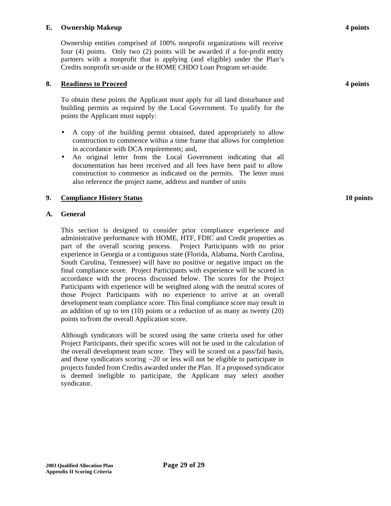## **E. Ownership Makeup 4 points**

Ownership entities comprised of 100% nonprofit organizations will receive four (4) points. Only two (2) points will be awarded if a for-profit entity partners with a nonprofit that is applying (and eligible) under the Plan's Credits nonprofit set-aside or the HOME CHDO Loan Program set-aside.

## **8. Readiness to Proceed 4 points**

To obtain these points the Applicant must apply for all land disturbance and building permits as required by the Local Government. To qualify for the points the Applicant must supply:

- A copy of the building permit obtained, dated appropriately to allow construction to commence within a time frame that allows for completion in accordance with DCA requirements; and,
- An original letter from the Local Government indicating that all documentation has been received and all fees have been paid to allow construction to commence as indicated on the permits. The letter must also reference the project name, address and number of units

### **9. Compliance History Status 10 points**

### **A. General**

This section is designed to consider prior compliance experience and administrative performance with HOME, HTF, FDIC and Credit properties as part of the overall scoring process. Project Participants with no prior experience in Georgia or a contiguous state (Florida, Alabama, North Carolina, South Carolina, Tennessee) will have no positive or negative impact on the final compliance score. Project Participants with experience will be scored in accordance with the process discussed below. The scores for the Project Participants with experience will be weighted along with the neutral scores of those Project Participants with no experience to arrive at an overall development team compliance score. This final compliance score may result in an addition of up to ten (10) points or a reduction of as many as twenty (20) points to/from the overall Application score.

Although syndicators will be scored using the same criteria used for other Project Participants, their specific scores will not be used in the calculation of the overall development team score. They will be scored on a pass/fail basis, and those syndicators scoring  $-20$  or less will not be eligible to participate in projects funded from Credits awarded under the Plan. If a proposed syndicator is deemed ineligible to participate, the Applicant may select another syndicator.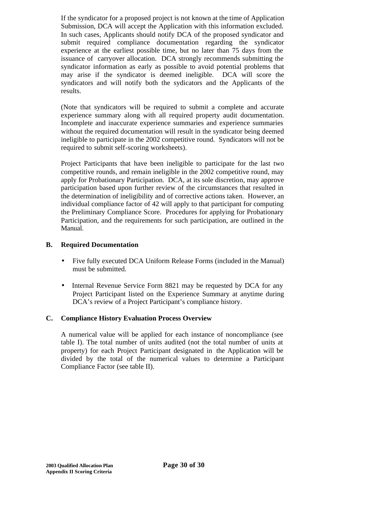If the syndicator for a proposed project is not known at the time of Application Submission, DCA will accept the Application with this information excluded. In such cases, Applicants should notify DCA of the proposed syndicator and submit required compliance documentation regarding the syndicator experience at the earliest possible time, but no later than 75 days from the issuance of carryover allocation. DCA strongly recommends submitting the syndicator information as early as possible to avoid potential problems that may arise if the syndicator is deemed ineligible. DCA will score the syndicators and will notify both the sydicators and the Applicants of the results.

(Note that syndicators will be required to submit a complete and accurate experience summary along with all required property audit documentation. Incomplete and inaccurate experience summaries and experience summaries without the required documentation will result in the syndicator being deemed ineligible to participate in the 2002 competitive round. Syndicators will not be required to submit self-scoring worksheets).

Project Participants that have been ineligible to participate for the last two competitive rounds, and remain ineligible in the 2002 competitive round, may apply for Probationary Participation. DCA, at its sole discretion, may approve participation based upon further review of the circumstances that resulted in the determination of ineligibility and of corrective actions taken. However, an individual compliance factor of 42 will apply to that participant for computing the Preliminary Compliance Score. Procedures for applying for Probationary Participation, and the requirements for such participation, are outlined in the Manual.

## **B. Required Documentation**

- Five fully executed DCA Uniform Release Forms (included in the Manual) must be submitted.
- Internal Revenue Service Form 8821 may be requested by DCA for any Project Participant listed on the Experience Summary at anytime during DCA's review of a Project Participant's compliance history.

# **C. Compliance History Evaluation Process Overview**

A numerical value will be applied for each instance of noncompliance (see table I). The total number of units audited (not the total number of units at property) for each Project Participant designated in the Application will be divided by the total of the numerical values to determine a Participant Compliance Factor (see table II).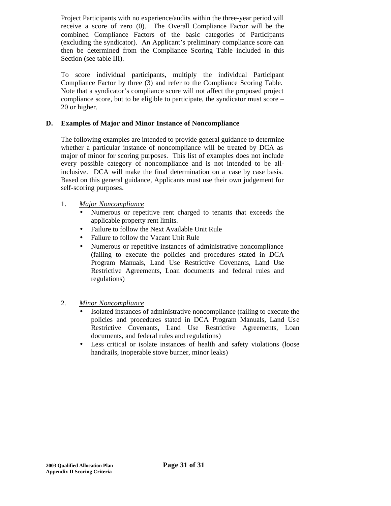Project Participants with no experience/audits within the three-year period will receive a score of zero (0). The Overall Compliance Factor will be the combined Compliance Factors of the basic categories of Participants (excluding the syndicator). An Applicant's preliminary compliance score can then be determined from the Compliance Scoring Table included in this Section (see table III).

To score individual participants, multiply the individual Participant Compliance Factor by three (3) and refer to the Compliance Scoring Table. Note that a syndicator's compliance score will not affect the proposed project compliance score, but to be eligible to participate, the syndicator must score – 20 or higher.

## **D. Examples of Major and Minor Instance of Noncompliance**

The following examples are intended to provide general guidance to determine whether a particular instance of noncompliance will be treated by DCA as major of minor for scoring purposes. This list of examples does not include every possible category of noncompliance and is not intended to be allinclusive. DCA will make the final determination on a case by case basis. Based on this general guidance, Applicants must use their own judgement for self-scoring purposes.

## 1. *Major Noncompliance*

- Numerous or repetitive rent charged to tenants that exceeds the applicable property rent limits.
- Failure to follow the Next Available Unit Rule
- Failure to follow the Vacant Unit Rule
- Numerous or repetitive instances of administrative noncompliance (failing to execute the policies and procedures stated in DCA Program Manuals, Land Use Restrictive Covenants, Land Use Restrictive Agreements, Loan documents and federal rules and regulations)
- 2. *Minor Noncompliance*
	- Isolated instances of administrative noncompliance (failing to execute the policies and procedures stated in DCA Program Manuals, Land Use Restrictive Covenants, Land Use Restrictive Agreements, Loan documents, and federal rules and regulations)
	- Less critical or isolate instances of health and safety violations (loose handrails, inoperable stove burner, minor leaks)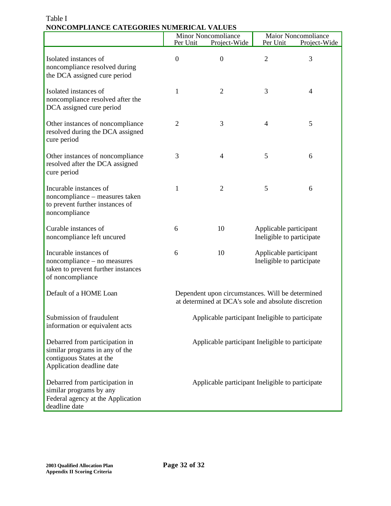|                                                                                                                           | Per Unit                                                                                                | <b>Minor Noncompliance</b><br>Project-Wide       | Per Unit                                            | Maior Noncompliance<br>Project-Wide |
|---------------------------------------------------------------------------------------------------------------------------|---------------------------------------------------------------------------------------------------------|--------------------------------------------------|-----------------------------------------------------|-------------------------------------|
| Isolated instances of<br>noncompliance resolved during<br>the DCA assigned cure period                                    | $\overline{0}$                                                                                          | $\boldsymbol{0}$                                 | $\overline{2}$                                      | 3                                   |
| Isolated instances of<br>noncompliance resolved after the<br>DCA assigned cure period                                     | 1                                                                                                       | $\overline{2}$                                   | 3                                                   | $\overline{4}$                      |
| Other instances of noncompliance<br>resolved during the DCA assigned<br>cure period                                       | $\overline{2}$                                                                                          | 3                                                | 4                                                   | 5                                   |
| Other instances of noncompliance<br>resolved after the DCA assigned<br>cure period                                        | 3                                                                                                       | $\overline{4}$                                   | 5                                                   | 6                                   |
| Incurable instances of<br>noncompliance - measures taken<br>to prevent further instances of<br>noncompliance              | 1                                                                                                       | $\overline{2}$                                   | 5                                                   | 6                                   |
| Curable instances of<br>noncompliance left uncured                                                                        | 6                                                                                                       | 10                                               | Applicable participant<br>Ineligible to participate |                                     |
| Incurable instances of<br>noncompliance – no measures<br>taken to prevent further instances<br>of noncompliance           | 6                                                                                                       | 10                                               | Applicable participant<br>Ineligible to participate |                                     |
| Default of a HOME Loan                                                                                                    | Dependent upon circumstances. Will be determined<br>at determined at DCA's sole and absolute discretion |                                                  |                                                     |                                     |
| Submission of fraudulent<br>information or equivalent acts                                                                |                                                                                                         | Applicable participant Ineligible to participate |                                                     |                                     |
| Debarred from participation in<br>similar programs in any of the<br>contiguous States at the<br>Application deadline date |                                                                                                         | Applicable participant Ineligible to participate |                                                     |                                     |
| Debarred from participation in<br>similar programs by any<br>Federal agency at the Application<br>deadline date           |                                                                                                         | Applicable participant Ineligible to participate |                                                     |                                     |

# Table I **NONCOMPLIANCE CATEGORIES NUMERICAL VALUES**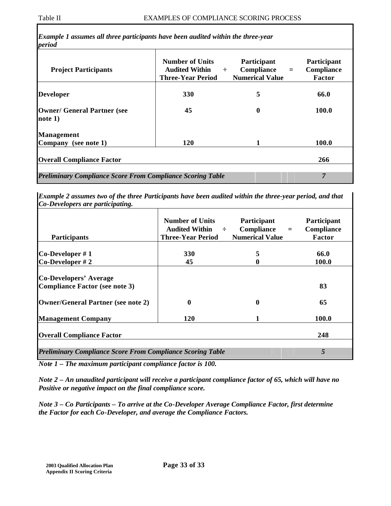| <b>Three-Year Period</b> | <b>Numerical Value</b> | <b>Compliance</b><br>Factor |
|--------------------------|------------------------|-----------------------------|
| <b>330</b>               | 5                      | 66.0                        |
| 45                       | $\boldsymbol{0}$       | 100.0                       |
|                          |                        |                             |
| 120                      | 1                      | 100.0                       |
|                          |                        |                             |

*Example 2 assumes two of the three Participants have been audited within the three-year period, and that Co-Developers are participating.*

| <b>Participants</b>                                                    | <b>Number of Units</b><br>Audited Within $\div$<br><b>Three-Year Period</b> | Participant<br>Compliance<br>$=$<br><b>Numerical Value</b> | Participant<br>Compliance<br>Factor |
|------------------------------------------------------------------------|-----------------------------------------------------------------------------|------------------------------------------------------------|-------------------------------------|
|                                                                        |                                                                             |                                                            |                                     |
| $Co\text{-}Developer \#1$                                              | <b>330</b>                                                                  | 5                                                          | 66.0                                |
| $Co\text{-}Developer \# 2$                                             | 45                                                                          |                                                            | 100.0                               |
| <b>Co-Developers' Average</b><br><b>Compliance Factor (see note 3)</b> |                                                                             |                                                            | 83                                  |
| <b>Owner/General Partner (see note 2)</b>                              | 0                                                                           | 0                                                          | 65                                  |
| <b>Management Company</b>                                              | <b>120</b>                                                                  |                                                            | 100.0                               |
| <b>Overall Compliance Factor</b>                                       |                                                                             |                                                            | 248                                 |
| <b>Preliminary Compliance Score From Compliance Scoring Table</b>      |                                                                             |                                                            | 5                                   |

*Note 1 – The maximum participant compliance factor is 100.*

*Note 2 – An unaudited participant will receive a participant compliance factor of 65, which will have no Positive or negative impact on the final compliance score.*

*Note 3 – Co Participants – To arrive at the Co-Developer Average Compliance Factor, first determine the Factor for each Co-Developer, and average the Compliance Factors.*